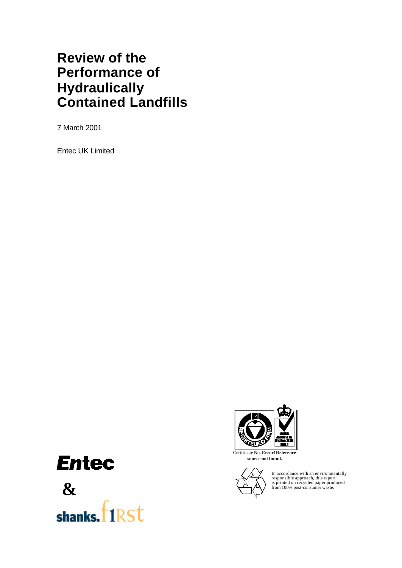# **Review of the Performance of Hydraulically Contained Landfills**

7 March 2001

Entec UK Limited



Certificate No. **Error! Reference source not found.**



In accordance with an environmentally responsible approach, this report is printed on recycled paper produced from 100% post-consumer waste.



 $\overline{a}$ &<br>**shanks.** 1RSt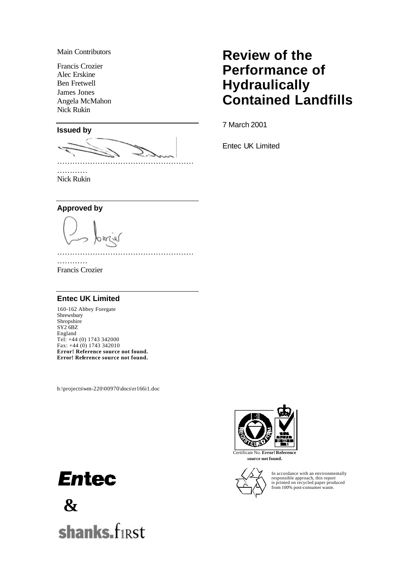Main Contributors

Francis Crozier Alec Erskine Ben Fretwell James Jones Angela McMahon Nick Rukin

#### **Issued by**

………………………………………………

………………………………………………………………

………… Nick Rukin

#### **Approved by**

………… Francis Crozier

#### **Entec UK Limited**

160-162 Abbey Foregate Shrewsbury Shropshire SY2 6BZ England Tel: +44 (0) 1743 342000 Fax: +44 (0) 1743 342010 **Error! Reference source not found. Error! Reference source not found.**

h:\projects\wm-220\00970\docs\rr166i1.doc

Certificate No. **Error! Reference source not found.**



In accordance with an environmentally responsible approach, this report is printed on recycled paper produced from 100% post-consumer waste.



# **Review of the Performance of Hydraulically Contained Landfills**

7 March 2001

Entec UK Limited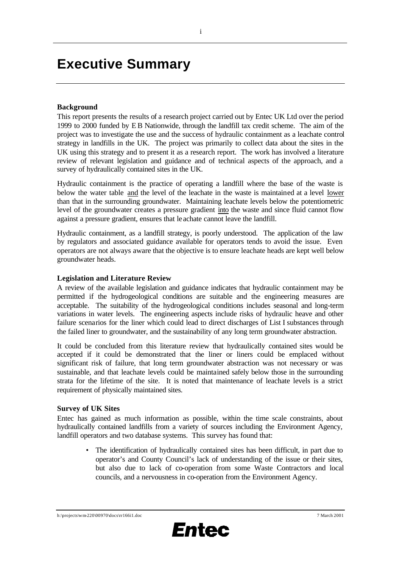# **Executive Summary**

#### **Background**

This report presents the results of a research project carried out by Entec UK Ltd over the period 1999 to 2000 funded by E B Nationwide, through the landfill tax credit scheme. The aim of the project was to investigate the use and the success of hydraulic containment as a leachate control strategy in landfills in the UK. The project was primarily to collect data about the sites in the UK using this strategy and to present it as a research report. The work has involved a literature review of relevant legislation and guidance and of technical aspects of the approach, and a survey of hydraulically contained sites in the UK.

Hydraulic containment is the practice of operating a landfill where the base of the waste is below the water table and the level of the leachate in the waste is maintained at a level lower than that in the surrounding groundwater. Maintaining leachate levels below the potentiometric level of the groundwater creates a pressure gradient into the waste and since fluid cannot flow against a pressure gradient, ensures that le achate cannot leave the landfill.

Hydraulic containment, as a landfill strategy, is poorly understood. The application of the law by regulators and associated guidance available for operators tends to avoid the issue. Even operators are not always aware that the objective is to ensure leachate heads are kept well below groundwater heads.

#### **Legislation and Literature Review**

A review of the available legislation and guidance indicates that hydraulic containment may be permitted if the hydrogeological conditions are suitable and the engineering measures are acceptable. The suitability of the hydrogeological conditions includes seasonal and long-term variations in water levels. The engineering aspects include risks of hydraulic heave and other failure scenarios for the liner which could lead to direct discharges of List I substances through the failed liner to groundwater, and the sustainability of any long term groundwater abstraction.

It could be concluded from this literature review that hydraulically contained sites would be accepted if it could be demonstrated that the liner or liners could be emplaced without significant risk of failure, that long term groundwater abstraction was not necessary or was sustainable, and that leachate levels could be maintained safely below those in the surrounding strata for the lifetime of the site. It is noted that maintenance of leachate levels is a strict requirement of physically maintained sites.

#### **Survey of UK Sites**

Entec has gained as much information as possible, within the time scale constraints, about hydraulically contained landfills from a variety of sources including the Environment Agency, landfill operators and two database systems. This survey has found that:

**Entec** 

• The identification of hydraulically contained sites has been difficult, in part due to operator's and County Council's lack of understanding of the issue or their sites, but also due to lack of co-operation from some Waste Contractors and local councils, and a nervousness in co-operation from the Environment Agency.

#### h:\projects\wm-220\00970\docs\rr166i1.doc 7 March 2001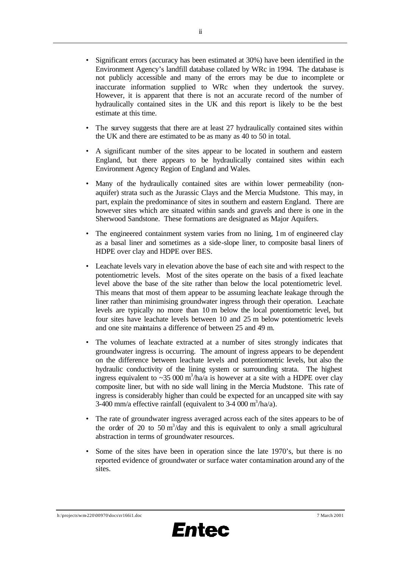- Significant errors (accuracy has been estimated at 30%) have been identified in the Environment Agency's landfill database collated by WRc in 1994. The database is not publicly accessible and many of the errors may be due to incomplete or inaccurate information supplied to WRc when they undertook the survey. However, it is apparent that there is not an accurate record of the number of hydraulically contained sites in the UK and this report is likely to be the best estimate at this time.
- The survey suggests that there are at least 27 hydraulically contained sites within the UK and there are estimated to be as many as 40 to 50 in total.
- A significant number of the sites appear to be located in southern and eastern England, but there appears to be hydraulically contained sites within each Environment Agency Region of England and Wales.
- Many of the hydraulically contained sites are within lower permeability (nonaquifer) strata such as the Jurassic Clays and the Mercia Mudstone. This may, in part, explain the predominance of sites in southern and eastern England. There are however sites which are situated within sands and gravels and there is one in the Sherwood Sandstone. These formations are designated as Major Aquifers.
- The engineered containment system varies from no lining, 1 m of engineered clay as a basal liner and sometimes as a side-slope liner, to composite basal liners of HDPE over clay and HDPE over BES.
- Leachate levels vary in elevation above the base of each site and with respect to the potentiometric levels. Most of the sites operate on the basis of a fixed leachate level above the base of the site rather than below the local potentiometric level. This means that most of them appear to be assuming leachate leakage through the liner rather than minimising groundwater ingress through their operation. Leachate levels are typically no more than 10 m below the local potentiometric level, but four sites have leachate levels between 10 and 25 m below potentiometric levels and one site maintains a difference of between 25 and 49 m.
- The volumes of leachate extracted at a number of sites strongly indicates that groundwater ingress is occurring. The amount of ingress appears to be dependent on the difference between leachate levels and potentiometric levels, but also the hydraulic conductivity of the lining system or surrounding strata. The highest ingress equivalent to ~35 000 m<sup>3</sup>/ha/a is however at a site with a HDPE over clay composite liner, but with no side wall lining in the Mercia Mudstone. This rate of ingress is considerably higher than could be expected for an uncapped site with say 3-400 mm/a effective rainfall (equivalent to  $3-4.000$  m<sup>3</sup>/ha/a).
- The rate of groundwater ingress averaged across each of the sites appears to be of the order of 20 to 50  $\text{m}^3$ /day and this is equivalent to only a small agricultural abstraction in terms of groundwater resources.
- Some of the sites have been in operation since the late 1970's, but there is no reported evidence of groundwater or surface water contamination around any of the sites.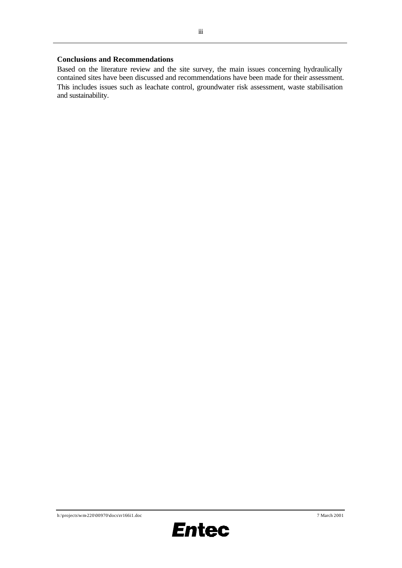#### **Conclusions and Recommendations**

Based on the literature review and the site survey, the main issues concerning hydraulically contained sites have been discussed and recommendations have been made for their assessment. This includes issues such as leachate control, groundwater risk assessment, waste stabilisation and sustainability.

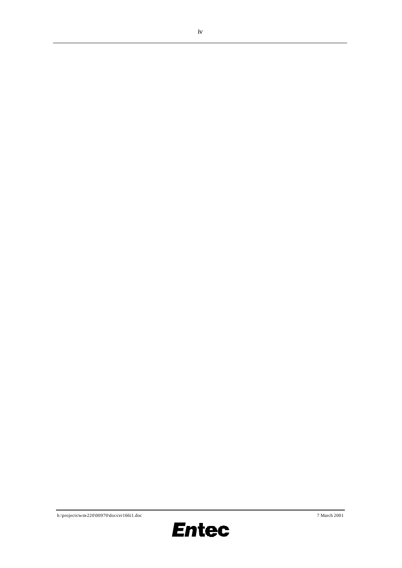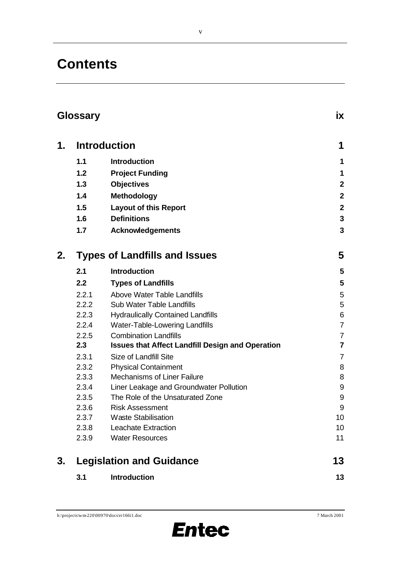# **Contents**

|    | Glossary                             |                                                         | iх               |
|----|--------------------------------------|---------------------------------------------------------|------------------|
| 1. |                                      | <b>Introduction</b>                                     | 1                |
|    | 1.1                                  | <b>Introduction</b>                                     | 1                |
|    | 1.2                                  | <b>Project Funding</b>                                  | 1                |
|    | 1.3                                  | <b>Objectives</b>                                       | $\boldsymbol{2}$ |
|    | 1.4                                  | Methodology                                             | $\mathbf{2}$     |
|    | 1.5                                  | <b>Layout of this Report</b>                            | $\mathbf 2$      |
|    | 1.6                                  | <b>Definitions</b>                                      | 3                |
|    | 1.7                                  | <b>Acknowledgements</b>                                 | 3                |
| 2. | <b>Types of Landfills and Issues</b> |                                                         | 5                |
|    | 2.1                                  | <b>Introduction</b>                                     | 5                |
|    | 2.2                                  | <b>Types of Landfills</b>                               | 5                |
|    | 2.2.1                                | Above Water Table Landfills                             | 5                |
|    | 2.2.2                                | <b>Sub Water Table Landfills</b>                        | 5                |
|    | 2.2.3                                | <b>Hydraulically Contained Landfills</b>                | 6                |
|    | 2.2.4                                | <b>Water-Table-Lowering Landfills</b>                   | $\overline{7}$   |
|    | 2.2.5                                | <b>Combination Landfills</b>                            | $\overline{7}$   |
|    | 2.3                                  | <b>Issues that Affect Landfill Design and Operation</b> | 7                |
|    | 2.3.1                                | Size of Landfill Site                                   | 7                |
|    | 2.3.2                                | <b>Physical Containment</b>                             | 8                |
|    | 2.3.3                                | <b>Mechanisms of Liner Failure</b>                      | 8                |
|    | 2.3.4                                | Liner Leakage and Groundwater Pollution                 | 9                |
|    | 2.3.5                                | The Role of the Unsaturated Zone                        | 9                |
|    | 2.3.6                                | <b>Risk Assessment</b>                                  | 9                |
|    | 2.3.7                                | <b>Waste Stabilisation</b>                              | 10               |
|    | 2.3.8                                | <b>Leachate Extraction</b>                              | 10               |
|    | 2.3.9                                | <b>Water Resources</b>                                  | 11               |
| 3. | <b>Legislation and Guidance</b>      |                                                         | 13               |
|    | 3.1                                  | <b>Introduction</b>                                     | 13               |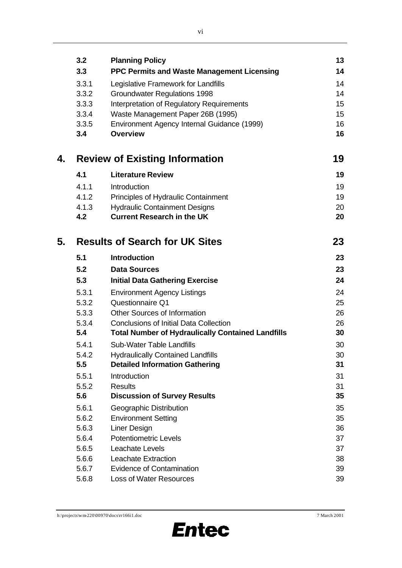|    | 3.2   | <b>Planning Policy</b>                                   | 13               |
|----|-------|----------------------------------------------------------|------------------|
|    | 3.3   | PPC Permits and Waste Management Licensing               | 14               |
|    | 3.3.1 | Legislative Framework for Landfills                      | 14               |
|    | 3.3.2 | <b>Groundwater Regulations 1998</b>                      | 14               |
|    | 3.3.3 | Interpretation of Regulatory Requirements                | 15 <sub>15</sub> |
|    | 3.3.4 | Waste Management Paper 26B (1995)                        | 15               |
|    | 3.3.5 | Environment Agency Internal Guidance (1999)              | 16               |
|    | 3.4   | <b>Overview</b>                                          | 16               |
| 4. |       | <b>Review of Existing Information</b>                    | 19               |
|    | 4.1   | <b>Literature Review</b>                                 | 19               |
|    | 4.1.1 | Introduction                                             | 19               |
|    | 4.1.2 | Principles of Hydraulic Containment                      | 19               |
|    | 4.1.3 | <b>Hydraulic Containment Designs</b>                     | 20               |
|    | 4.2   | <b>Current Research in the UK</b>                        | 20               |
| 5. |       | <b>Results of Search for UK Sites</b>                    | 23               |
|    | 5.1   | <b>Introduction</b>                                      | 23               |
|    | 5.2   | <b>Data Sources</b>                                      | 23               |
|    | 5.3   | <b>Initial Data Gathering Exercise</b>                   | 24               |
|    | 5.3.1 | <b>Environment Agency Listings</b>                       | 24               |
|    | 5.3.2 | Questionnaire Q1                                         | 25               |
|    | 5.3.3 | <b>Other Sources of Information</b>                      | 26               |
|    | 5.3.4 | <b>Conclusions of Initial Data Collection</b>            | 26               |
|    | 5.4   | <b>Total Number of Hydraulically Contained Landfills</b> | 30               |
|    | 5.4.1 | <b>Sub-Water Table Landfills</b>                         | 30               |
|    | 5.4.2 | <b>Hydraulically Contained Landfills</b>                 | 30               |
|    | 5.5   | <b>Detailed Information Gathering</b>                    | 31               |
|    | 5.5.1 | Introduction                                             | 31               |
|    | 5.5.2 | <b>Results</b>                                           | 31               |
|    | 5.6   | <b>Discussion of Survey Results</b>                      | 35               |
|    | 5.6.1 | Geographic Distribution                                  | 35               |
|    | 5.6.2 | <b>Environment Setting</b>                               | 35               |
|    | 5.6.3 | Liner Design                                             | 36               |
|    | 5.6.4 | <b>Potentiometric Levels</b>                             | 37               |
|    | 5.6.5 | Leachate Levels                                          | 37               |
|    | 5.6.6 | <b>Leachate Extraction</b>                               | 38               |
|    | 5.6.7 | <b>Evidence of Contamination</b>                         | 39               |
|    | 5.6.8 | <b>Loss of Water Resources</b>                           | 39               |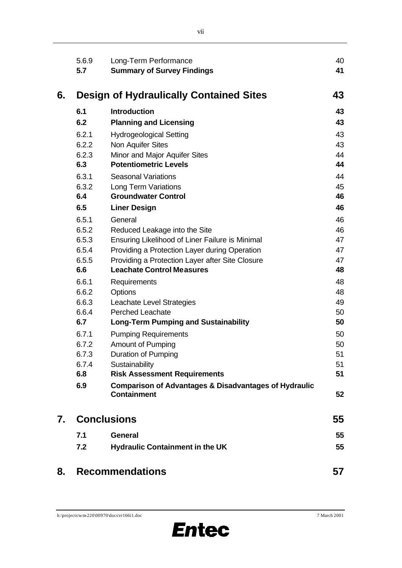|    | 5.6.9<br>5.7       | Long-Term Performance<br><b>Summary of Survey Findings</b>       | 40<br>41 |
|----|--------------------|------------------------------------------------------------------|----------|
| 6. |                    | <b>Design of Hydraulically Contained Sites</b>                   | 43       |
|    | 6.1                | <b>Introduction</b>                                              | 43       |
|    | 6.2                | <b>Planning and Licensing</b>                                    | 43       |
|    | 6.2.1              | <b>Hydrogeological Setting</b>                                   | 43       |
|    | 6.2.2              | Non Aquifer Sites                                                | 43       |
|    | 6.2.3              | Minor and Major Aquifer Sites                                    | 44       |
|    | 6.3                | <b>Potentiometric Levels</b>                                     | 44       |
|    | 6.3.1              | <b>Seasonal Variations</b>                                       | 44       |
|    | 6.3.2<br>6.4       | <b>Long Term Variations</b><br><b>Groundwater Control</b>        | 45<br>46 |
|    | 6.5                | <b>Liner Design</b>                                              | 46       |
|    |                    |                                                                  |          |
|    | 6.5.1<br>6.5.2     | General<br>Reduced Leakage into the Site                         | 46<br>46 |
|    | 6.5.3              | Ensuring Likelihood of Liner Failure is Minimal                  | 47       |
|    | 6.5.4              | Providing a Protection Layer during Operation                    | 47       |
|    | 6.5.5              | Providing a Protection Layer after Site Closure                  | 47       |
|    | 6.6                | <b>Leachate Control Measures</b>                                 | 48       |
|    | 6.6.1              | Requirements                                                     | 48       |
|    | 6.6.2              | Options                                                          | 48       |
|    | 6.6.3              | Leachate Level Strategies                                        | 49       |
|    | 6.6.4              | <b>Perched Leachate</b>                                          | 50       |
|    | 6.7                | <b>Long-Term Pumping and Sustainability</b>                      | 50       |
|    | 6.7.1              | <b>Pumping Requirements</b>                                      | 50       |
|    | 6.7.2              | <b>Amount of Pumping</b>                                         | 50       |
|    | 6.7.3<br>6.7.4     | Duration of Pumping<br>Sustainability                            | 51<br>51 |
|    | 6.8                | <b>Risk Assessment Requirements</b>                              | 51       |
|    | 6.9                | <b>Comparison of Advantages &amp; Disadvantages of Hydraulic</b> |          |
|    |                    | <b>Containment</b>                                               | 52       |
| 7. | <b>Conclusions</b> |                                                                  | 55       |
|    | 7.1                | <b>General</b>                                                   | 55       |
|    | 7.2                | <b>Hydraulic Containment in the UK</b>                           | 55       |
| 8. |                    | <b>Recommendations</b>                                           | 57       |

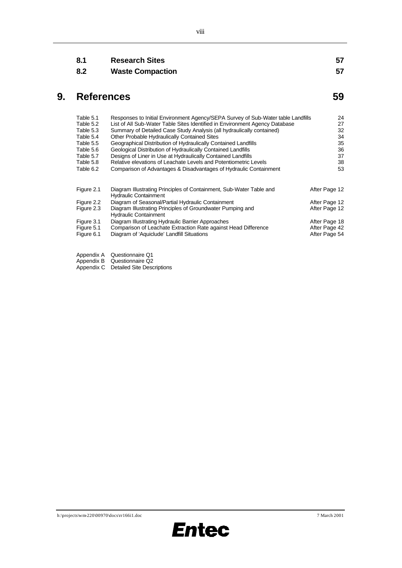| - 8.1 | <b>Research Sites</b>   | 57 |
|-------|-------------------------|----|
| 8.2   | <b>Waste Compaction</b> |    |

### **9. References 59**

| Table 5.1  | Responses to Initial Environment Agency/SEPA Survey of Sub-Water table Landfills                    | 24            |
|------------|-----------------------------------------------------------------------------------------------------|---------------|
| Table 5.2  | List of All Sub-Water Table Sites Identified in Environment Agency Database                         | 27            |
| Table 5.3  | Summary of Detailed Case Study Analysis (all hydraulically contained)                               | 32            |
| Table 5.4  | Other Probable Hydraulically Contained Sites                                                        | 34            |
| Table 5.5  | Geographical Distribution of Hydraulically Contained Landfills                                      | 35            |
| Table 5.6  | Geological Distribution of Hydraulically Contained Landfills                                        | 36            |
| Table 5.7  | Designs of Liner in Use at Hydraulically Contained Landfills                                        | 37            |
| Table 5.8  | Relative elevations of Leachate Levels and Potentiometric Levels                                    | 38            |
| Table 6.2  | Comparison of Advantages & Disadvantages of Hydraulic Containment                                   | 53            |
|            |                                                                                                     |               |
| Figure 2.1 | Diagram Illustrating Principles of Containment, Sub-Water Table and<br><b>Hydraulic Containment</b> | After Page 12 |
| Figure 2.2 | Diagram of Seasonal/Partial Hydraulic Containment                                                   | After Page 12 |
| Figure 2.3 | Diagram Illustrating Principles of Groundwater Pumping and<br><b>Hydraulic Containment</b>          | After Page 12 |
| Figure 3.1 | Diagram Illustrating Hydraulic Barrier Approaches                                                   | After Page 18 |
| Figure 5.1 | Comparison of Leachate Extraction Rate against Head Difference                                      | After Page 42 |
| Figure 6.1 | Diagram of 'Aquiclude' Landfill Situations                                                          | After Page 54 |
|            |                                                                                                     |               |

- Appendix A Questionnaire Q1
- Appendix B Questionnaire Q2
- Appendix C Detailed Site Descriptions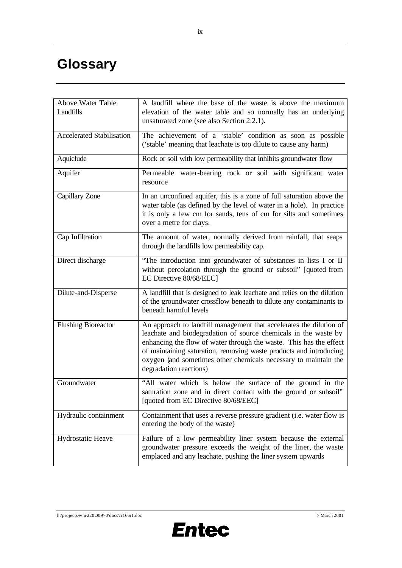# **Glossary**

| <b>Above Water Table</b><br>Landfills | A landfill where the base of the waste is above the maximum<br>elevation of the water table and so normally has an underlying                                                                                                                                                                                                                                                   |
|---------------------------------------|---------------------------------------------------------------------------------------------------------------------------------------------------------------------------------------------------------------------------------------------------------------------------------------------------------------------------------------------------------------------------------|
|                                       | unsaturated zone (see also Section 2.2.1).                                                                                                                                                                                                                                                                                                                                      |
| <b>Accelerated Stabilisation</b>      | The achievement of a 'stable' condition as soon as possible<br>('stable' meaning that leachate is too dilute to cause any harm)                                                                                                                                                                                                                                                 |
| Aquiclude                             | Rock or soil with low permeability that inhibits groundwater flow                                                                                                                                                                                                                                                                                                               |
| Aquifer                               | Permeable water-bearing rock or soil with significant water<br>resource                                                                                                                                                                                                                                                                                                         |
| Capillary Zone                        | In an unconfined aquifer, this is a zone of full saturation above the<br>water table (as defined by the level of water in a hole). In practice<br>it is only a few cm for sands, tens of cm for silts and sometimes<br>over a metre for clays.                                                                                                                                  |
| Cap Infiltration                      | The amount of water, normally derived from rainfall, that seaps<br>through the landfills low permeability cap.                                                                                                                                                                                                                                                                  |
| Direct discharge                      | "The introduction into groundwater of substances in lists I or II<br>without percolation through the ground or subsoil" [quoted from<br>EC Directive 80/68/EEC]                                                                                                                                                                                                                 |
| Dilute-and-Disperse                   | A landfill that is designed to leak leachate and relies on the dilution<br>of the groundwater crossflow beneath to dilute any contaminants to<br>beneath harmful levels                                                                                                                                                                                                         |
| <b>Flushing Bioreactor</b>            | An approach to landfill management that accelerates the dilution of<br>leachate and biodegradation of source chemicals in the waste by<br>enhancing the flow of water through the waste. This has the effect<br>of maintaining saturation, removing waste products and introducing<br>oxygen (and sometimes other chemicals necessary to maintain the<br>degradation reactions) |
| Groundwater                           | "All water which is below the surface of the ground in the<br>saturation zone and in direct contact with the ground or subsoil"<br>[quoted from EC Directive 80/68/EEC]                                                                                                                                                                                                         |
| Hydraulic containment                 | Containment that uses a reverse pressure gradient (i.e. water flow is<br>entering the body of the waste)                                                                                                                                                                                                                                                                        |
| Hydrostatic Heave                     | Failure of a low permeability liner system because the external<br>groundwater pressure exceeds the weight of the liner, the waste<br>emplaced and any leachate, pushing the liner system upwards                                                                                                                                                                               |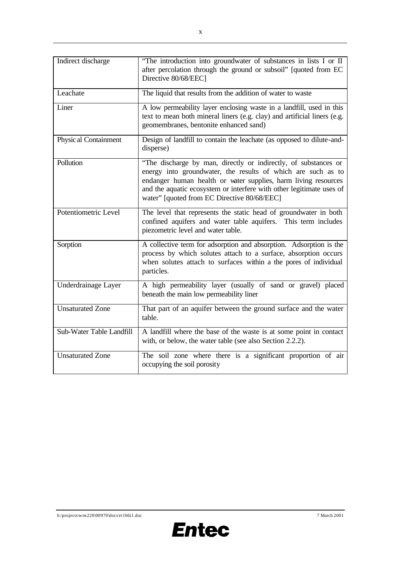| Indirect discharge       | "The introduction into groundwater of substances in lists I or II<br>after percolation through the ground or subsoil" [quoted from EC<br>Directive 80/68/EEC]                                                                                                                                                            |
|--------------------------|--------------------------------------------------------------------------------------------------------------------------------------------------------------------------------------------------------------------------------------------------------------------------------------------------------------------------|
| Leachate                 | The liquid that results from the addition of water to waste                                                                                                                                                                                                                                                              |
| Liner                    | A low permeability layer enclosing waste in a landfill, used in this<br>text to mean both mineral liners (e.g. clay) and artificial liners (e.g.<br>geomembranes, bentonite enhanced sand)                                                                                                                               |
| Physical Containment     | Design of landfill to contain the leachate (as opposed to dilute-and-<br>disperse)                                                                                                                                                                                                                                       |
| Pollution                | "The discharge by man, directly or indirectly, of substances or<br>energy into groundwater, the results of which are such as to<br>endanger human health or water supplies, harm living resources<br>and the aquatic ecosystem or interfere with other legitimate uses of<br>water" [quoted from EC Directive 80/68/EEC] |
| Potentiometric Level     | The level that represents the static head of groundwater in both<br>confined aquifers and water table aquifers. This term includes<br>piezometric level and water table.                                                                                                                                                 |
| Sorption                 | A collective term for adsorption and absorption. Adsorption is the<br>process by which solutes attach to a surface, absorption occurs<br>when solutes attach to surfaces within a the pores of individual<br>particles.                                                                                                  |
| Underdrainage Layer      | A high permeability layer (usually of sand or gravel) placed<br>beneath the main low permeability liner                                                                                                                                                                                                                  |
| <b>Unsaturated Zone</b>  | That part of an aquifer between the ground surface and the water<br>table.                                                                                                                                                                                                                                               |
| Sub-Water Table Landfill | A landfill where the base of the waste is at some point in contact<br>with, or below, the water table (see also Section 2.2.2).                                                                                                                                                                                          |
| <b>Unsaturated Zone</b>  | The soil zone where there is a significant proportion of air<br>occupying the soil porosity                                                                                                                                                                                                                              |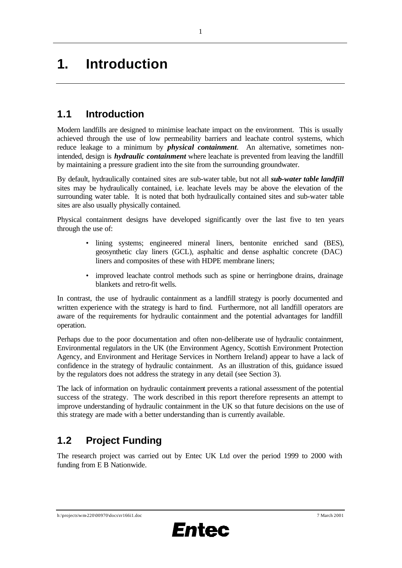# **1. Introduction**

### **1.1 Introduction**

Modern landfills are designed to minimise leachate impact on the environment. This is usually achieved through the use of low permeability barriers and leachate control systems, which reduce leakage to a minimum by *physical containment*. An alternative, sometimes nonintended, design is *hydraulic containment* where leachate is prevented from leaving the landfill by maintaining a pressure gradient into the site from the surrounding groundwater.

By default, hydraulically contained sites are sub-water table, but not all *sub-water table landfill* sites may be hydraulically contained, i.e. leachate levels may be above the elevation of the surrounding water table. It is noted that both hydraulically contained sites and sub-water table sites are also usually physically contained.

Physical containment designs have developed significantly over the last five to ten years through the use of:

- lining systems; engineered mineral liners, bentonite enriched sand (BES), geosynthetic clay liners (GCL), asphaltic and dense asphaltic concrete (DAC) liners and composites of these with HDPE membrane liners;
- improved leachate control methods such as spine or herringbone drains, drainage blankets and retro-fit wells.

In contrast, the use of hydraulic containment as a landfill strategy is poorly documented and written experience with the strategy is hard to find. Furthermore, not all landfill operators are aware of the requirements for hydraulic containment and the potential advantages for landfill operation.

Perhaps due to the poor documentation and often non-deliberate use of hydraulic containment, Environmental regulators in the UK (the Environment Agency, Scottish Environment Protection Agency, and Environment and Heritage Services in Northern Ireland) appear to have a lack of confidence in the strategy of hydraulic containment. As an illustration of this, guidance issued by the regulators does not address the strategy in any detail (see Section 3).

The lack of information on hydraulic containment prevents a rational assessment of the potential success of the strategy. The work described in this report therefore represents an attempt to improve understanding of hydraulic containment in the UK so that future decisions on the use of this strategy are made with a better understanding than is currently available.

## **1.2 Project Funding**

The research project was carried out by Entec UK Ltd over the period 1999 to 2000 with funding from E B Nationwide.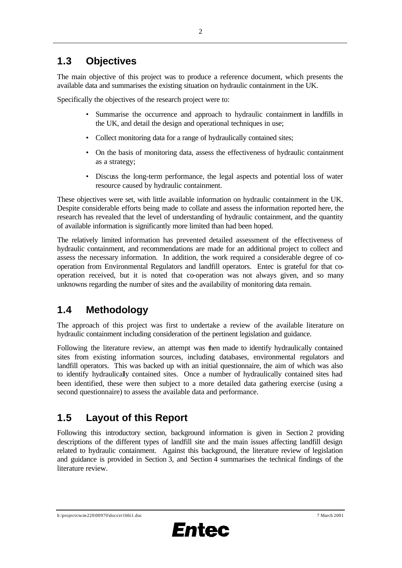### **1.3 Objectives**

The main objective of this project was to produce a reference document, which presents the available data and summarises the existing situation on hydraulic containment in the UK.

Specifically the objectives of the research project were to:

- Summarise the occurrence and approach to hydraulic containment in landfills in the UK, and detail the design and operational techniques in use;
- Collect monitoring data for a range of hydraulically contained sites;
- On the basis of monitoring data, assess the effectiveness of hydraulic containment as a strategy;
- Discuss the long-term performance, the legal aspects and potential loss of water resource caused by hydraulic containment.

These objectives were set, with little available information on hydraulic containment in the UK. Despite considerable efforts being made to collate and assess the information reported here, the research has revealed that the level of understanding of hydraulic containment, and the quantity of available information is significantly more limited than had been hoped.

The relatively limited information has prevented detailed assessment of the effectiveness of hydraulic containment, and recommendations are made for an additional project to collect and assess the necessary information. In addition, the work required a considerable degree of cooperation from Environmental Regulators and landfill operators. Entec is grateful for that cooperation received, but it is noted that co-operation was not always given, and so many unknowns regarding the number of sites and the availability of monitoring data remain.

### **1.4 Methodology**

The approach of this project was first to undertake a review of the available literature on hydraulic containment including consideration of the pertinent legislation and guidance.

Following the literature review, an attempt was then made to identify hydraulically contained sites from existing information sources, including databases, environmental regulators and landfill operators. This was backed up with an initial questionnaire, the aim of which was also to identify hydraulically contained sites. Once a number of hydraulically contained sites had been identified, these were then subject to a more detailed data gathering exercise (using a second questionnaire) to assess the available data and performance.

## **1.5 Layout of this Report**

Following this introductory section, background information is given in Section 2 providing descriptions of the different types of landfill site and the main issues affecting landfill design related to hydraulic containment. Against this background, the literature review of legislation and guidance is provided in Section 3, and Section 4 summarises the technical findings of the literature review.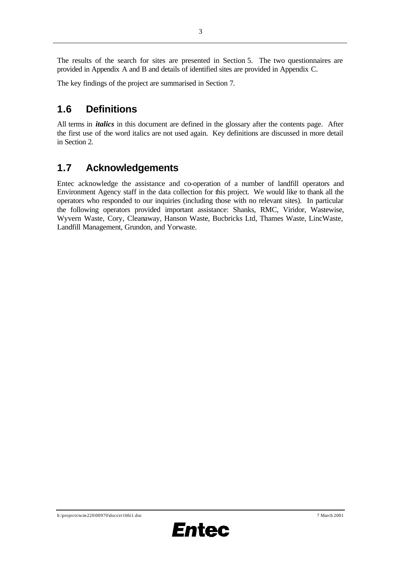The results of the search for sites are presented in Section 5. The two questionnaires are provided in Appendix A and B and details of identified sites are provided in Appendix C.

The key findings of the project are summarised in Section 7.

### **1.6 Definitions**

All terms in *italics* in this document are defined in the glossary after the contents page. After the first use of the word italics are not used again. Key definitions are discussed in more detail in Section 2.

### **1.7 Acknowledgements**

Entec acknowledge the assistance and co-operation of a number of landfill operators and Environment Agency staff in the data collection for this project. We would like to thank all the operators who responded to our inquiries (including those with no relevant sites). In particular the following operators provided important assistance: Shanks, RMC, Viridor, Wastewise, Wyvern Waste, Cory, Cleanaway, Hanson Waste, Bucbricks Ltd, Thames Waste, LincWaste, Landfill Management, Grundon, and Yorwaste.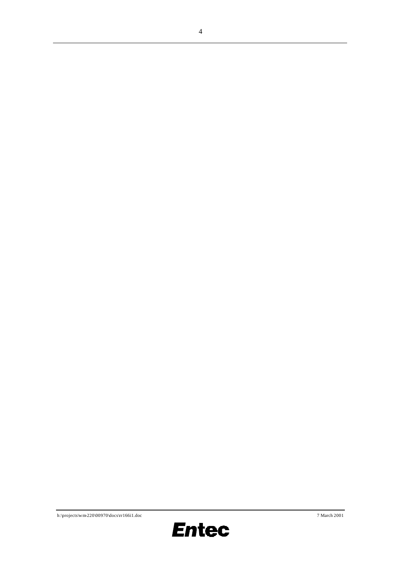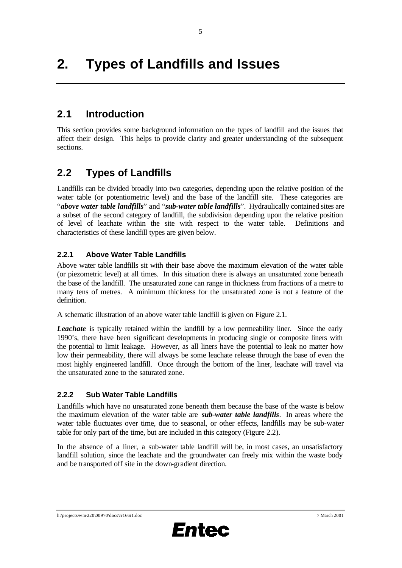# **2. Types of Landfills and Issues**

### **2.1 Introduction**

This section provides some background information on the types of landfill and the issues that affect their design. This helps to provide clarity and greater understanding of the subsequent sections.

### **2.2 Types of Landfills**

Landfills can be divided broadly into two categories, depending upon the relative position of the water table (or potentiometric level) and the base of the landfill site. These categories are "*above water table landfills*" and "*sub-water table landfills*". Hydraulically contained sites are a subset of the second category of landfill, the subdivision depending upon the relative position of level of leachate within the site with respect to the water table. Definitions and characteristics of these landfill types are given below.

#### **2.2.1 Above Water Table Landfills**

Above water table landfills sit with their base above the maximum elevation of the water table (or piezometric level) at all times. In this situation there is always an unsaturated zone beneath the base of the landfill. The unsaturated zone can range in thickness from fractions of a metre to many tens of metres. A minimum thickness for the unsaturated zone is not a feature of the definition.

A schematic illustration of an above water table landfill is given on Figure 2.1.

*Leachate* is typically retained within the landfill by a low permeability liner. Since the early 1990's, there have been significant developments in producing single or composite liners with the potential to limit leakage. However, as all liners have the potential to leak no matter how low their permeability, there will always be some leachate release through the base of even the most highly engineered landfill. Once through the bottom of the liner, leachate will travel via the unsaturated zone to the saturated zone.

#### **2.2.2 Sub Water Table Landfills**

Landfills which have no unsaturated zone beneath them because the base of the waste is below the maximum elevation of the water table are *sub-water table landfills*. In areas where the water table fluctuates over time, due to seasonal, or other effects, landfills may be sub-water table for only part of the time, but are included in this category (Figure 2.2).

In the absence of a liner, a sub-water table landfill will be, in most cases, an unsatisfactory landfill solution, since the leachate and the groundwater can freely mix within the waste body and be transported off site in the down-gradient direction.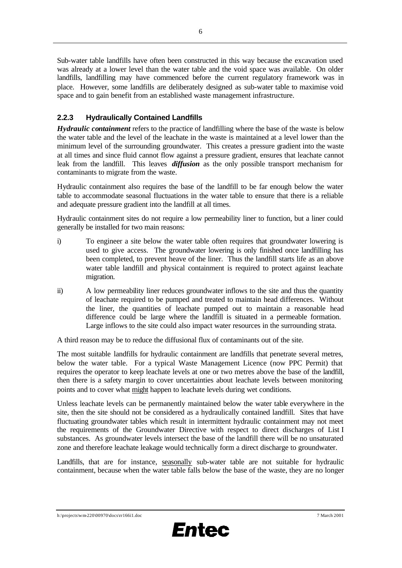Sub-water table landfills have often been constructed in this way because the excavation used was already at a lower level than the water table and the void space was available. On older landfills, landfilling may have commenced before the current regulatory framework was in place. However, some landfills are deliberately designed as sub-water table to maximise void space and to gain benefit from an established waste management infrastructure.

### **2.2.3 Hydraulically Contained Landfills**

*Hydraulic containment* refers to the practice of landfilling where the base of the waste is below the water table and the level of the leachate in the waste is maintained at a level lower than the minimum level of the surrounding groundwater. This creates a pressure gradient into the waste at all times and since fluid cannot flow against a pressure gradient, ensures that leachate cannot leak from the landfill. This leaves *diffusion* as the only possible transport mechanism for contaminants to migrate from the waste.

Hydraulic containment also requires the base of the landfill to be far enough below the water table to accommodate seasonal fluctuations in the water table to ensure that there is a reliable and adequate pressure gradient into the landfill at all times.

Hydraulic containment sites do not require a low permeability liner to function, but a liner could generally be installed for two main reasons:

- i) To engineer a site below the water table often requires that groundwater lowering is used to give access. The groundwater lowering is only finished once landfilling has been completed, to prevent heave of the liner. Thus the landfill starts life as an above water table landfill and physical containment is required to protect against leachate migration.
- ii) A low permeability liner reduces groundwater inflows to the site and thus the quantity of leachate required to be pumped and treated to maintain head differences. Without the liner, the quantities of leachate pumped out to maintain a reasonable head difference could be large where the landfill is situated in a permeable formation. Large inflows to the site could also impact water resources in the surrounding strata.

A third reason may be to reduce the diffusional flux of contaminants out of the site.

The most suitable landfills for hydraulic containment are landfills that penetrate several metres, below the water table. For a typical Waste Management Licence (now PPC Permit) that requires the operator to keep leachate levels at one or two metres above the base of the landfill, then there is a safety margin to cover uncertainties about leachate levels between monitoring points and to cover what might happen to leachate levels during wet conditions.

Unless leachate levels can be permanently maintained below the water table everywhere in the site, then the site should not be considered as a hydraulically contained landfill. Sites that have fluctuating groundwater tables which result in intermittent hydraulic containment may not meet the requirements of the Groundwater Directive with respect to direct discharges of List I substances. As groundwater levels intersect the base of the landfill there will be no unsaturated zone and therefore leachate leakage would technically form a direct discharge to groundwater.

Landfills, that are for instance, seasonally sub-water table are not suitable for hydraulic containment, because when the water table falls below the base of the waste, they are no longer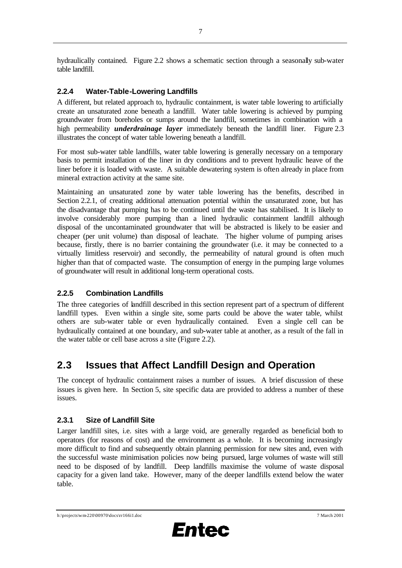hydraulically contained. Figure 2.2 shows a schematic section through a seasonally sub-water table landfill.

#### **2.2.4 Water-Table-Lowering Landfills**

A different, but related approach to, hydraulic containment, is water table lowering to artificially create an unsaturated zone beneath a landfill. Water table lowering is achieved by pumping groundwater from boreholes or sumps around the landfill, sometimes in combination with a high permeability *underdrainage layer* immediately beneath the landfill liner. Figure 2.3 illustrates the concept of water table lowering beneath a landfill.

For most sub-water table landfills, water table lowering is generally necessary on a temporary basis to permit installation of the liner in dry conditions and to prevent hydraulic heave of the liner before it is loaded with waste. A suitable dewatering system is often already in place from mineral extraction activity at the same site.

Maintaining an unsaturated zone by water table lowering has the benefits, described in Section 2.2.1, of creating additional attenuation potential within the unsaturated zone, but has the disadvantage that pumping has to be continued until the waste has stabilised. It is likely to involve considerably more pumping than a lined hydraulic containment landfill although disposal of the uncontaminated groundwater that will be abstracted is likely to be easier and cheaper (per unit volume) than disposal of leachate. The higher volume of pumping arises because, firstly, there is no barrier containing the groundwater (i.e. it may be connected to a virtually limitless reservoir) and secondly, the permeability of natural ground is often much higher than that of compacted waste. The consumption of energy in the pumping large volumes of groundwater will result in additional long-term operational costs.

#### **2.2.5 Combination Landfills**

The three categories of landfill described in this section represent part of a spectrum of different landfill types. Even within a single site, some parts could be above the water table, whilst others are sub-water table or even hydraulically contained. Even a single cell can be hydraulically contained at one boundary, and sub-water table at another, as a result of the fall in the water table or cell base across a site (Figure 2.2).

### **2.3 Issues that Affect Landfill Design and Operation**

The concept of hydraulic containment raises a number of issues. A brief discussion of these issues is given here. In Section 5, site specific data are provided to address a number of these issues.

#### **2.3.1 Size of Landfill Site**

Larger landfill sites, i.e. sites with a large void, are generally regarded as beneficial both to operators (for reasons of cost) and the environment as a whole. It is becoming increasingly more difficult to find and subsequently obtain planning permission for new sites and, even with the successful waste minimisation policies now being pursued, large volumes of waste will still need to be disposed of by landfill. Deep landfills maximise the volume of waste disposal capacity for a given land take. However, many of the deeper landfills extend below the water table.

h:\projects\wm-220\00970\docs\rr166i1.doc 7 March 2001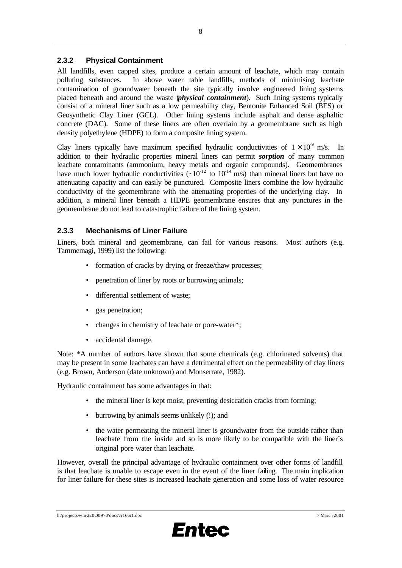#### **2.3.2 Physical Containment**

All landfills, even capped sites, produce a certain amount of leachate, which may contain polluting substances. In above water table landfills, methods of minimising leachate contamination of groundwater beneath the site typically involve engineered lining systems placed beneath and around the waste (*physical containment*). Such lining systems typically consist of a mineral liner such as a low permeability clay, Bentonite Enhanced Soil (BES) or Geosynthetic Clay Liner (GCL). Other lining systems include asphalt and dense asphaltic concrete (DAC). Some of these liners are often overlain by a geomembrane such as high density polyethylene (HDPE) to form a composite lining system.

Clay liners typically have maximum specified hydraulic conductivities of  $1 \times 10^{-9}$  m/s. In addition to their hydraulic properties mineral liners can permit *sorption* of many common leachate contaminants (ammonium, heavy metals and organic compounds). Geomembranes have much lower hydraulic conductivities  $({\sim}10^{12}$  to  $10^{14}$  m/s) than mineral liners but have no attenuating capacity and can easily be punctured. Composite liners combine the low hydraulic conductivity of the geomembrane with the attenuating properties of the underlying clay. In addition, a mineral liner beneath a HDPE geomembrane ensures that any punctures in the geomembrane do not lead to catastrophic failure of the lining system.

#### **2.3.3 Mechanisms of Liner Failure**

Liners, both mineral and geomembrane, can fail for various reasons. Most authors (e.g. Tammemagi, 1999) list the following:

- formation of cracks by drying or freeze/thaw processes;
- penetration of liner by roots or burrowing animals;
- differential settlement of waste;
- gas penetration;
- changes in chemistry of leachate or pore-water\*;
- accidental damage.

Note: \*A number of authors have shown that some chemicals (e.g. chlorinated solvents) that may be present in some leachates can have a detrimental effect on the permeability of clay liners (e.g. Brown, Anderson (date unknown) and Monserrate, 1982).

Hydraulic containment has some advantages in that:

- the mineral liner is kept moist, preventing desiccation cracks from forming;
- burrowing by animals seems unlikely (!); and
- the water permeating the mineral liner is groundwater from the outside rather than leachate from the inside and so is more likely to be compatible with the liner's original pore water than leachate.

However, overall the principal advantage of hydraulic containment over other forms of landfill is that leachate is unable to escape even in the event of the liner failing. The main implication for liner failure for these sites is increased leachate generation and some loss of water resource

h:\projects\wm-220\00970\docs\rr166i1.doc 7 March 2001

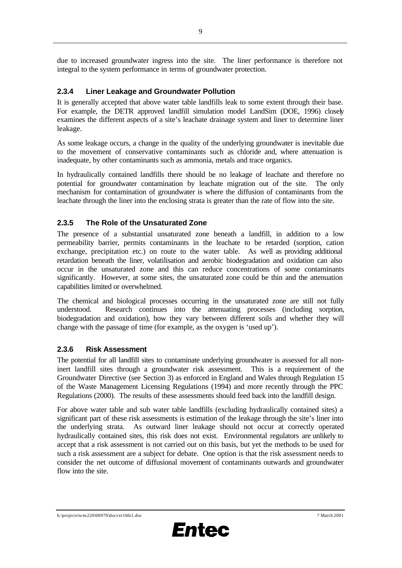due to increased groundwater ingress into the site. The liner performance is therefore not integral to the system performance in terms of groundwater protection.

#### **2.3.4 Liner Leakage and Groundwater Pollution**

It is generally accepted that above water table landfills leak to some extent through their base. For example, the DETR approved landfill simulation model LandSim (DOE, 1996) closely examines the different aspects of a site's leachate drainage system and liner to determine liner leakage.

As some leakage occurs, a change in the quality of the underlying groundwater is inevitable due to the movement of conservative contaminants such as chloride and, where attenuation is inadequate, by other contaminants such as ammonia, metals and trace organics.

In hydraulically contained landfills there should be no leakage of leachate and therefore no potential for groundwater contamination by leachate migration out of the site. The only mechanism for contamination of groundwater is where the diffusion of contaminants from the leachate through the liner into the enclosing strata is greater than the rate of flow into the site.

#### **2.3.5 The Role of the Unsaturated Zone**

The presence of a substantial unsaturated zone beneath a landfill, in addition to a low permeability barrier, permits contaminants in the leachate to be retarded (sorption, cation exchange, precipitation etc.) on route to the water table. As well as providing additional retardation beneath the liner, volatilisation and aerobic biodegradation and oxidation can also occur in the unsaturated zone and this can reduce concentrations of some contaminants significantly. However, at some sites, the unsaturated zone could be thin and the attenuation capabilities limited or overwhelmed.

The chemical and biological processes occurring in the unsaturated zone are still not fully understood. Research continues into the attenuating processes (including sorption, biodegradation and oxidation), how they vary between different soils and whether they will change with the passage of time (for example, as the oxygen is 'used up').

#### **2.3.6 Risk Assessment**

The potential for all landfill sites to contaminate underlying groundwater is assessed for all noninert landfill sites through a groundwater risk assessment. This is a requirement of the Groundwater Directive (see Section 3) as enforced in England and Wales through Regulation 15 of the Waste Management Licensing Regulations (1994) and more recently through the PPC Regulations (2000). The results of these assessments should feed back into the landfill design.

For above water table and sub water table landfills (excluding hydraulically contained sites) a significant part of these risk assessments is estimation of the leakage through the site's liner into the underlying strata. As outward liner leakage should not occur at correctly operated hydraulically contained sites, this risk does not exist. Environmental regulators are unlikely to accept that a risk assessment is not carried out on this basis, but yet the methods to be used for such a risk assessment are a subject for debate. One option is that the risk assessment needs to consider the net outcome of diffusional movement of contaminants outwards and groundwater flow into the site.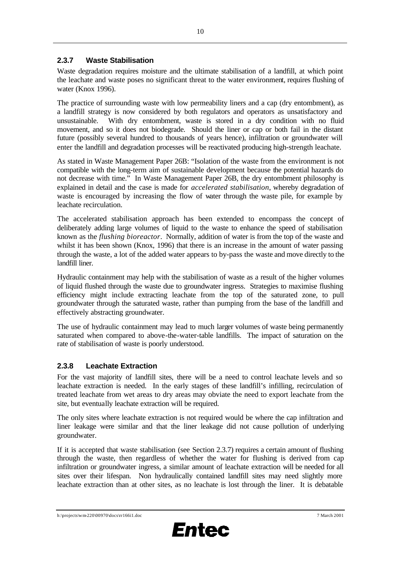#### **2.3.7 Waste Stabilisation**

Waste degradation requires moisture and the ultimate stabilisation of a landfill, at which point the leachate and waste poses no significant threat to the water environment, requires flushing of water (Knox 1996).

The practice of surrounding waste with low permeability liners and a cap (dry entombment), as a landfill strategy is now considered by both regulators and operators as unsatisfactory and unsustainable. With dry entombment, waste is stored in a dry condition with no fluid movement, and so it does not biodegrade. Should the liner or cap or both fail in the distant future (possibly several hundred to thousands of years hence), infiltration or groundwater will enter the landfill and degradation processes will be reactivated producing high-strength leachate.

As stated in Waste Management Paper 26B: "Isolation of the waste from the environment is not compatible with the long-term aim of sustainable development because the potential hazards do not decrease with time." In Waste Management Paper 26B, the dry entombment philosophy is explained in detail and the case is made for *accelerated stabilisation*, whereby degradation of waste is encouraged by increasing the flow of water through the waste pile, for example by leachate recirculation.

The accelerated stabilisation approach has been extended to encompass the concept of deliberately adding large volumes of liquid to the waste to enhance the speed of stabilisation known as the *flushing bioreactor*. Normally, addition of water is from the top of the waste and whilst it has been shown (Knox, 1996) that there is an increase in the amount of water passing through the waste, a lot of the added water appears to by-pass the waste and move directly to the landfill liner.

Hydraulic containment may help with the stabilisation of waste as a result of the higher volumes of liquid flushed through the waste due to groundwater ingress. Strategies to maximise flushing efficiency might include extracting leachate from the top of the saturated zone, to pull groundwater through the saturated waste, rather than pumping from the base of the landfill and effectively abstracting groundwater.

The use of hydraulic containment may lead to much larger volumes of waste being permanently saturated when compared to above-the-water-table landfills. The impact of saturation on the rate of stabilisation of waste is poorly understood.

#### **2.3.8 Leachate Extraction**

For the vast majority of landfill sites, there will be a need to control leachate levels and so leachate extraction is needed. In the early stages of these landfill's infilling, recirculation of treated leachate from wet areas to dry areas may obviate the need to export leachate from the site, but eventually leachate extraction will be required.

The only sites where leachate extraction is not required would be where the cap infiltration and liner leakage were similar and that the liner leakage did not cause pollution of underlying groundwater.

If it is accepted that waste stabilisation (see Section 2.3.7) requires a certain amount of flushing through the waste, then regardless of whether the water for flushing is derived from cap infiltration or groundwater ingress, a similar amount of leachate extraction will be needed for all sites over their lifespan. Non hydraulically contained landfill sites may need slightly more leachate extraction than at other sites, as no leachate is lost through the liner. It is debatable

h:\projects\wm-220\00970\docs\rr166i1.doc 7 March 2001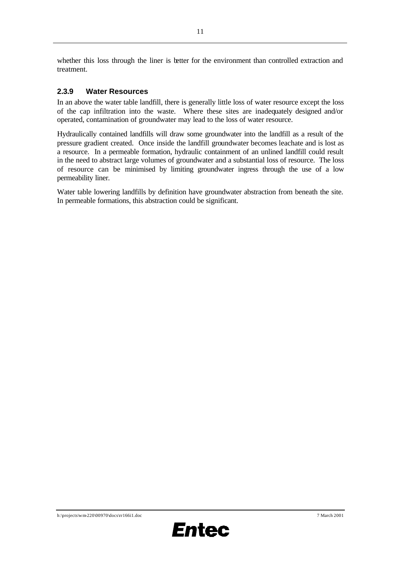whether this loss through the liner is better for the environment than controlled extraction and treatment.

#### **2.3.9 Water Resources**

In an above the water table landfill, there is generally little loss of water resource except the loss of the cap infiltration into the waste. Where these sites are inadequately designed and/or operated, contamination of groundwater may lead to the loss of water resource.

Hydraulically contained landfills will draw some groundwater into the landfill as a result of the pressure gradient created. Once inside the landfill groundwater becomes leachate and is lost as a resource. In a permeable formation, hydraulic containment of an unlined landfill could result in the need to abstract large volumes of groundwater and a substantial loss of resource. The loss of resource can be minimised by limiting groundwater ingress through the use of a low permeability liner.

Water table lowering landfills by definition have groundwater abstraction from beneath the site. In permeable formations, this abstraction could be significant.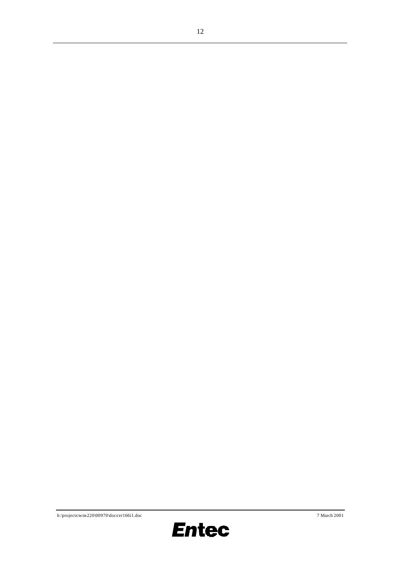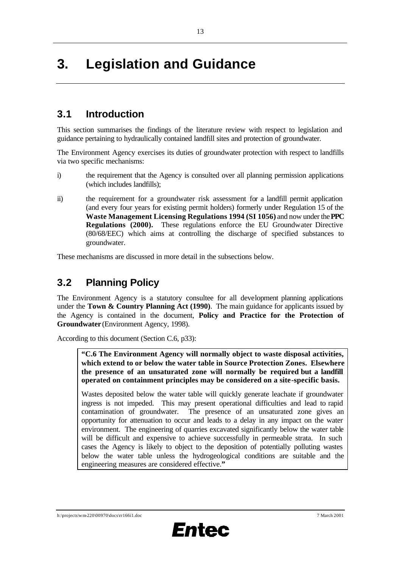# **3. Legislation and Guidance**

### **3.1 Introduction**

This section summarises the findings of the literature review with respect to legislation and guidance pertaining to hydraulically contained landfill sites and protection of groundwater.

The Environment Agency exercises its duties of groundwater protection with respect to landfills via two specific mechanisms:

- i) the requirement that the Agency is consulted over all planning permission applications (which includes landfills);
- ii) the requirement for a groundwater risk assessment for a landfill permit application (and every four years for existing permit holders) formerly under Regulation 15 of the **Waste Management Licensing Regulations 1994 (SI 1056)** and now under the **PPC Regulations (2000).** These regulations enforce the EU Groundwater Directive (80/68/EEC) which aims at controlling the discharge of specified substances to groundwater.

These mechanisms are discussed in more detail in the subsections below.

### **3.2 Planning Policy**

The Environment Agency is a statutory consultee for all development planning applications under the **Town & Country Planning Act (1990)**. The main guidance for applicants issued by the Agency is contained in the document, **Policy and Practice for the Protection of Groundwater** (Environment Agency, 1998).

According to this document (Section C.6, p33):

**"C.6 The Environment Agency will normally object to waste disposal activities, which extend to or below the water table in Source Protection Zones. Elsewhere the presence of an unsaturated zone will normally be required but a landfill operated on containment principles may be considered on a site-specific basis.**

Wastes deposited below the water table will quickly generate leachate if groundwater ingress is not impeded. This may present operational difficulties and lead to rapid contamination of groundwater. The presence of an unsaturated zone gives an opportunity for attenuation to occur and leads to a delay in any impact on the water environment. The engineering of quarries excavated significantly below the water table will be difficult and expensive to achieve successfully in permeable strata. In such cases the Agency is likely to object to the deposition of potentially polluting wastes below the water table unless the hydrogeological conditions are suitable and the engineering measures are considered effective.**"**

**Entec** 

h:\projects\wm-220\00970\docs\rr166i1.doc 7 March 2001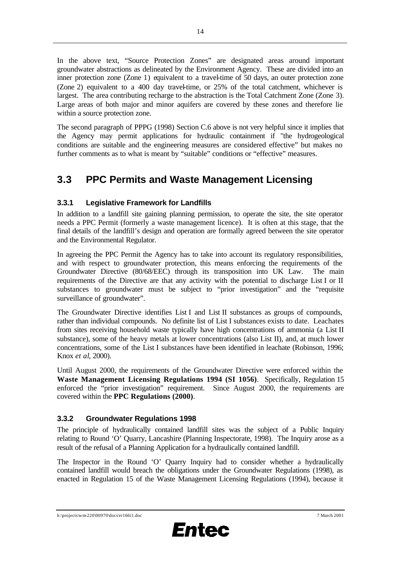In the above text, "Source Protection Zones" are designated areas around important groundwater abstractions as delineated by the Environment Agency. These are divided into an inner protection zone (Zone 1) equivalent to a travel-time of 50 days, an outer protection zone (Zone 2) equivalent to a 400 day travel-time, or 25% of the total catchment, whichever is largest. The area contributing recharge to the abstraction is the Total Catchment Zone (Zone 3). Large areas of both major and minor aquifers are covered by these zones and therefore lie within a source protection zone.

The second paragraph of PPPG (1998) Section C.6 above is not very helpful since it implies that the Agency may permit applications for hydraulic containment if "the hydrogeological conditions are suitable and the engineering measures are considered effective" but makes no further comments as to what is meant by "suitable" conditions or "effective" measures.

## **3.3 PPC Permits and Waste Management Licensing**

#### **3.3.1 Legislative Framework for Landfills**

In addition to a landfill site gaining planning permission, to operate the site, the site operator needs a PPC Permit (formerly a waste management licence). It is often at this stage, that the final details of the landfill's design and operation are formally agreed between the site operator and the Environmental Regulator.

In agreeing the PPC Permit the Agency has to take into account its regulatory responsibilities, and with respect to groundwater protection, this means enforcing the requirements of the Groundwater Directive (80/68/EEC) through its transposition into UK Law. The main requirements of the Directive are that any activity with the potential to discharge List I or II substances to groundwater must be subject to "prior investigation" and the "requisite surveillance of groundwater".

The Groundwater Directive identifies List I and List II substances as groups of compounds, rather than individual compounds. No definite list of List I substances exists to date. Leachates from sites receiving household waste typically have high concentrations of ammonia (a List II substance), some of the heavy metals at lower concentrations (also List II), and, at much lower concentrations, some of the List I substances have been identified in leachate (Robinson, 1996; Knox *et al*, 2000).

Until August 2000, the requirements of the Groundwater Directive were enforced within the **Waste Management Licensing Regulations 1994 (SI 1056)**. Specifically, Regulation 15 enforced the "prior investigation" requirement. Since August 2000, the requirements are covered within the **PPC Regulations (2000)**.

#### **3.3.2 Groundwater Regulations 1998**

The principle of hydraulically contained landfill sites was the subject of a Public Inquiry relating to Round 'O' Quarry, Lancashire (Planning Inspectorate, 1998). The Inquiry arose as a result of the refusal of a Planning Application for a hydraulically contained landfill.

The Inspector in the Round 'O' Quarry Inquiry had to consider whether a hydraulically contained landfill would breach the obligations under the Groundwater Regulations (1998), as enacted in Regulation 15 of the Waste Management Licensing Regulations (1994), because it

h:\projects\wm-220\00970\docs\rr166i1.doc 7 March 2001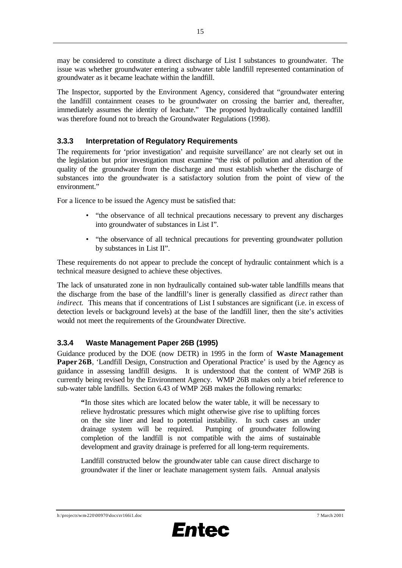may be considered to constitute a direct discharge of List I substances to groundwater. The issue was whether groundwater entering a subwater table landfill represented contamination of groundwater as it became leachate within the landfill.

The Inspector, supported by the Environment Agency, considered that "groundwater entering the landfill containment ceases to be groundwater on crossing the barrier and, thereafter, immediately assumes the identity of leachate." The proposed hydraulically contained landfill was therefore found not to breach the Groundwater Regulations (1998).

#### **3.3.3 Interpretation of Regulatory Requirements**

The requirements for 'prior investigation' and requisite surveillance' are not clearly set out in the legislation but prior investigation must examine "the risk of pollution and alteration of the quality of the groundwater from the discharge and must establish whether the discharge of substances into the groundwater is a satisfactory solution from the point of view of the environment"

For a licence to be issued the Agency must be satisfied that:

- "the observance of all technical precautions necessary to prevent any discharges into groundwater of substances in List I".
- "the observance of all technical precautions for preventing groundwater pollution by substances in List II".

These requirements do not appear to preclude the concept of hydraulic containment which is a technical measure designed to achieve these objectives.

The lack of unsaturated zone in non hydraulically contained sub-water table landfills means that the discharge from the base of the landfill's liner is generally classified as *direct* rather than *indirect*. This means that if concentrations of List I substances are significant (i.e. in excess of detection levels or background levels) at the base of the landfill liner, then the site's activities would not meet the requirements of the Groundwater Directive.

#### **3.3.4 Waste Management Paper 26B (1995)**

Guidance produced by the DOE (now DETR) in 1995 in the form of **Waste Management Paper 26B**, 'Landfill Design, Construction and Operational Practice' is used by the Agency as guidance in assessing landfill designs. It is understood that the content of WMP 26B is currently being revised by the Environment Agency. WMP 26B makes only a brief reference to sub-water table landfills. Section 6.43 of WMP 26B makes the following remarks:

**"**In those sites which are located below the water table, it will be necessary to relieve hydrostatic pressures which might otherwise give rise to uplifting forces on the site liner and lead to potential instability. In such cases an under drainage system will be required. Pumping of groundwater following completion of the landfill is not compatible with the aims of sustainable development and gravity drainage is preferred for all long-term requirements.

Landfill constructed below the groundwater table can cause direct discharge to groundwater if the liner or leachate management system fails. Annual analysis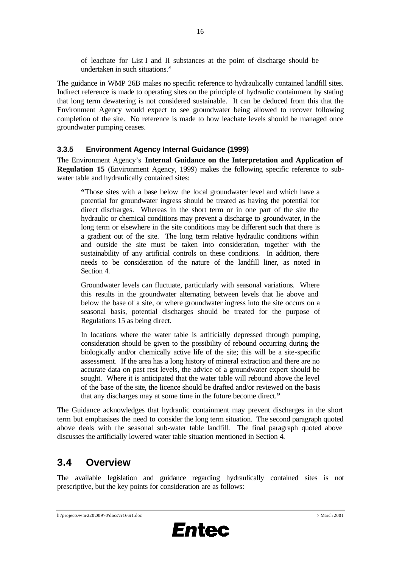of leachate for List I and II substances at the point of discharge should be undertaken in such situations."

The guidance in WMP 26B makes no specific reference to hydraulically contained landfill sites. Indirect reference is made to operating sites on the principle of hydraulic containment by stating that long term dewatering is not considered sustainable. It can be deduced from this that the Environment Agency would expect to see groundwater being allowed to recover following completion of the site. No reference is made to how leachate levels should be managed once groundwater pumping ceases.

#### **3.3.5 Environment Agency Internal Guidance (1999)**

The Environment Agency's **Internal Guidance on the Interpretation and Application of Regulation 15** (Environment Agency, 1999) makes the following specific reference to subwater table and hydraulically contained sites:

**"**Those sites with a base below the local groundwater level and which have a potential for groundwater ingress should be treated as having the potential for direct discharges. Whereas in the short term or in one part of the site the hydraulic or chemical conditions may prevent a discharge to groundwater, in the long term or elsewhere in the site conditions may be different such that there is a gradient out of the site. The long term relative hydraulic conditions within and outside the site must be taken into consideration, together with the sustainability of any artificial controls on these conditions. In addition, there needs to be consideration of the nature of the landfill liner, as noted in Section 4.

Groundwater levels can fluctuate, particularly with seasonal variations. Where this results in the groundwater alternating between levels that lie above and below the base of a site, or where groundwater ingress into the site occurs on a seasonal basis, potential discharges should be treated for the purpose of Regulations 15 as being direct.

In locations where the water table is artificially depressed through pumping, consideration should be given to the possibility of rebound occurring during the biologically and/or chemically active life of the site; this will be a site-specific assessment. If the area has a long history of mineral extraction and there are no accurate data on past rest levels, the advice of a groundwater expert should be sought. Where it is anticipated that the water table will rebound above the level of the base of the site, the licence should be drafted and/or reviewed on the basis that any discharges may at some time in the future become direct.**"**

The Guidance acknowledges that hydraulic containment may prevent discharges in the short term but emphasises the need to consider the long term situation. The second paragraph quoted above deals with the seasonal sub-water table landfill. The final paragraph quoted above discusses the artificially lowered water table situation mentioned in Section 4.

### **3.4 Overview**

The available legislation and guidance regarding hydraulically contained sites is not prescriptive, but the key points for consideration are as follows:

h:\projects\wm-220\00970\docs\rr166i1.doc 7 March 2001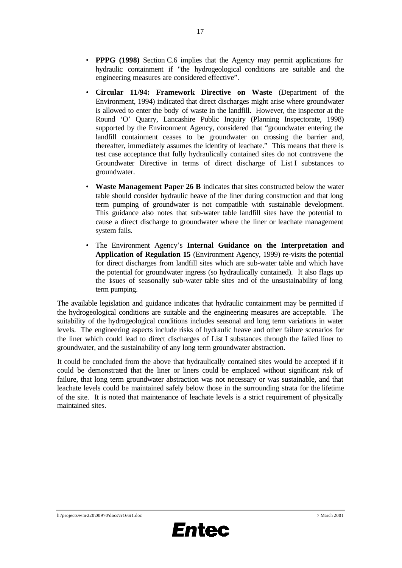- **PPPG (1998)** Section C.6 implies that the Agency may permit applications for hydraulic containment if "the hydrogeological conditions are suitable and the engineering measures are considered effective".
- **Circular 11/94: Framework Directive on Waste** (Department of the Environment, 1994) indicated that direct discharges might arise where groundwater is allowed to enter the body of waste in the landfill. However, the inspector at the Round 'O' Quarry, Lancashire Public Inquiry (Planning Inspectorate, 1998) supported by the Environment Agency, considered that "groundwater entering the landfill containment ceases to be groundwater on crossing the barrier and, thereafter, immediately assumes the identity of leachate." This means that there is test case acceptance that fully hydraulically contained sites do not contravene the Groundwater Directive in terms of direct discharge of List I substances to groundwater.
- **Waste Management Paper 26 B** indicates that sites constructed below the water table should consider hydraulic heave of the liner during construction and that long term pumping of groundwater is not compatible with sustainable development. This guidance also notes that sub-water table landfill sites have the potential to cause a direct discharge to groundwater where the liner or leachate management system fails.
- The Environment Agency's **Internal Guidance on the Interpretation and Application of Regulation 15** (Environment Agency, 1999) re-visits the potential for direct discharges from landfill sites which are sub-water table and which have the potential for groundwater ingress (so hydraulically contained). It also flags up the issues of seasonally sub-water table sites and of the unsustainability of long term pumping.

The available legislation and guidance indicates that hydraulic containment may be permitted if the hydrogeological conditions are suitable and the engineering measures are acceptable. The suitability of the hydrogeological conditions includes seasonal and long term variations in water levels. The engineering aspects include risks of hydraulic heave and other failure scenarios for the liner which could lead to direct discharges of List I substances through the failed liner to groundwater, and the sustainability of any long term groundwater abstraction.

It could be concluded from the above that hydraulically contained sites would be accepted if it could be demonstrated that the liner or liners could be emplaced without significant risk of failure, that long term groundwater abstraction was not necessary or was sustainable, and that leachate levels could be maintained safely below those in the surrounding strata for the lifetime of the site. It is noted that maintenance of leachate levels is a strict requirement of physically maintained sites.

**Entec** 

h:\projects\wm-220\00970\docs\rr166i1.doc 7 March 2001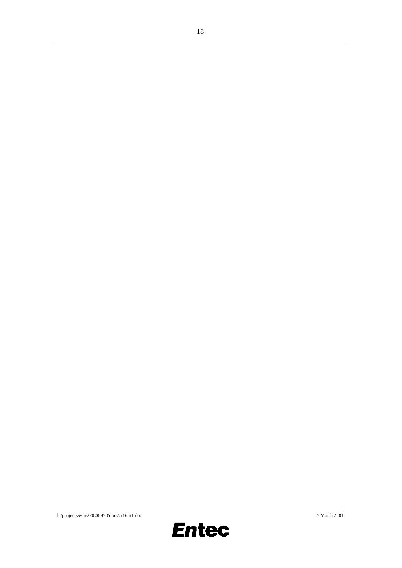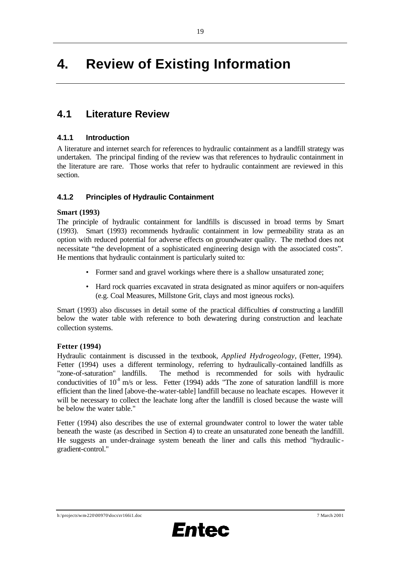# **4. Review of Existing Information**

### **4.1 Literature Review**

#### **4.1.1 Introduction**

A literature and internet search for references to hydraulic containment as a landfill strategy was undertaken. The principal finding of the review was that references to hydraulic containment in the literature are rare. Those works that refer to hydraulic containment are reviewed in this section.

#### **4.1.2 Principles of Hydraulic Containment**

#### **Smart (1993)**

The principle of hydraulic containment for landfills is discussed in broad terms by Smart (1993). Smart (1993) recommends hydraulic containment in low permeability strata as an option with reduced potential for adverse effects on groundwater quality. The method does not necessitate "the development of a sophisticated engineering design with the associated costs". He mentions that hydraulic containment is particularly suited to:

- Former sand and gravel workings where there is a shallow unsaturated zone;
- Hard rock quarries excavated in strata designated as minor aquifers or non-aquifers (e.g. Coal Measures, Millstone Grit, clays and most igneous rocks).

Smart (1993) also discusses in detail some of the practical difficulties of constructing a landfill below the water table with reference to both dewatering during construction and leachate collection systems.

#### **Fetter (1994)**

Hydraulic containment is discussed in the textbook, *Applied Hydrogeology*, (Fetter, 1994). Fetter (1994) uses a different terminology, referring to hydraulically-contained landfills as "zone-of-saturation" landfills. The method is recommended for soils with hydraulic conductivities of  $10^{-8}$  m/s or less. Fetter (1994) adds "The zone of saturation landfill is more efficient than the lined [above-the-water-table] landfill because no leachate escapes. However it will be necessary to collect the leachate long after the landfill is closed because the waste will be below the water table."

Fetter (1994) also describes the use of external groundwater control to lower the water table beneath the waste (as described in Section 4) to create an unsaturated zone beneath the landfill. He suggests an under-drainage system beneath the liner and calls this method "hydraulic gradient-control."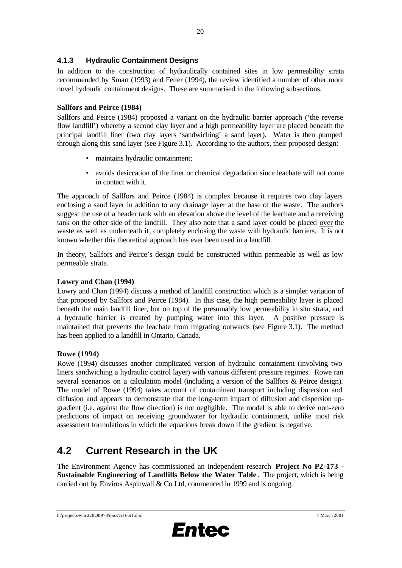#### **4.1.3 Hydraulic Containment Designs**

In addition to the construction of hydraulically contained sites in low permeability strata recommended by Smart (1993) and Fetter (1994), the review identified a number of other more novel hydraulic containment designs. These are summarised in the following subsections.

#### **Sallfors and Peirce (1984)**

Sallfors and Peirce (1984) proposed a variant on the hydraulic barrier approach ('the reverse flow landfill') whereby a second clay layer and a high permeability layer are placed beneath the principal landfill liner (two clay layers 'sandwiching' a sand layer). Water is then pumped through along this sand layer (see Figure 3.1). According to the authors, their proposed design:

- maintains hydraulic containment;
- avoids desiccation of the liner or chemical degradation since leachate will not come in contact with it.

The approach of Sallfors and Peirce (1984) is complex because it requires two clay layers enclosing a sand layer in addition to any drainage layer at the base of the waste. The authors suggest the use of a header tank with an elevation above the level of the leachate and a receiving tank on the other side of the landfill. They also note that a sand layer could be placed over the waste as well as underneath it, completely enclosing the waste with hydraulic barriers. It is not known whether this theoretical approach has ever been used in a landfill.

In theory, Sallfors and Peirce's design could be constructed within permeable as well as low permeable strata.

#### **Lowry and Chan (1994)**

Lowry and Chan (1994) discuss a method of landfill construction which is a simpler variation of that proposed by Sallfors and Peirce (1984). In this case, the high permeability layer is placed beneath the main landfill liner, but on top of the presumably low permeability in situ strata, and a hydraulic barrier is created by pumping water into this layer. A positive pressure is maintained that prevents the leachate from migrating outwards (see Figure 3.1). The method has been applied to a landfill in Ontario, Canada.

#### **Rowe (1994)**

Rowe (1994) discusses another complicated version of hydraulic containment (involving two liners sandwiching a hydraulic control layer) with various different pressure regimes. Rowe ran several scenarios on a calculation model (including a version of the Sallfors & Peirce design). The model of Rowe (1994) takes account of contaminant transport including dispersion and diffusion and appears to demonstrate that the long-term impact of diffusion and dispersion upgradient (i.e. against the flow direction) is not negligible. The model is able to derive non-zero predictions of impact on receiving groundwater for hydraulic containment, unlike most risk assessment formulations in which the equations break down if the gradient is negative.

### **4.2 Current Research in the UK**

The Environment Agency has commissioned an independent research **Project No P2-173 - Sustainable Engineering of Landfills Below the Water Table** . The project, which is being carried out by Enviros Aspinwall  $&$  Co Ltd, commenced in 1999 and is ongoing.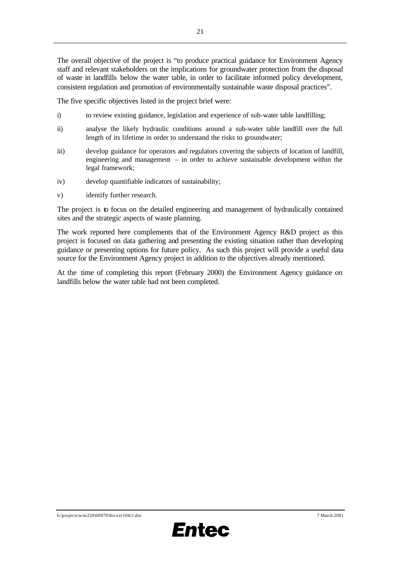The overall objective of the project is "to produce practical guidance for Environment Agency staff and relevant stakeholders on the implications for groundwater protection from the disposal of waste in landfills below the water table, in order to facilitate informed policy development, consistent regulation and promotion of environmentally sustainable waste disposal practices".

The five specific objectives listed in the project brief were:

- i) to review existing guidance, legislation and experience of sub-water table landfilling;
- ii) analyse the likely hydraulic conditions around a sub-water table landfill over the full length of its lifetime in order to understand the risks to groundwater;
- iii) develop guidance for operators and regulators covering the subjects of location of landfill, engineering and management – in order to achieve sustainable development within the legal framework;
- iv) develop quantifiable indicators of sustainability;
- v) identify further research.

The project is to focus on the detailed engineering and management of hydraulically contained sites and the strategic aspects of waste planning.

The work reported here complements that of the Environment Agency R&D project as this project is focused on data gathering and presenting the existing situation rather than developing guidance or presenting options for future policy. As such this project will provide a useful data source for the Environment Agency project in addition to the objectives already mentioned.

At the time of completing this report (February 2000) the Environment Agency guidance on landfills below the water table had not been completed.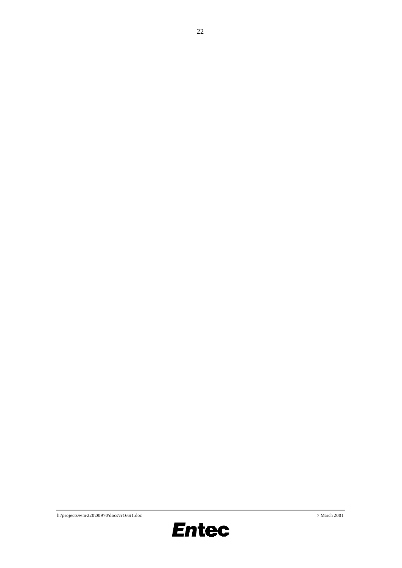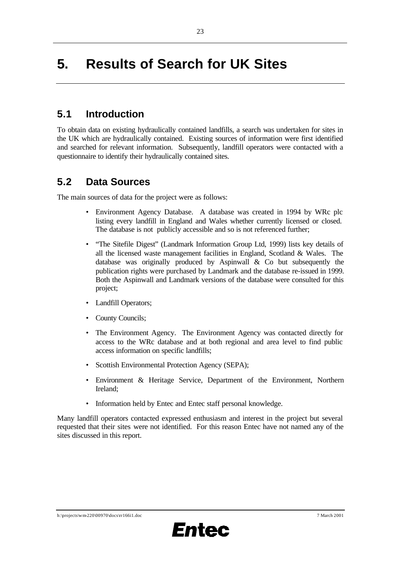# **5. Results of Search for UK Sites**

### **5.1 Introduction**

To obtain data on existing hydraulically contained landfills, a search was undertaken for sites in the UK which are hydraulically contained. Existing sources of information were first identified and searched for relevant information. Subsequently, landfill operators were contacted with a questionnaire to identify their hydraulically contained sites.

### **5.2 Data Sources**

The main sources of data for the project were as follows:

- Environment Agency Database. A database was created in 1994 by WRc plc listing every landfill in England and Wales whether currently licensed or closed. The database is not publicly accessible and so is not referenced further;
- "The Sitefile Digest" (Landmark Information Group Ltd, 1999) lists key details of all the licensed waste management facilities in England, Scotland & Wales. The database was originally produced by Aspinwall & Co but subsequently the publication rights were purchased by Landmark and the database re-issued in 1999. Both the Aspinwall and Landmark versions of the database were consulted for this project;
- Landfill Operators;
- County Councils;
- The Environment Agency. The Environment Agency was contacted directly for access to the WRc database and at both regional and area level to find public access information on specific landfills;
- Scottish Environmental Protection Agency (SEPA);
- Environment & Heritage Service, Department of the Environment, Northern Ireland;
- Information held by Entec and Entec staff personal knowledge.

Many landfill operators contacted expressed enthusiasm and interest in the project but several requested that their sites were not identified. For this reason Entec have not named any of the sites discussed in this report.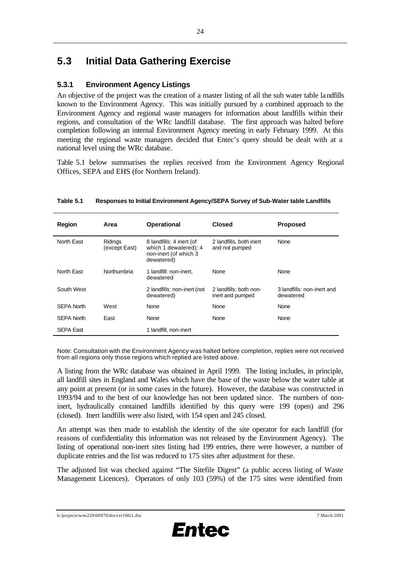# **5.3 Initial Data Gathering Exercise**

### **5.3.1 Environment Agency Listings**

An objective of the project was the creation of a master listing of all the sub water table landfills known to the Environment Agency. This was initially pursued by a combined approach to the Environment Agency and regional waste managers for information about landfills within their regions, and consultation of the WRc landfill database. The first approach was halted before completion following an internal Environment Agency meeting in early February 1999. At this meeting the regional waste managers decided that Entec's query should be dealt with at a national level using the WRc database.

Table 5.1 below summarises the replies received from the Environment Agency Regional Offices, SEPA and EHS (for Northern Ireland).

| <b>Region</b>     | Area                     | <b>Operational</b>                                                                       | <b>Closed</b>                              | <b>Proposed</b>                         |
|-------------------|--------------------------|------------------------------------------------------------------------------------------|--------------------------------------------|-----------------------------------------|
| North East        | Ridings<br>(except East) | 8 landfills: 4 inert (of<br>which 1 dewatered); 4<br>non-inert (of which 3<br>dewatered) | 2 landfills, both inert<br>and not pumped  | None                                    |
| North East        | Northumbria              | 1 landfill: non-inert.<br>dewatered                                                      | None                                       | None                                    |
| South West        |                          | 2 landfills: non-inert (not<br>dewatered)                                                | 2 landfills: both non-<br>inert and pumped | 3 landfills: non-inert and<br>dewatered |
| <b>SEPA North</b> | West                     | None                                                                                     | None                                       | None                                    |
| <b>SEPA North</b> | East                     | None                                                                                     | None                                       | None                                    |
| SEPA East         |                          | 1 landfill, non-inert                                                                    |                                            |                                         |

#### **Table 5.1 Responses to Initial Environment Agency/SEPA Survey of Sub-Water table Landfills**

Note: Consultation with the Environment Agency was halted before completion, replies were not received from all regions only those regions which replied are listed above.

A listing from the WRc database was obtained in April 1999. The listing includes, in principle, all landfill sites in England and Wales which have the base of the waste below the water table at any point at present (or in some cases in the future). However, the database was constructed in 1993/94 and to the best of our knowledge has not been updated since. The numbers of noninert, hydraulically contained landfills identified by this query were 199 (open) and 296 (closed). Inert landfills were also listed, with 154 open and 245 closed.

An attempt was then made to establish the identity of the site operator for each landfill (for reasons of confidentiality this information was not released by the Environment Agency). The listing of operational non-inert sites listing had 199 entries, there were however, a number of duplicate entries and the list was reduced to 175 sites after adjustment for these.

The adjusted list was checked against "The Sitefile Digest" (a public access listing of Waste Management Licences). Operators of only 103 (59%) of the 175 sites were identified from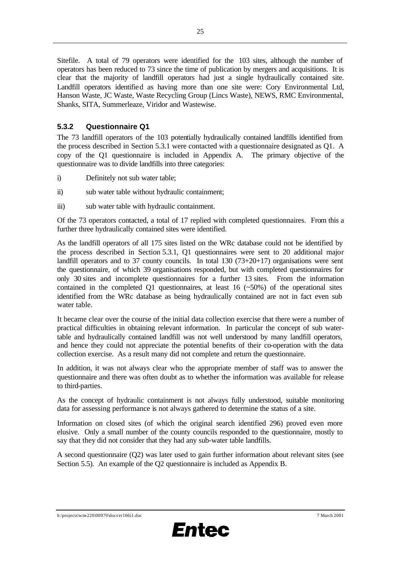Sitefile. A total of 79 operators were identified for the 103 sites, although the number of operators has been reduced to 73 since the time of publication by mergers and acquisitions. It is clear that the majority of landfill operators had just a single hydraulically contained site. Landfill operators identified as having more than one site were: Cory Environmental Ltd, Hanson Waste, JC Waste, Waste Recycling Group (Lincs Waste), NEWS, RMC Environmental, Shanks, SITA, Summerleaze, Viridor and Wastewise.

### **5.3.2 Questionnaire Q1**

The 73 landfill operators of the 103 potentially hydraulically contained landfills identified from the process described in Section 5.3.1 were contacted with a questionnaire designated as Q1. A copy of the Q1 questionnaire is included in Appendix A. The primary objective of the questionnaire was to divide landfills into three categories:

- i) Definitely not sub water table;
- ii) sub water table without hydraulic containment;
- iii) sub water table with hydraulic containment.

Of the 73 operators contacted, a total of 17 replied with completed questionnaires. From this a further three hydraulically contained sites were identified.

As the landfill operators of all 175 sites listed on the WRc database could not be identified by the process described in Section 5.3.1, Q1 questionnaires were sent to 20 additional major landfill operators and to 37 county councils. In total 130 (73+20+17) organisations were sent the questionnaire, of which 39 organisations responded, but with completed questionnaires for only 30 sites and incomplete questionnaires for a further 13 sites. From the information contained in the completed  $Q1$  questionnaires, at least 16 (~50%) of the operational sites identified from the WRc database as being hydraulically contained are not in fact even sub water table.

It became clear over the course of the initial data collection exercise that there were a number of practical difficulties in obtaining relevant information. In particular the concept of sub watertable and hydraulically contained landfill was not well understood by many landfill operators, and hence they could not appreciate the potential benefits of their co-operation with the data collection exercise. As a result many did not complete and return the questionnaire.

In addition, it was not always clear who the appropriate member of staff was to answer the questionnaire and there was often doubt as to whether the information was available for release to third-parties.

As the concept of hydraulic containment is not always fully understood, suitable monitoring data for assessing performance is not always gathered to determine the status of a site.

Information on closed sites (of which the original search identified 296) proved even more elusive. Only a small number of the county councils responded to the questionnaire, mostly to say that they did not consider that they had any sub-water table landfills.

A second questionnaire (Q2) was later used to gain further information about relevant sites (see Section 5.5). An example of the Q2 questionnaire is included as Appendix B.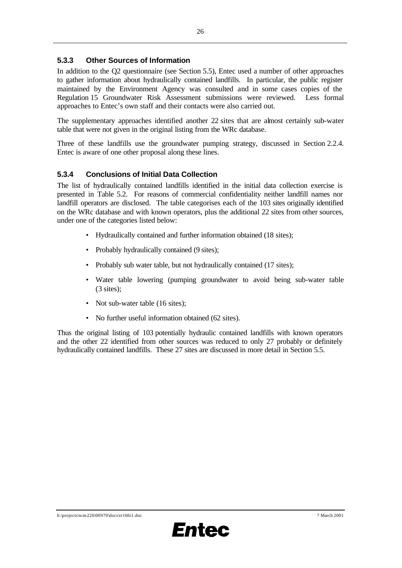### **5.3.3 Other Sources of Information**

In addition to the Q2 questionnaire (see Section 5.5), Entec used a number of other approaches to gather information about hydraulically contained landfills. In particular, the public register maintained by the Environment Agency was consulted and in some cases copies of the Regulation 15 Groundwater Risk Assessment submissions were reviewed. Less formal approaches to Entec's own staff and their contacts were also carried out.

The supplementary approaches identified another 22 sites that are almost certainly sub-water table that were not given in the original listing from the WRc database.

Three of these landfills use the groundwater pumping strategy, discussed in Section 2.2.4. Entec is aware of one other proposal along these lines.

### **5.3.4 Conclusions of Initial Data Collection**

The list of hydraulically contained landfills identified in the initial data collection exercise is presented in Table 5.2. For reasons of commercial confidentiality neither landfill names nor landfill operators are disclosed. The table categorises each of the 103 sites originally identified on the WRc database and with known operators, plus the additional 22 sites from other sources, under one of the categories listed below:

- Hydraulically contained and further information obtained (18 sites);
- Probably hydraulically contained (9 sites);
- Probably sub water table, but not hydraulically contained (17 sites);
- Water table lowering (pumping groundwater to avoid being sub-water table (3 sites);
- Not sub-water table (16 sites);
- No further useful information obtained (62 sites).

Thus the original listing of 103 potentially hydraulic contained landfills with known operators and the other 22 identified from other sources was reduced to only 27 probably or definitely hydraulically contained landfills. These 27 sites are discussed in more detail in Section 5.5.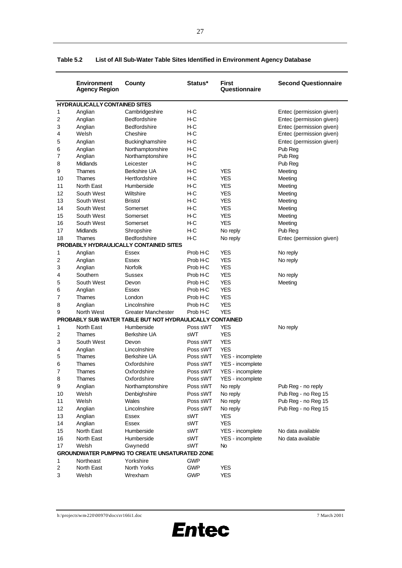| <b>HYDRAULICALLY CONTAINED SITES</b><br>Anglian<br>H-C<br>1<br>Cambridgeshire<br>Entec (permission given)<br>H-C<br>2<br><b>Bedfordshire</b><br>Entec (permission given)<br>Anglian<br><b>Bedfordshire</b><br>3<br>Anglian<br>H-C<br>Entec (permission given)<br>Welsh<br>4<br>Cheshire<br>H-C<br>Entec (permission given)<br>H-C<br>5<br>Anglian<br>Buckinghamshire<br>Entec (permission given)<br>H-C<br>6<br>Anglian<br>Northamptonshire<br>Pub Reg<br>7<br>Northamptonshire<br>H-C<br>Pub Reg<br>Anglian<br>H-C<br>8<br>Midlands<br>Leicester<br>Pub Rea<br><b>Berkshire UA</b><br>9<br>Thames<br>H-C<br>YES<br>Meeting<br><b>YES</b><br>10<br><b>Thames</b><br>Hertfordshire<br>H-C<br>Meeting<br>11<br>H-C<br><b>YES</b><br>North East<br>Humberside<br>Meeting<br>12<br>H-C<br><b>YES</b><br>South West<br>Wiltshire<br>Meeting<br>13<br><b>YES</b><br>South West<br><b>Bristol</b><br>H-C<br>Meeting<br>14<br><b>YES</b><br>South West<br>H-C<br>Somerset<br>Meeting<br><b>YES</b><br>15<br>South West<br>Somerset<br>H-C<br>Meeting<br>16<br><b>YES</b><br>South West<br>Somerset<br>H-C<br>Meeting<br>17<br>H-C<br>Midlands<br>Shropshire<br>No reply<br>Pub Reg<br>18<br><b>Bedfordshire</b><br>H-C<br><b>Thames</b><br>No reply<br>Entec (permission given)<br><b>PROBABLY HYDRAULICALLY CONTAINED SITES</b><br>1<br>Anglian<br>Prob H-C<br>YES<br>Essex<br>No reply<br>Prob H-C<br><b>YES</b><br>2<br>Anglian<br>Essex<br>No reply<br>3<br><b>YES</b><br>Anglian<br><b>Norfolk</b><br>Prob H-C<br><b>YES</b><br>4<br>Southern<br>Sussex<br>Prob H-C<br>No reply<br>South West<br><b>YES</b><br>5<br>Prob H-C<br>Meeting<br>Devon<br><b>YES</b><br>Anglian<br>Essex<br>Prob H-C<br>6<br><b>YES</b><br>7<br><b>Thames</b><br>London<br>Prob H-C<br><b>YES</b><br>Lincolnshire<br>8<br>Anglian<br>Prob H-C<br><b>YES</b><br>9<br>North West<br><b>Greater Manchester</b><br>Prob H-C<br>PROBABLY SUB WATER TABLE BUT NOT HYDRAULICALLY CONTAINED<br><b>YES</b><br>North East<br>Humberside<br>Poss sWT<br>1<br>No reply<br><b>YES</b><br>2<br><b>Thames</b><br><b>Berkshire UA</b><br>sWT<br><b>YES</b><br>3<br>South West<br>Poss sWT<br>Devon<br><b>YES</b><br>Anglian<br>Lincolnshire<br>Poss sWT<br>4<br>5<br><b>Thames</b><br><b>Berkshire UA</b><br>Poss sWT<br>YES - incomplete<br>6<br>Oxfordshire<br>Poss sWT<br>YES - incomplete<br>Thames<br>$\overline{7}$<br>Oxfordshire<br>YES - incomplete<br>Thames<br>Poss sWT<br>8<br>Oxfordshire<br>YES - incomplete<br>Thames<br>Poss sWT<br>9<br>Anglian<br>Poss sWT<br>No reply<br>Pub Reg - no reply<br>Northamptonshire<br>10<br>Welsh<br>Denbighshire<br>Poss sWT<br>No reply<br>Pub Reg - no Reg 15<br>11<br>Welsh<br>Wales<br>Poss sWT<br>No reply<br>Pub Reg - no Reg 15<br>12<br>Anglian<br>Lincolnshire<br>Poss sWT<br>Pub Reg - no Reg 15<br>No reply<br>13<br><b>YES</b><br>Anglian<br>Essex<br>sWT<br><b>YES</b><br>14<br>Anglian<br>Essex<br>sWT<br>15<br>North East<br>Humberside<br>sWT<br>YES - incomplete<br>No data available<br>16<br>No data available<br>North East<br>Humberside<br>sWT<br>YES - incomplete<br>17<br>Welsh<br>Gwynedd<br>sWT<br>No<br>GROUNDWATER PUMPING TO CREATE UNSATURATED ZONE<br>Yorkshire<br><b>GWP</b><br>1<br>Northeast<br>$\overline{c}$<br><b>GWP</b><br>North East<br>North Yorks<br><b>YES</b><br>3<br><b>GWP</b><br><b>YES</b><br>Welsh<br>Wrexham | <b>Environment</b><br><b>Agency Region</b> | County | <b>Status*</b> | First<br>Questionnaire | <b>Second Questionnaire</b> |
|------------------------------------------------------------------------------------------------------------------------------------------------------------------------------------------------------------------------------------------------------------------------------------------------------------------------------------------------------------------------------------------------------------------------------------------------------------------------------------------------------------------------------------------------------------------------------------------------------------------------------------------------------------------------------------------------------------------------------------------------------------------------------------------------------------------------------------------------------------------------------------------------------------------------------------------------------------------------------------------------------------------------------------------------------------------------------------------------------------------------------------------------------------------------------------------------------------------------------------------------------------------------------------------------------------------------------------------------------------------------------------------------------------------------------------------------------------------------------------------------------------------------------------------------------------------------------------------------------------------------------------------------------------------------------------------------------------------------------------------------------------------------------------------------------------------------------------------------------------------------------------------------------------------------------------------------------------------------------------------------------------------------------------------------------------------------------------------------------------------------------------------------------------------------------------------------------------------------------------------------------------------------------------------------------------------------------------------------------------------------------------------------------------------------------------------------------------------------------------------------------------------------------------------------------------------------------------------------------------------------------------------------------------------------------------------------------------------------------------------------------------------------------------------------------------------------------------------------------------------------------------------------------------------------------------------------------------------------------------------------------------------------------------------------------------------------------------------------------------------------------------------------------------------------------------------------------------------------------------------------------------------------------------------------------------------------------------------------------------------------|--------------------------------------------|--------|----------------|------------------------|-----------------------------|
|                                                                                                                                                                                                                                                                                                                                                                                                                                                                                                                                                                                                                                                                                                                                                                                                                                                                                                                                                                                                                                                                                                                                                                                                                                                                                                                                                                                                                                                                                                                                                                                                                                                                                                                                                                                                                                                                                                                                                                                                                                                                                                                                                                                                                                                                                                                                                                                                                                                                                                                                                                                                                                                                                                                                                                                                                                                                                                                                                                                                                                                                                                                                                                                                                                                                                                                                                                        |                                            |        |                |                        |                             |
|                                                                                                                                                                                                                                                                                                                                                                                                                                                                                                                                                                                                                                                                                                                                                                                                                                                                                                                                                                                                                                                                                                                                                                                                                                                                                                                                                                                                                                                                                                                                                                                                                                                                                                                                                                                                                                                                                                                                                                                                                                                                                                                                                                                                                                                                                                                                                                                                                                                                                                                                                                                                                                                                                                                                                                                                                                                                                                                                                                                                                                                                                                                                                                                                                                                                                                                                                                        |                                            |        |                |                        |                             |
|                                                                                                                                                                                                                                                                                                                                                                                                                                                                                                                                                                                                                                                                                                                                                                                                                                                                                                                                                                                                                                                                                                                                                                                                                                                                                                                                                                                                                                                                                                                                                                                                                                                                                                                                                                                                                                                                                                                                                                                                                                                                                                                                                                                                                                                                                                                                                                                                                                                                                                                                                                                                                                                                                                                                                                                                                                                                                                                                                                                                                                                                                                                                                                                                                                                                                                                                                                        |                                            |        |                |                        |                             |
|                                                                                                                                                                                                                                                                                                                                                                                                                                                                                                                                                                                                                                                                                                                                                                                                                                                                                                                                                                                                                                                                                                                                                                                                                                                                                                                                                                                                                                                                                                                                                                                                                                                                                                                                                                                                                                                                                                                                                                                                                                                                                                                                                                                                                                                                                                                                                                                                                                                                                                                                                                                                                                                                                                                                                                                                                                                                                                                                                                                                                                                                                                                                                                                                                                                                                                                                                                        |                                            |        |                |                        |                             |
|                                                                                                                                                                                                                                                                                                                                                                                                                                                                                                                                                                                                                                                                                                                                                                                                                                                                                                                                                                                                                                                                                                                                                                                                                                                                                                                                                                                                                                                                                                                                                                                                                                                                                                                                                                                                                                                                                                                                                                                                                                                                                                                                                                                                                                                                                                                                                                                                                                                                                                                                                                                                                                                                                                                                                                                                                                                                                                                                                                                                                                                                                                                                                                                                                                                                                                                                                                        |                                            |        |                |                        |                             |
|                                                                                                                                                                                                                                                                                                                                                                                                                                                                                                                                                                                                                                                                                                                                                                                                                                                                                                                                                                                                                                                                                                                                                                                                                                                                                                                                                                                                                                                                                                                                                                                                                                                                                                                                                                                                                                                                                                                                                                                                                                                                                                                                                                                                                                                                                                                                                                                                                                                                                                                                                                                                                                                                                                                                                                                                                                                                                                                                                                                                                                                                                                                                                                                                                                                                                                                                                                        |                                            |        |                |                        |                             |
|                                                                                                                                                                                                                                                                                                                                                                                                                                                                                                                                                                                                                                                                                                                                                                                                                                                                                                                                                                                                                                                                                                                                                                                                                                                                                                                                                                                                                                                                                                                                                                                                                                                                                                                                                                                                                                                                                                                                                                                                                                                                                                                                                                                                                                                                                                                                                                                                                                                                                                                                                                                                                                                                                                                                                                                                                                                                                                                                                                                                                                                                                                                                                                                                                                                                                                                                                                        |                                            |        |                |                        |                             |
|                                                                                                                                                                                                                                                                                                                                                                                                                                                                                                                                                                                                                                                                                                                                                                                                                                                                                                                                                                                                                                                                                                                                                                                                                                                                                                                                                                                                                                                                                                                                                                                                                                                                                                                                                                                                                                                                                                                                                                                                                                                                                                                                                                                                                                                                                                                                                                                                                                                                                                                                                                                                                                                                                                                                                                                                                                                                                                                                                                                                                                                                                                                                                                                                                                                                                                                                                                        |                                            |        |                |                        |                             |
|                                                                                                                                                                                                                                                                                                                                                                                                                                                                                                                                                                                                                                                                                                                                                                                                                                                                                                                                                                                                                                                                                                                                                                                                                                                                                                                                                                                                                                                                                                                                                                                                                                                                                                                                                                                                                                                                                                                                                                                                                                                                                                                                                                                                                                                                                                                                                                                                                                                                                                                                                                                                                                                                                                                                                                                                                                                                                                                                                                                                                                                                                                                                                                                                                                                                                                                                                                        |                                            |        |                |                        |                             |
|                                                                                                                                                                                                                                                                                                                                                                                                                                                                                                                                                                                                                                                                                                                                                                                                                                                                                                                                                                                                                                                                                                                                                                                                                                                                                                                                                                                                                                                                                                                                                                                                                                                                                                                                                                                                                                                                                                                                                                                                                                                                                                                                                                                                                                                                                                                                                                                                                                                                                                                                                                                                                                                                                                                                                                                                                                                                                                                                                                                                                                                                                                                                                                                                                                                                                                                                                                        |                                            |        |                |                        |                             |
|                                                                                                                                                                                                                                                                                                                                                                                                                                                                                                                                                                                                                                                                                                                                                                                                                                                                                                                                                                                                                                                                                                                                                                                                                                                                                                                                                                                                                                                                                                                                                                                                                                                                                                                                                                                                                                                                                                                                                                                                                                                                                                                                                                                                                                                                                                                                                                                                                                                                                                                                                                                                                                                                                                                                                                                                                                                                                                                                                                                                                                                                                                                                                                                                                                                                                                                                                                        |                                            |        |                |                        |                             |
|                                                                                                                                                                                                                                                                                                                                                                                                                                                                                                                                                                                                                                                                                                                                                                                                                                                                                                                                                                                                                                                                                                                                                                                                                                                                                                                                                                                                                                                                                                                                                                                                                                                                                                                                                                                                                                                                                                                                                                                                                                                                                                                                                                                                                                                                                                                                                                                                                                                                                                                                                                                                                                                                                                                                                                                                                                                                                                                                                                                                                                                                                                                                                                                                                                                                                                                                                                        |                                            |        |                |                        |                             |
|                                                                                                                                                                                                                                                                                                                                                                                                                                                                                                                                                                                                                                                                                                                                                                                                                                                                                                                                                                                                                                                                                                                                                                                                                                                                                                                                                                                                                                                                                                                                                                                                                                                                                                                                                                                                                                                                                                                                                                                                                                                                                                                                                                                                                                                                                                                                                                                                                                                                                                                                                                                                                                                                                                                                                                                                                                                                                                                                                                                                                                                                                                                                                                                                                                                                                                                                                                        |                                            |        |                |                        |                             |
|                                                                                                                                                                                                                                                                                                                                                                                                                                                                                                                                                                                                                                                                                                                                                                                                                                                                                                                                                                                                                                                                                                                                                                                                                                                                                                                                                                                                                                                                                                                                                                                                                                                                                                                                                                                                                                                                                                                                                                                                                                                                                                                                                                                                                                                                                                                                                                                                                                                                                                                                                                                                                                                                                                                                                                                                                                                                                                                                                                                                                                                                                                                                                                                                                                                                                                                                                                        |                                            |        |                |                        |                             |
|                                                                                                                                                                                                                                                                                                                                                                                                                                                                                                                                                                                                                                                                                                                                                                                                                                                                                                                                                                                                                                                                                                                                                                                                                                                                                                                                                                                                                                                                                                                                                                                                                                                                                                                                                                                                                                                                                                                                                                                                                                                                                                                                                                                                                                                                                                                                                                                                                                                                                                                                                                                                                                                                                                                                                                                                                                                                                                                                                                                                                                                                                                                                                                                                                                                                                                                                                                        |                                            |        |                |                        |                             |
|                                                                                                                                                                                                                                                                                                                                                                                                                                                                                                                                                                                                                                                                                                                                                                                                                                                                                                                                                                                                                                                                                                                                                                                                                                                                                                                                                                                                                                                                                                                                                                                                                                                                                                                                                                                                                                                                                                                                                                                                                                                                                                                                                                                                                                                                                                                                                                                                                                                                                                                                                                                                                                                                                                                                                                                                                                                                                                                                                                                                                                                                                                                                                                                                                                                                                                                                                                        |                                            |        |                |                        |                             |
|                                                                                                                                                                                                                                                                                                                                                                                                                                                                                                                                                                                                                                                                                                                                                                                                                                                                                                                                                                                                                                                                                                                                                                                                                                                                                                                                                                                                                                                                                                                                                                                                                                                                                                                                                                                                                                                                                                                                                                                                                                                                                                                                                                                                                                                                                                                                                                                                                                                                                                                                                                                                                                                                                                                                                                                                                                                                                                                                                                                                                                                                                                                                                                                                                                                                                                                                                                        |                                            |        |                |                        |                             |
|                                                                                                                                                                                                                                                                                                                                                                                                                                                                                                                                                                                                                                                                                                                                                                                                                                                                                                                                                                                                                                                                                                                                                                                                                                                                                                                                                                                                                                                                                                                                                                                                                                                                                                                                                                                                                                                                                                                                                                                                                                                                                                                                                                                                                                                                                                                                                                                                                                                                                                                                                                                                                                                                                                                                                                                                                                                                                                                                                                                                                                                                                                                                                                                                                                                                                                                                                                        |                                            |        |                |                        |                             |
|                                                                                                                                                                                                                                                                                                                                                                                                                                                                                                                                                                                                                                                                                                                                                                                                                                                                                                                                                                                                                                                                                                                                                                                                                                                                                                                                                                                                                                                                                                                                                                                                                                                                                                                                                                                                                                                                                                                                                                                                                                                                                                                                                                                                                                                                                                                                                                                                                                                                                                                                                                                                                                                                                                                                                                                                                                                                                                                                                                                                                                                                                                                                                                                                                                                                                                                                                                        |                                            |        |                |                        |                             |
|                                                                                                                                                                                                                                                                                                                                                                                                                                                                                                                                                                                                                                                                                                                                                                                                                                                                                                                                                                                                                                                                                                                                                                                                                                                                                                                                                                                                                                                                                                                                                                                                                                                                                                                                                                                                                                                                                                                                                                                                                                                                                                                                                                                                                                                                                                                                                                                                                                                                                                                                                                                                                                                                                                                                                                                                                                                                                                                                                                                                                                                                                                                                                                                                                                                                                                                                                                        |                                            |        |                |                        |                             |
|                                                                                                                                                                                                                                                                                                                                                                                                                                                                                                                                                                                                                                                                                                                                                                                                                                                                                                                                                                                                                                                                                                                                                                                                                                                                                                                                                                                                                                                                                                                                                                                                                                                                                                                                                                                                                                                                                                                                                                                                                                                                                                                                                                                                                                                                                                                                                                                                                                                                                                                                                                                                                                                                                                                                                                                                                                                                                                                                                                                                                                                                                                                                                                                                                                                                                                                                                                        |                                            |        |                |                        |                             |
|                                                                                                                                                                                                                                                                                                                                                                                                                                                                                                                                                                                                                                                                                                                                                                                                                                                                                                                                                                                                                                                                                                                                                                                                                                                                                                                                                                                                                                                                                                                                                                                                                                                                                                                                                                                                                                                                                                                                                                                                                                                                                                                                                                                                                                                                                                                                                                                                                                                                                                                                                                                                                                                                                                                                                                                                                                                                                                                                                                                                                                                                                                                                                                                                                                                                                                                                                                        |                                            |        |                |                        |                             |
|                                                                                                                                                                                                                                                                                                                                                                                                                                                                                                                                                                                                                                                                                                                                                                                                                                                                                                                                                                                                                                                                                                                                                                                                                                                                                                                                                                                                                                                                                                                                                                                                                                                                                                                                                                                                                                                                                                                                                                                                                                                                                                                                                                                                                                                                                                                                                                                                                                                                                                                                                                                                                                                                                                                                                                                                                                                                                                                                                                                                                                                                                                                                                                                                                                                                                                                                                                        |                                            |        |                |                        |                             |
|                                                                                                                                                                                                                                                                                                                                                                                                                                                                                                                                                                                                                                                                                                                                                                                                                                                                                                                                                                                                                                                                                                                                                                                                                                                                                                                                                                                                                                                                                                                                                                                                                                                                                                                                                                                                                                                                                                                                                                                                                                                                                                                                                                                                                                                                                                                                                                                                                                                                                                                                                                                                                                                                                                                                                                                                                                                                                                                                                                                                                                                                                                                                                                                                                                                                                                                                                                        |                                            |        |                |                        |                             |
|                                                                                                                                                                                                                                                                                                                                                                                                                                                                                                                                                                                                                                                                                                                                                                                                                                                                                                                                                                                                                                                                                                                                                                                                                                                                                                                                                                                                                                                                                                                                                                                                                                                                                                                                                                                                                                                                                                                                                                                                                                                                                                                                                                                                                                                                                                                                                                                                                                                                                                                                                                                                                                                                                                                                                                                                                                                                                                                                                                                                                                                                                                                                                                                                                                                                                                                                                                        |                                            |        |                |                        |                             |
|                                                                                                                                                                                                                                                                                                                                                                                                                                                                                                                                                                                                                                                                                                                                                                                                                                                                                                                                                                                                                                                                                                                                                                                                                                                                                                                                                                                                                                                                                                                                                                                                                                                                                                                                                                                                                                                                                                                                                                                                                                                                                                                                                                                                                                                                                                                                                                                                                                                                                                                                                                                                                                                                                                                                                                                                                                                                                                                                                                                                                                                                                                                                                                                                                                                                                                                                                                        |                                            |        |                |                        |                             |
|                                                                                                                                                                                                                                                                                                                                                                                                                                                                                                                                                                                                                                                                                                                                                                                                                                                                                                                                                                                                                                                                                                                                                                                                                                                                                                                                                                                                                                                                                                                                                                                                                                                                                                                                                                                                                                                                                                                                                                                                                                                                                                                                                                                                                                                                                                                                                                                                                                                                                                                                                                                                                                                                                                                                                                                                                                                                                                                                                                                                                                                                                                                                                                                                                                                                                                                                                                        |                                            |        |                |                        |                             |
|                                                                                                                                                                                                                                                                                                                                                                                                                                                                                                                                                                                                                                                                                                                                                                                                                                                                                                                                                                                                                                                                                                                                                                                                                                                                                                                                                                                                                                                                                                                                                                                                                                                                                                                                                                                                                                                                                                                                                                                                                                                                                                                                                                                                                                                                                                                                                                                                                                                                                                                                                                                                                                                                                                                                                                                                                                                                                                                                                                                                                                                                                                                                                                                                                                                                                                                                                                        |                                            |        |                |                        |                             |
|                                                                                                                                                                                                                                                                                                                                                                                                                                                                                                                                                                                                                                                                                                                                                                                                                                                                                                                                                                                                                                                                                                                                                                                                                                                                                                                                                                                                                                                                                                                                                                                                                                                                                                                                                                                                                                                                                                                                                                                                                                                                                                                                                                                                                                                                                                                                                                                                                                                                                                                                                                                                                                                                                                                                                                                                                                                                                                                                                                                                                                                                                                                                                                                                                                                                                                                                                                        |                                            |        |                |                        |                             |
|                                                                                                                                                                                                                                                                                                                                                                                                                                                                                                                                                                                                                                                                                                                                                                                                                                                                                                                                                                                                                                                                                                                                                                                                                                                                                                                                                                                                                                                                                                                                                                                                                                                                                                                                                                                                                                                                                                                                                                                                                                                                                                                                                                                                                                                                                                                                                                                                                                                                                                                                                                                                                                                                                                                                                                                                                                                                                                                                                                                                                                                                                                                                                                                                                                                                                                                                                                        |                                            |        |                |                        |                             |
|                                                                                                                                                                                                                                                                                                                                                                                                                                                                                                                                                                                                                                                                                                                                                                                                                                                                                                                                                                                                                                                                                                                                                                                                                                                                                                                                                                                                                                                                                                                                                                                                                                                                                                                                                                                                                                                                                                                                                                                                                                                                                                                                                                                                                                                                                                                                                                                                                                                                                                                                                                                                                                                                                                                                                                                                                                                                                                                                                                                                                                                                                                                                                                                                                                                                                                                                                                        |                                            |        |                |                        |                             |
|                                                                                                                                                                                                                                                                                                                                                                                                                                                                                                                                                                                                                                                                                                                                                                                                                                                                                                                                                                                                                                                                                                                                                                                                                                                                                                                                                                                                                                                                                                                                                                                                                                                                                                                                                                                                                                                                                                                                                                                                                                                                                                                                                                                                                                                                                                                                                                                                                                                                                                                                                                                                                                                                                                                                                                                                                                                                                                                                                                                                                                                                                                                                                                                                                                                                                                                                                                        |                                            |        |                |                        |                             |
|                                                                                                                                                                                                                                                                                                                                                                                                                                                                                                                                                                                                                                                                                                                                                                                                                                                                                                                                                                                                                                                                                                                                                                                                                                                                                                                                                                                                                                                                                                                                                                                                                                                                                                                                                                                                                                                                                                                                                                                                                                                                                                                                                                                                                                                                                                                                                                                                                                                                                                                                                                                                                                                                                                                                                                                                                                                                                                                                                                                                                                                                                                                                                                                                                                                                                                                                                                        |                                            |        |                |                        |                             |
|                                                                                                                                                                                                                                                                                                                                                                                                                                                                                                                                                                                                                                                                                                                                                                                                                                                                                                                                                                                                                                                                                                                                                                                                                                                                                                                                                                                                                                                                                                                                                                                                                                                                                                                                                                                                                                                                                                                                                                                                                                                                                                                                                                                                                                                                                                                                                                                                                                                                                                                                                                                                                                                                                                                                                                                                                                                                                                                                                                                                                                                                                                                                                                                                                                                                                                                                                                        |                                            |        |                |                        |                             |
|                                                                                                                                                                                                                                                                                                                                                                                                                                                                                                                                                                                                                                                                                                                                                                                                                                                                                                                                                                                                                                                                                                                                                                                                                                                                                                                                                                                                                                                                                                                                                                                                                                                                                                                                                                                                                                                                                                                                                                                                                                                                                                                                                                                                                                                                                                                                                                                                                                                                                                                                                                                                                                                                                                                                                                                                                                                                                                                                                                                                                                                                                                                                                                                                                                                                                                                                                                        |                                            |        |                |                        |                             |
|                                                                                                                                                                                                                                                                                                                                                                                                                                                                                                                                                                                                                                                                                                                                                                                                                                                                                                                                                                                                                                                                                                                                                                                                                                                                                                                                                                                                                                                                                                                                                                                                                                                                                                                                                                                                                                                                                                                                                                                                                                                                                                                                                                                                                                                                                                                                                                                                                                                                                                                                                                                                                                                                                                                                                                                                                                                                                                                                                                                                                                                                                                                                                                                                                                                                                                                                                                        |                                            |        |                |                        |                             |
|                                                                                                                                                                                                                                                                                                                                                                                                                                                                                                                                                                                                                                                                                                                                                                                                                                                                                                                                                                                                                                                                                                                                                                                                                                                                                                                                                                                                                                                                                                                                                                                                                                                                                                                                                                                                                                                                                                                                                                                                                                                                                                                                                                                                                                                                                                                                                                                                                                                                                                                                                                                                                                                                                                                                                                                                                                                                                                                                                                                                                                                                                                                                                                                                                                                                                                                                                                        |                                            |        |                |                        |                             |
|                                                                                                                                                                                                                                                                                                                                                                                                                                                                                                                                                                                                                                                                                                                                                                                                                                                                                                                                                                                                                                                                                                                                                                                                                                                                                                                                                                                                                                                                                                                                                                                                                                                                                                                                                                                                                                                                                                                                                                                                                                                                                                                                                                                                                                                                                                                                                                                                                                                                                                                                                                                                                                                                                                                                                                                                                                                                                                                                                                                                                                                                                                                                                                                                                                                                                                                                                                        |                                            |        |                |                        |                             |
|                                                                                                                                                                                                                                                                                                                                                                                                                                                                                                                                                                                                                                                                                                                                                                                                                                                                                                                                                                                                                                                                                                                                                                                                                                                                                                                                                                                                                                                                                                                                                                                                                                                                                                                                                                                                                                                                                                                                                                                                                                                                                                                                                                                                                                                                                                                                                                                                                                                                                                                                                                                                                                                                                                                                                                                                                                                                                                                                                                                                                                                                                                                                                                                                                                                                                                                                                                        |                                            |        |                |                        |                             |
|                                                                                                                                                                                                                                                                                                                                                                                                                                                                                                                                                                                                                                                                                                                                                                                                                                                                                                                                                                                                                                                                                                                                                                                                                                                                                                                                                                                                                                                                                                                                                                                                                                                                                                                                                                                                                                                                                                                                                                                                                                                                                                                                                                                                                                                                                                                                                                                                                                                                                                                                                                                                                                                                                                                                                                                                                                                                                                                                                                                                                                                                                                                                                                                                                                                                                                                                                                        |                                            |        |                |                        |                             |
|                                                                                                                                                                                                                                                                                                                                                                                                                                                                                                                                                                                                                                                                                                                                                                                                                                                                                                                                                                                                                                                                                                                                                                                                                                                                                                                                                                                                                                                                                                                                                                                                                                                                                                                                                                                                                                                                                                                                                                                                                                                                                                                                                                                                                                                                                                                                                                                                                                                                                                                                                                                                                                                                                                                                                                                                                                                                                                                                                                                                                                                                                                                                                                                                                                                                                                                                                                        |                                            |        |                |                        |                             |
|                                                                                                                                                                                                                                                                                                                                                                                                                                                                                                                                                                                                                                                                                                                                                                                                                                                                                                                                                                                                                                                                                                                                                                                                                                                                                                                                                                                                                                                                                                                                                                                                                                                                                                                                                                                                                                                                                                                                                                                                                                                                                                                                                                                                                                                                                                                                                                                                                                                                                                                                                                                                                                                                                                                                                                                                                                                                                                                                                                                                                                                                                                                                                                                                                                                                                                                                                                        |                                            |        |                |                        |                             |
|                                                                                                                                                                                                                                                                                                                                                                                                                                                                                                                                                                                                                                                                                                                                                                                                                                                                                                                                                                                                                                                                                                                                                                                                                                                                                                                                                                                                                                                                                                                                                                                                                                                                                                                                                                                                                                                                                                                                                                                                                                                                                                                                                                                                                                                                                                                                                                                                                                                                                                                                                                                                                                                                                                                                                                                                                                                                                                                                                                                                                                                                                                                                                                                                                                                                                                                                                                        |                                            |        |                |                        |                             |
|                                                                                                                                                                                                                                                                                                                                                                                                                                                                                                                                                                                                                                                                                                                                                                                                                                                                                                                                                                                                                                                                                                                                                                                                                                                                                                                                                                                                                                                                                                                                                                                                                                                                                                                                                                                                                                                                                                                                                                                                                                                                                                                                                                                                                                                                                                                                                                                                                                                                                                                                                                                                                                                                                                                                                                                                                                                                                                                                                                                                                                                                                                                                                                                                                                                                                                                                                                        |                                            |        |                |                        |                             |
|                                                                                                                                                                                                                                                                                                                                                                                                                                                                                                                                                                                                                                                                                                                                                                                                                                                                                                                                                                                                                                                                                                                                                                                                                                                                                                                                                                                                                                                                                                                                                                                                                                                                                                                                                                                                                                                                                                                                                                                                                                                                                                                                                                                                                                                                                                                                                                                                                                                                                                                                                                                                                                                                                                                                                                                                                                                                                                                                                                                                                                                                                                                                                                                                                                                                                                                                                                        |                                            |        |                |                        |                             |
|                                                                                                                                                                                                                                                                                                                                                                                                                                                                                                                                                                                                                                                                                                                                                                                                                                                                                                                                                                                                                                                                                                                                                                                                                                                                                                                                                                                                                                                                                                                                                                                                                                                                                                                                                                                                                                                                                                                                                                                                                                                                                                                                                                                                                                                                                                                                                                                                                                                                                                                                                                                                                                                                                                                                                                                                                                                                                                                                                                                                                                                                                                                                                                                                                                                                                                                                                                        |                                            |        |                |                        |                             |
|                                                                                                                                                                                                                                                                                                                                                                                                                                                                                                                                                                                                                                                                                                                                                                                                                                                                                                                                                                                                                                                                                                                                                                                                                                                                                                                                                                                                                                                                                                                                                                                                                                                                                                                                                                                                                                                                                                                                                                                                                                                                                                                                                                                                                                                                                                                                                                                                                                                                                                                                                                                                                                                                                                                                                                                                                                                                                                                                                                                                                                                                                                                                                                                                                                                                                                                                                                        |                                            |        |                |                        |                             |
|                                                                                                                                                                                                                                                                                                                                                                                                                                                                                                                                                                                                                                                                                                                                                                                                                                                                                                                                                                                                                                                                                                                                                                                                                                                                                                                                                                                                                                                                                                                                                                                                                                                                                                                                                                                                                                                                                                                                                                                                                                                                                                                                                                                                                                                                                                                                                                                                                                                                                                                                                                                                                                                                                                                                                                                                                                                                                                                                                                                                                                                                                                                                                                                                                                                                                                                                                                        |                                            |        |                |                        |                             |
|                                                                                                                                                                                                                                                                                                                                                                                                                                                                                                                                                                                                                                                                                                                                                                                                                                                                                                                                                                                                                                                                                                                                                                                                                                                                                                                                                                                                                                                                                                                                                                                                                                                                                                                                                                                                                                                                                                                                                                                                                                                                                                                                                                                                                                                                                                                                                                                                                                                                                                                                                                                                                                                                                                                                                                                                                                                                                                                                                                                                                                                                                                                                                                                                                                                                                                                                                                        |                                            |        |                |                        |                             |
|                                                                                                                                                                                                                                                                                                                                                                                                                                                                                                                                                                                                                                                                                                                                                                                                                                                                                                                                                                                                                                                                                                                                                                                                                                                                                                                                                                                                                                                                                                                                                                                                                                                                                                                                                                                                                                                                                                                                                                                                                                                                                                                                                                                                                                                                                                                                                                                                                                                                                                                                                                                                                                                                                                                                                                                                                                                                                                                                                                                                                                                                                                                                                                                                                                                                                                                                                                        |                                            |        |                |                        |                             |

**Entec** 

### **Table 5.2 List of All Sub-Water Table Sites Identified in Environment Agency Database**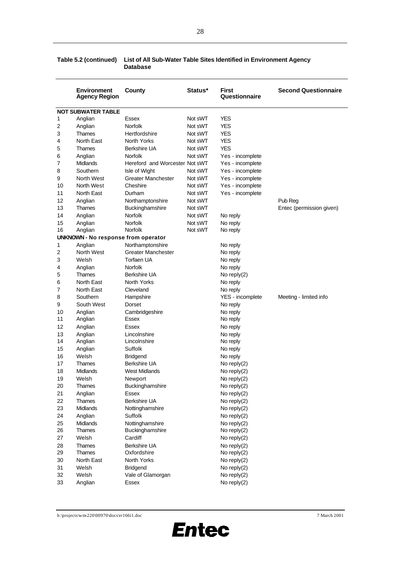#### **Table 5.2 (continued) List of All Sub-Water Table Sites Identified in Environment Agency Database**

| <b>NOT SUBWATER TABLE</b><br>1<br>Essex<br>Not sWT<br>YES<br>Anglian<br><b>YES</b><br>2<br><b>Norfolk</b><br>Not sWT<br>Anglian<br>3<br><b>YES</b><br>Thames<br>Hertfordshire<br>Not sWT<br><b>YES</b><br>4<br>North East<br><b>North Yorks</b><br>Not sWT<br><b>YES</b><br>5<br><b>Thames</b><br><b>Berkshire UA</b><br>Not sWT<br>6<br><b>Norfolk</b><br>Not sWT<br>Yes - incomplete<br>Anglian<br><b>Midlands</b><br>7<br>Hereford and Worcester Not sWT<br>Yes - incomplete<br>8<br>Southern<br>Isle of Wight<br>Not sWT<br>Yes - incomplete<br>9<br>North West<br><b>Greater Manchester</b><br>Not sWT<br>Yes - incomplete<br>10<br>North West<br>Cheshire<br>Yes - incomplete<br>Not sWT<br>11<br>North East<br>Durham<br>Yes - incomplete<br>Not sWT<br>12<br>Anglian<br>Northamptonshire<br>Pub Reg<br>Not sWT<br>13<br><b>Thames</b><br>Buckinghamshire<br>Entec (permission given)<br>Not sWT<br>14<br><b>Norfolk</b><br>Anglian<br>No reply<br>Not sWT<br>15<br>Anglian<br><b>Norfolk</b><br>No reply<br>Not sWT<br>16<br>Anglian<br><b>Norfolk</b><br>Not sWT<br>No reply<br>UNKNOWN - No response from operator<br>$\mathbf 1$<br>Anglian<br>Northamptonshire<br>No reply<br>2<br><b>North West</b><br><b>Greater Manchester</b><br>No reply<br><b>Torfaen UA</b><br>3<br>Welsh<br>No reply<br>4<br><b>Norfolk</b><br>Anglian<br>No reply<br>5<br>Thames<br><b>Berkshire UA</b><br>No reply $(2)$<br>6<br>North East<br><b>North Yorks</b><br>No reply<br>7<br>North East<br>Cleveland<br>No reply<br>8<br>Southern<br>YES - incomplete<br>Hampshire<br>Meeting - limited info<br>9<br>South West<br>Dorset<br>No reply<br>10<br>Anglian<br>Cambridgeshire<br>No reply<br>11<br>Anglian<br>Essex<br>No reply<br>12<br>Anglian<br>Essex<br>No reply<br>13<br>Anglian<br>Lincolnshire<br>No reply<br>14<br>Anglian<br>Lincolnshire<br>No reply<br>15<br>Suffolk<br>Anglian<br>No reply<br>16<br>Welsh<br><b>Bridgend</b><br>No reply<br>17<br><b>Berkshire UA</b><br>Thames<br>No reply $(2)$<br>18<br><b>Midlands</b><br><b>West Midlands</b><br>No reply $(2)$<br>19<br>Welsh<br>Newport<br>No reply $(2)$<br>20<br>Buckinghamshire<br>No reply(2)<br>Thames<br>21<br>Anglian<br><b>Essex</b><br>No reply(2)<br>22<br><b>Berkshire UA</b><br>No reply(2)<br>Thames<br>23<br><b>Midlands</b><br>Nottinghamshire<br>No reply(2)<br>24<br>Anglian<br>Suffolk<br>No reply(2)<br>25<br>Midlands<br>Nottinghamshire<br>No reply(2)<br>26<br><b>Thames</b><br>Buckinghamshire<br>No reply(2)<br>27<br>Welsh<br>Cardiff<br>No reply(2)<br>28<br><b>Berkshire UA</b><br><b>Thames</b><br>No reply(2)<br>29<br>Thames<br>Oxfordshire<br>No reply(2)<br>North Yorks<br>30<br>North East<br>No reply(2)<br>31<br>Welsh<br>No reply(2)<br><b>Bridgend</b><br>32<br>Welsh<br>Vale of Glamorgan<br>No reply(2)<br>33<br>Anglian<br>Essex<br>No reply(2) | <b>Environment</b><br><b>Agency Region</b> | County | Status* | First<br>Questionnaire | <b>Second Questionnaire</b> |
|-------------------------------------------------------------------------------------------------------------------------------------------------------------------------------------------------------------------------------------------------------------------------------------------------------------------------------------------------------------------------------------------------------------------------------------------------------------------------------------------------------------------------------------------------------------------------------------------------------------------------------------------------------------------------------------------------------------------------------------------------------------------------------------------------------------------------------------------------------------------------------------------------------------------------------------------------------------------------------------------------------------------------------------------------------------------------------------------------------------------------------------------------------------------------------------------------------------------------------------------------------------------------------------------------------------------------------------------------------------------------------------------------------------------------------------------------------------------------------------------------------------------------------------------------------------------------------------------------------------------------------------------------------------------------------------------------------------------------------------------------------------------------------------------------------------------------------------------------------------------------------------------------------------------------------------------------------------------------------------------------------------------------------------------------------------------------------------------------------------------------------------------------------------------------------------------------------------------------------------------------------------------------------------------------------------------------------------------------------------------------------------------------------------------------------------------------------------------------------------------------------------------------------------------------------------------------------------------------------------------------------------------------------------------------------------------------------------------------------------------------------------------------------------------------------------------------------------------------------|--------------------------------------------|--------|---------|------------------------|-----------------------------|
|                                                                                                                                                                                                                                                                                                                                                                                                                                                                                                                                                                                                                                                                                                                                                                                                                                                                                                                                                                                                                                                                                                                                                                                                                                                                                                                                                                                                                                                                                                                                                                                                                                                                                                                                                                                                                                                                                                                                                                                                                                                                                                                                                                                                                                                                                                                                                                                                                                                                                                                                                                                                                                                                                                                                                                                                                                                       |                                            |        |         |                        |                             |
|                                                                                                                                                                                                                                                                                                                                                                                                                                                                                                                                                                                                                                                                                                                                                                                                                                                                                                                                                                                                                                                                                                                                                                                                                                                                                                                                                                                                                                                                                                                                                                                                                                                                                                                                                                                                                                                                                                                                                                                                                                                                                                                                                                                                                                                                                                                                                                                                                                                                                                                                                                                                                                                                                                                                                                                                                                                       |                                            |        |         |                        |                             |
|                                                                                                                                                                                                                                                                                                                                                                                                                                                                                                                                                                                                                                                                                                                                                                                                                                                                                                                                                                                                                                                                                                                                                                                                                                                                                                                                                                                                                                                                                                                                                                                                                                                                                                                                                                                                                                                                                                                                                                                                                                                                                                                                                                                                                                                                                                                                                                                                                                                                                                                                                                                                                                                                                                                                                                                                                                                       |                                            |        |         |                        |                             |
|                                                                                                                                                                                                                                                                                                                                                                                                                                                                                                                                                                                                                                                                                                                                                                                                                                                                                                                                                                                                                                                                                                                                                                                                                                                                                                                                                                                                                                                                                                                                                                                                                                                                                                                                                                                                                                                                                                                                                                                                                                                                                                                                                                                                                                                                                                                                                                                                                                                                                                                                                                                                                                                                                                                                                                                                                                                       |                                            |        |         |                        |                             |
|                                                                                                                                                                                                                                                                                                                                                                                                                                                                                                                                                                                                                                                                                                                                                                                                                                                                                                                                                                                                                                                                                                                                                                                                                                                                                                                                                                                                                                                                                                                                                                                                                                                                                                                                                                                                                                                                                                                                                                                                                                                                                                                                                                                                                                                                                                                                                                                                                                                                                                                                                                                                                                                                                                                                                                                                                                                       |                                            |        |         |                        |                             |
|                                                                                                                                                                                                                                                                                                                                                                                                                                                                                                                                                                                                                                                                                                                                                                                                                                                                                                                                                                                                                                                                                                                                                                                                                                                                                                                                                                                                                                                                                                                                                                                                                                                                                                                                                                                                                                                                                                                                                                                                                                                                                                                                                                                                                                                                                                                                                                                                                                                                                                                                                                                                                                                                                                                                                                                                                                                       |                                            |        |         |                        |                             |
|                                                                                                                                                                                                                                                                                                                                                                                                                                                                                                                                                                                                                                                                                                                                                                                                                                                                                                                                                                                                                                                                                                                                                                                                                                                                                                                                                                                                                                                                                                                                                                                                                                                                                                                                                                                                                                                                                                                                                                                                                                                                                                                                                                                                                                                                                                                                                                                                                                                                                                                                                                                                                                                                                                                                                                                                                                                       |                                            |        |         |                        |                             |
|                                                                                                                                                                                                                                                                                                                                                                                                                                                                                                                                                                                                                                                                                                                                                                                                                                                                                                                                                                                                                                                                                                                                                                                                                                                                                                                                                                                                                                                                                                                                                                                                                                                                                                                                                                                                                                                                                                                                                                                                                                                                                                                                                                                                                                                                                                                                                                                                                                                                                                                                                                                                                                                                                                                                                                                                                                                       |                                            |        |         |                        |                             |
|                                                                                                                                                                                                                                                                                                                                                                                                                                                                                                                                                                                                                                                                                                                                                                                                                                                                                                                                                                                                                                                                                                                                                                                                                                                                                                                                                                                                                                                                                                                                                                                                                                                                                                                                                                                                                                                                                                                                                                                                                                                                                                                                                                                                                                                                                                                                                                                                                                                                                                                                                                                                                                                                                                                                                                                                                                                       |                                            |        |         |                        |                             |
|                                                                                                                                                                                                                                                                                                                                                                                                                                                                                                                                                                                                                                                                                                                                                                                                                                                                                                                                                                                                                                                                                                                                                                                                                                                                                                                                                                                                                                                                                                                                                                                                                                                                                                                                                                                                                                                                                                                                                                                                                                                                                                                                                                                                                                                                                                                                                                                                                                                                                                                                                                                                                                                                                                                                                                                                                                                       |                                            |        |         |                        |                             |
|                                                                                                                                                                                                                                                                                                                                                                                                                                                                                                                                                                                                                                                                                                                                                                                                                                                                                                                                                                                                                                                                                                                                                                                                                                                                                                                                                                                                                                                                                                                                                                                                                                                                                                                                                                                                                                                                                                                                                                                                                                                                                                                                                                                                                                                                                                                                                                                                                                                                                                                                                                                                                                                                                                                                                                                                                                                       |                                            |        |         |                        |                             |
|                                                                                                                                                                                                                                                                                                                                                                                                                                                                                                                                                                                                                                                                                                                                                                                                                                                                                                                                                                                                                                                                                                                                                                                                                                                                                                                                                                                                                                                                                                                                                                                                                                                                                                                                                                                                                                                                                                                                                                                                                                                                                                                                                                                                                                                                                                                                                                                                                                                                                                                                                                                                                                                                                                                                                                                                                                                       |                                            |        |         |                        |                             |
|                                                                                                                                                                                                                                                                                                                                                                                                                                                                                                                                                                                                                                                                                                                                                                                                                                                                                                                                                                                                                                                                                                                                                                                                                                                                                                                                                                                                                                                                                                                                                                                                                                                                                                                                                                                                                                                                                                                                                                                                                                                                                                                                                                                                                                                                                                                                                                                                                                                                                                                                                                                                                                                                                                                                                                                                                                                       |                                            |        |         |                        |                             |
|                                                                                                                                                                                                                                                                                                                                                                                                                                                                                                                                                                                                                                                                                                                                                                                                                                                                                                                                                                                                                                                                                                                                                                                                                                                                                                                                                                                                                                                                                                                                                                                                                                                                                                                                                                                                                                                                                                                                                                                                                                                                                                                                                                                                                                                                                                                                                                                                                                                                                                                                                                                                                                                                                                                                                                                                                                                       |                                            |        |         |                        |                             |
|                                                                                                                                                                                                                                                                                                                                                                                                                                                                                                                                                                                                                                                                                                                                                                                                                                                                                                                                                                                                                                                                                                                                                                                                                                                                                                                                                                                                                                                                                                                                                                                                                                                                                                                                                                                                                                                                                                                                                                                                                                                                                                                                                                                                                                                                                                                                                                                                                                                                                                                                                                                                                                                                                                                                                                                                                                                       |                                            |        |         |                        |                             |
|                                                                                                                                                                                                                                                                                                                                                                                                                                                                                                                                                                                                                                                                                                                                                                                                                                                                                                                                                                                                                                                                                                                                                                                                                                                                                                                                                                                                                                                                                                                                                                                                                                                                                                                                                                                                                                                                                                                                                                                                                                                                                                                                                                                                                                                                                                                                                                                                                                                                                                                                                                                                                                                                                                                                                                                                                                                       |                                            |        |         |                        |                             |
|                                                                                                                                                                                                                                                                                                                                                                                                                                                                                                                                                                                                                                                                                                                                                                                                                                                                                                                                                                                                                                                                                                                                                                                                                                                                                                                                                                                                                                                                                                                                                                                                                                                                                                                                                                                                                                                                                                                                                                                                                                                                                                                                                                                                                                                                                                                                                                                                                                                                                                                                                                                                                                                                                                                                                                                                                                                       |                                            |        |         |                        |                             |
|                                                                                                                                                                                                                                                                                                                                                                                                                                                                                                                                                                                                                                                                                                                                                                                                                                                                                                                                                                                                                                                                                                                                                                                                                                                                                                                                                                                                                                                                                                                                                                                                                                                                                                                                                                                                                                                                                                                                                                                                                                                                                                                                                                                                                                                                                                                                                                                                                                                                                                                                                                                                                                                                                                                                                                                                                                                       |                                            |        |         |                        |                             |
|                                                                                                                                                                                                                                                                                                                                                                                                                                                                                                                                                                                                                                                                                                                                                                                                                                                                                                                                                                                                                                                                                                                                                                                                                                                                                                                                                                                                                                                                                                                                                                                                                                                                                                                                                                                                                                                                                                                                                                                                                                                                                                                                                                                                                                                                                                                                                                                                                                                                                                                                                                                                                                                                                                                                                                                                                                                       |                                            |        |         |                        |                             |
|                                                                                                                                                                                                                                                                                                                                                                                                                                                                                                                                                                                                                                                                                                                                                                                                                                                                                                                                                                                                                                                                                                                                                                                                                                                                                                                                                                                                                                                                                                                                                                                                                                                                                                                                                                                                                                                                                                                                                                                                                                                                                                                                                                                                                                                                                                                                                                                                                                                                                                                                                                                                                                                                                                                                                                                                                                                       |                                            |        |         |                        |                             |
|                                                                                                                                                                                                                                                                                                                                                                                                                                                                                                                                                                                                                                                                                                                                                                                                                                                                                                                                                                                                                                                                                                                                                                                                                                                                                                                                                                                                                                                                                                                                                                                                                                                                                                                                                                                                                                                                                                                                                                                                                                                                                                                                                                                                                                                                                                                                                                                                                                                                                                                                                                                                                                                                                                                                                                                                                                                       |                                            |        |         |                        |                             |
|                                                                                                                                                                                                                                                                                                                                                                                                                                                                                                                                                                                                                                                                                                                                                                                                                                                                                                                                                                                                                                                                                                                                                                                                                                                                                                                                                                                                                                                                                                                                                                                                                                                                                                                                                                                                                                                                                                                                                                                                                                                                                                                                                                                                                                                                                                                                                                                                                                                                                                                                                                                                                                                                                                                                                                                                                                                       |                                            |        |         |                        |                             |
|                                                                                                                                                                                                                                                                                                                                                                                                                                                                                                                                                                                                                                                                                                                                                                                                                                                                                                                                                                                                                                                                                                                                                                                                                                                                                                                                                                                                                                                                                                                                                                                                                                                                                                                                                                                                                                                                                                                                                                                                                                                                                                                                                                                                                                                                                                                                                                                                                                                                                                                                                                                                                                                                                                                                                                                                                                                       |                                            |        |         |                        |                             |
|                                                                                                                                                                                                                                                                                                                                                                                                                                                                                                                                                                                                                                                                                                                                                                                                                                                                                                                                                                                                                                                                                                                                                                                                                                                                                                                                                                                                                                                                                                                                                                                                                                                                                                                                                                                                                                                                                                                                                                                                                                                                                                                                                                                                                                                                                                                                                                                                                                                                                                                                                                                                                                                                                                                                                                                                                                                       |                                            |        |         |                        |                             |
|                                                                                                                                                                                                                                                                                                                                                                                                                                                                                                                                                                                                                                                                                                                                                                                                                                                                                                                                                                                                                                                                                                                                                                                                                                                                                                                                                                                                                                                                                                                                                                                                                                                                                                                                                                                                                                                                                                                                                                                                                                                                                                                                                                                                                                                                                                                                                                                                                                                                                                                                                                                                                                                                                                                                                                                                                                                       |                                            |        |         |                        |                             |
|                                                                                                                                                                                                                                                                                                                                                                                                                                                                                                                                                                                                                                                                                                                                                                                                                                                                                                                                                                                                                                                                                                                                                                                                                                                                                                                                                                                                                                                                                                                                                                                                                                                                                                                                                                                                                                                                                                                                                                                                                                                                                                                                                                                                                                                                                                                                                                                                                                                                                                                                                                                                                                                                                                                                                                                                                                                       |                                            |        |         |                        |                             |
|                                                                                                                                                                                                                                                                                                                                                                                                                                                                                                                                                                                                                                                                                                                                                                                                                                                                                                                                                                                                                                                                                                                                                                                                                                                                                                                                                                                                                                                                                                                                                                                                                                                                                                                                                                                                                                                                                                                                                                                                                                                                                                                                                                                                                                                                                                                                                                                                                                                                                                                                                                                                                                                                                                                                                                                                                                                       |                                            |        |         |                        |                             |
|                                                                                                                                                                                                                                                                                                                                                                                                                                                                                                                                                                                                                                                                                                                                                                                                                                                                                                                                                                                                                                                                                                                                                                                                                                                                                                                                                                                                                                                                                                                                                                                                                                                                                                                                                                                                                                                                                                                                                                                                                                                                                                                                                                                                                                                                                                                                                                                                                                                                                                                                                                                                                                                                                                                                                                                                                                                       |                                            |        |         |                        |                             |
|                                                                                                                                                                                                                                                                                                                                                                                                                                                                                                                                                                                                                                                                                                                                                                                                                                                                                                                                                                                                                                                                                                                                                                                                                                                                                                                                                                                                                                                                                                                                                                                                                                                                                                                                                                                                                                                                                                                                                                                                                                                                                                                                                                                                                                                                                                                                                                                                                                                                                                                                                                                                                                                                                                                                                                                                                                                       |                                            |        |         |                        |                             |
|                                                                                                                                                                                                                                                                                                                                                                                                                                                                                                                                                                                                                                                                                                                                                                                                                                                                                                                                                                                                                                                                                                                                                                                                                                                                                                                                                                                                                                                                                                                                                                                                                                                                                                                                                                                                                                                                                                                                                                                                                                                                                                                                                                                                                                                                                                                                                                                                                                                                                                                                                                                                                                                                                                                                                                                                                                                       |                                            |        |         |                        |                             |
|                                                                                                                                                                                                                                                                                                                                                                                                                                                                                                                                                                                                                                                                                                                                                                                                                                                                                                                                                                                                                                                                                                                                                                                                                                                                                                                                                                                                                                                                                                                                                                                                                                                                                                                                                                                                                                                                                                                                                                                                                                                                                                                                                                                                                                                                                                                                                                                                                                                                                                                                                                                                                                                                                                                                                                                                                                                       |                                            |        |         |                        |                             |
|                                                                                                                                                                                                                                                                                                                                                                                                                                                                                                                                                                                                                                                                                                                                                                                                                                                                                                                                                                                                                                                                                                                                                                                                                                                                                                                                                                                                                                                                                                                                                                                                                                                                                                                                                                                                                                                                                                                                                                                                                                                                                                                                                                                                                                                                                                                                                                                                                                                                                                                                                                                                                                                                                                                                                                                                                                                       |                                            |        |         |                        |                             |
|                                                                                                                                                                                                                                                                                                                                                                                                                                                                                                                                                                                                                                                                                                                                                                                                                                                                                                                                                                                                                                                                                                                                                                                                                                                                                                                                                                                                                                                                                                                                                                                                                                                                                                                                                                                                                                                                                                                                                                                                                                                                                                                                                                                                                                                                                                                                                                                                                                                                                                                                                                                                                                                                                                                                                                                                                                                       |                                            |        |         |                        |                             |
|                                                                                                                                                                                                                                                                                                                                                                                                                                                                                                                                                                                                                                                                                                                                                                                                                                                                                                                                                                                                                                                                                                                                                                                                                                                                                                                                                                                                                                                                                                                                                                                                                                                                                                                                                                                                                                                                                                                                                                                                                                                                                                                                                                                                                                                                                                                                                                                                                                                                                                                                                                                                                                                                                                                                                                                                                                                       |                                            |        |         |                        |                             |
|                                                                                                                                                                                                                                                                                                                                                                                                                                                                                                                                                                                                                                                                                                                                                                                                                                                                                                                                                                                                                                                                                                                                                                                                                                                                                                                                                                                                                                                                                                                                                                                                                                                                                                                                                                                                                                                                                                                                                                                                                                                                                                                                                                                                                                                                                                                                                                                                                                                                                                                                                                                                                                                                                                                                                                                                                                                       |                                            |        |         |                        |                             |
|                                                                                                                                                                                                                                                                                                                                                                                                                                                                                                                                                                                                                                                                                                                                                                                                                                                                                                                                                                                                                                                                                                                                                                                                                                                                                                                                                                                                                                                                                                                                                                                                                                                                                                                                                                                                                                                                                                                                                                                                                                                                                                                                                                                                                                                                                                                                                                                                                                                                                                                                                                                                                                                                                                                                                                                                                                                       |                                            |        |         |                        |                             |
|                                                                                                                                                                                                                                                                                                                                                                                                                                                                                                                                                                                                                                                                                                                                                                                                                                                                                                                                                                                                                                                                                                                                                                                                                                                                                                                                                                                                                                                                                                                                                                                                                                                                                                                                                                                                                                                                                                                                                                                                                                                                                                                                                                                                                                                                                                                                                                                                                                                                                                                                                                                                                                                                                                                                                                                                                                                       |                                            |        |         |                        |                             |
|                                                                                                                                                                                                                                                                                                                                                                                                                                                                                                                                                                                                                                                                                                                                                                                                                                                                                                                                                                                                                                                                                                                                                                                                                                                                                                                                                                                                                                                                                                                                                                                                                                                                                                                                                                                                                                                                                                                                                                                                                                                                                                                                                                                                                                                                                                                                                                                                                                                                                                                                                                                                                                                                                                                                                                                                                                                       |                                            |        |         |                        |                             |
|                                                                                                                                                                                                                                                                                                                                                                                                                                                                                                                                                                                                                                                                                                                                                                                                                                                                                                                                                                                                                                                                                                                                                                                                                                                                                                                                                                                                                                                                                                                                                                                                                                                                                                                                                                                                                                                                                                                                                                                                                                                                                                                                                                                                                                                                                                                                                                                                                                                                                                                                                                                                                                                                                                                                                                                                                                                       |                                            |        |         |                        |                             |
|                                                                                                                                                                                                                                                                                                                                                                                                                                                                                                                                                                                                                                                                                                                                                                                                                                                                                                                                                                                                                                                                                                                                                                                                                                                                                                                                                                                                                                                                                                                                                                                                                                                                                                                                                                                                                                                                                                                                                                                                                                                                                                                                                                                                                                                                                                                                                                                                                                                                                                                                                                                                                                                                                                                                                                                                                                                       |                                            |        |         |                        |                             |
|                                                                                                                                                                                                                                                                                                                                                                                                                                                                                                                                                                                                                                                                                                                                                                                                                                                                                                                                                                                                                                                                                                                                                                                                                                                                                                                                                                                                                                                                                                                                                                                                                                                                                                                                                                                                                                                                                                                                                                                                                                                                                                                                                                                                                                                                                                                                                                                                                                                                                                                                                                                                                                                                                                                                                                                                                                                       |                                            |        |         |                        |                             |
|                                                                                                                                                                                                                                                                                                                                                                                                                                                                                                                                                                                                                                                                                                                                                                                                                                                                                                                                                                                                                                                                                                                                                                                                                                                                                                                                                                                                                                                                                                                                                                                                                                                                                                                                                                                                                                                                                                                                                                                                                                                                                                                                                                                                                                                                                                                                                                                                                                                                                                                                                                                                                                                                                                                                                                                                                                                       |                                            |        |         |                        |                             |
|                                                                                                                                                                                                                                                                                                                                                                                                                                                                                                                                                                                                                                                                                                                                                                                                                                                                                                                                                                                                                                                                                                                                                                                                                                                                                                                                                                                                                                                                                                                                                                                                                                                                                                                                                                                                                                                                                                                                                                                                                                                                                                                                                                                                                                                                                                                                                                                                                                                                                                                                                                                                                                                                                                                                                                                                                                                       |                                            |        |         |                        |                             |
|                                                                                                                                                                                                                                                                                                                                                                                                                                                                                                                                                                                                                                                                                                                                                                                                                                                                                                                                                                                                                                                                                                                                                                                                                                                                                                                                                                                                                                                                                                                                                                                                                                                                                                                                                                                                                                                                                                                                                                                                                                                                                                                                                                                                                                                                                                                                                                                                                                                                                                                                                                                                                                                                                                                                                                                                                                                       |                                            |        |         |                        |                             |
|                                                                                                                                                                                                                                                                                                                                                                                                                                                                                                                                                                                                                                                                                                                                                                                                                                                                                                                                                                                                                                                                                                                                                                                                                                                                                                                                                                                                                                                                                                                                                                                                                                                                                                                                                                                                                                                                                                                                                                                                                                                                                                                                                                                                                                                                                                                                                                                                                                                                                                                                                                                                                                                                                                                                                                                                                                                       |                                            |        |         |                        |                             |
|                                                                                                                                                                                                                                                                                                                                                                                                                                                                                                                                                                                                                                                                                                                                                                                                                                                                                                                                                                                                                                                                                                                                                                                                                                                                                                                                                                                                                                                                                                                                                                                                                                                                                                                                                                                                                                                                                                                                                                                                                                                                                                                                                                                                                                                                                                                                                                                                                                                                                                                                                                                                                                                                                                                                                                                                                                                       |                                            |        |         |                        |                             |
|                                                                                                                                                                                                                                                                                                                                                                                                                                                                                                                                                                                                                                                                                                                                                                                                                                                                                                                                                                                                                                                                                                                                                                                                                                                                                                                                                                                                                                                                                                                                                                                                                                                                                                                                                                                                                                                                                                                                                                                                                                                                                                                                                                                                                                                                                                                                                                                                                                                                                                                                                                                                                                                                                                                                                                                                                                                       |                                            |        |         |                        |                             |
|                                                                                                                                                                                                                                                                                                                                                                                                                                                                                                                                                                                                                                                                                                                                                                                                                                                                                                                                                                                                                                                                                                                                                                                                                                                                                                                                                                                                                                                                                                                                                                                                                                                                                                                                                                                                                                                                                                                                                                                                                                                                                                                                                                                                                                                                                                                                                                                                                                                                                                                                                                                                                                                                                                                                                                                                                                                       |                                            |        |         |                        |                             |
|                                                                                                                                                                                                                                                                                                                                                                                                                                                                                                                                                                                                                                                                                                                                                                                                                                                                                                                                                                                                                                                                                                                                                                                                                                                                                                                                                                                                                                                                                                                                                                                                                                                                                                                                                                                                                                                                                                                                                                                                                                                                                                                                                                                                                                                                                                                                                                                                                                                                                                                                                                                                                                                                                                                                                                                                                                                       |                                            |        |         |                        |                             |
|                                                                                                                                                                                                                                                                                                                                                                                                                                                                                                                                                                                                                                                                                                                                                                                                                                                                                                                                                                                                                                                                                                                                                                                                                                                                                                                                                                                                                                                                                                                                                                                                                                                                                                                                                                                                                                                                                                                                                                                                                                                                                                                                                                                                                                                                                                                                                                                                                                                                                                                                                                                                                                                                                                                                                                                                                                                       |                                            |        |         |                        |                             |
|                                                                                                                                                                                                                                                                                                                                                                                                                                                                                                                                                                                                                                                                                                                                                                                                                                                                                                                                                                                                                                                                                                                                                                                                                                                                                                                                                                                                                                                                                                                                                                                                                                                                                                                                                                                                                                                                                                                                                                                                                                                                                                                                                                                                                                                                                                                                                                                                                                                                                                                                                                                                                                                                                                                                                                                                                                                       |                                            |        |         |                        |                             |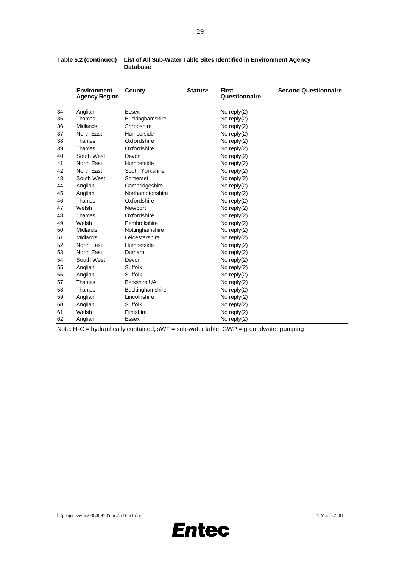|    | <b>Environment</b><br><b>Agency Region</b> | County              | Status* | <b>First</b><br>Questionnaire | <b>Second Questionnaire</b> |
|----|--------------------------------------------|---------------------|---------|-------------------------------|-----------------------------|
| 34 | Anglian                                    | Essex               |         | No reply(2)                   |                             |
| 35 | <b>Thames</b>                              | Buckinghamshire     |         | No reply $(2)$                |                             |
| 36 | <b>Midlands</b>                            | Shropshire          |         | No reply(2)                   |                             |
| 37 | <b>North East</b>                          | Humberside          |         | No reply(2)                   |                             |
| 38 | <b>Thames</b>                              | Oxfordshire         |         | No reply $(2)$                |                             |
| 39 | <b>Thames</b>                              | Oxfordshire         |         | No reply $(2)$                |                             |
| 40 | South West                                 | Devon               |         | No reply(2)                   |                             |
| 41 | <b>North East</b>                          | Humberside          |         | No reply(2)                   |                             |
| 42 | <b>North East</b>                          | South Yorkshire     |         | No reply(2)                   |                             |
| 43 | South West                                 | Somerset            |         | No reply $(2)$                |                             |
| 44 | Anglian                                    | Cambridgeshire      |         | No reply $(2)$                |                             |
| 45 | Anglian                                    | Northamptonshire    |         | No reply $(2)$                |                             |
| 46 | <b>Thames</b>                              | Oxfordshire         |         | No reply $(2)$                |                             |
| 47 | Welsh                                      | Newport             |         | No reply $(2)$                |                             |
| 48 | <b>Thames</b>                              | Oxfordshire         |         | No reply $(2)$                |                             |
| 49 | Welsh                                      | Pembrokshire        |         | No reply $(2)$                |                             |
| 50 | <b>Midlands</b>                            | Nottinghamshire     |         | No reply $(2)$                |                             |
| 51 | <b>Midlands</b>                            | Leicestershire      |         | No reply $(2)$                |                             |
| 52 | North East                                 | Humberside          |         | No reply $(2)$                |                             |
| 53 | North East                                 | Durham              |         | No reply $(2)$                |                             |
| 54 | South West                                 | Devon               |         | No reply $(2)$                |                             |
| 55 | Anglian                                    | Suffolk             |         | No reply $(2)$                |                             |
| 56 | Anglian                                    | Suffolk             |         | No reply(2)                   |                             |
| 57 | Thames                                     | <b>Berkshire UA</b> |         | No reply $(2)$                |                             |
| 58 | Thames                                     | Buckinghamshire     |         | No reply(2)                   |                             |
| 59 | Anglian                                    | Lincolnshire        |         | No reply(2)                   |                             |
| 60 | Anglian                                    | Suffolk             |         | No reply $(2)$                |                             |
| 61 | Welsh                                      | Flintshire          |         | No reply(2)                   |                             |
| 62 | Anglian                                    | Essex               |         | No reply $(2)$                |                             |

#### **Table 5.2 (continued) List of All Sub-Water Table Sites Identified in Environment Agency Database**

Note: H-C = hydraulically contained, sWT = sub-water table, GWP = groundwater pumping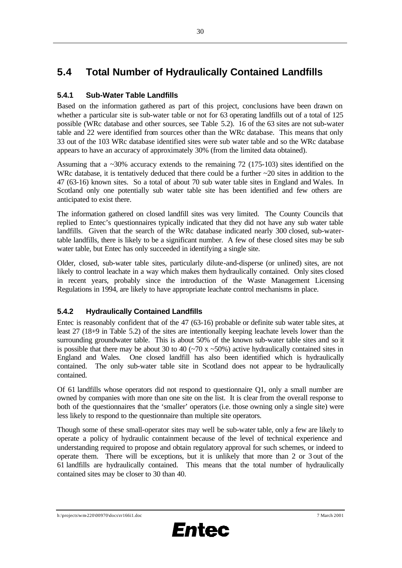# **5.4 Total Number of Hydraulically Contained Landfills**

### **5.4.1 Sub-Water Table Landfills**

Based on the information gathered as part of this project, conclusions have been drawn on whether a particular site is sub-water table or not for 63 operating landfills out of a total of 125 possible (WRc database and other sources, see Table 5.2). 16 of the 63 sites are not sub-water table and 22 were identified from sources other than the WRc database. This means that only 33 out of the 103 WRc database identified sites were sub water table and so the WRc database appears to have an accuracy of approximately 30% (from the limited data obtained).

Assuming that a ~30% accuracy extends to the remaining 72 (175-103) sites identified on the WRc database, it is tentatively deduced that there could be a further  $\sim$ 20 sites in addition to the 47 (63-16) known sites. So a total of about 70 sub water table sites in England and Wales. In Scotland only one potentially sub water table site has been identified and few others are anticipated to exist there.

The information gathered on closed landfill sites was very limited. The County Councils that replied to Entec's questionnaires typically indicated that they did not have any sub water table landfills. Given that the search of the WRc database indicated nearly 300 closed, sub-watertable landfills, there is likely to be a significant number. A few of these closed sites may be sub water table, but Entec has only succeeded in identifying a single site.

Older, closed, sub-water table sites, particularly dilute-and-disperse (or unlined) sites, are not likely to control leachate in a way which makes them hydraulically contained. Only sites closed in recent years, probably since the introduction of the Waste Management Licensing Regulations in 1994, are likely to have appropriate leachate control mechanisms in place.

### **5.4.2 Hydraulically Contained Landfills**

Entec is reasonably confident that of the 47 (63-16) probable or definite sub water table sites, at least 27 (18+9 in Table 5.2) of the sites are intentionally keeping leachate levels lower than the surrounding groundwater table. This is about 50% of the known sub-water table sites and so it is possible that there may be about 30 to 40 ( $\sim$ 70 x  $\sim$ 50%) active hydraulically contained sites in England and Wales. One closed landfill has also been identified which is hydraulically contained. The only sub-water table site in Scotland does not appear to be hydraulically contained.

Of 61 landfills whose operators did not respond to questionnaire Q1, only a small number are owned by companies with more than one site on the list. It is clear from the overall response to both of the questionnaires that the 'smaller' operators (i.e. those owning only a single site) were less likely to respond to the questionnaire than multiple site operators.

Though some of these small-operator sites may well be sub-water table, only a few are likely to operate a policy of hydraulic containment because of the level of technical experience and understanding required to propose and obtain regulatory approval for such schemes, or indeed to operate them. There will be exceptions, but it is unlikely that more than 2 or 3 out of the 61 landfills are hydraulically contained. This means that the total number of hydraulically contained sites may be closer to 30 than 40.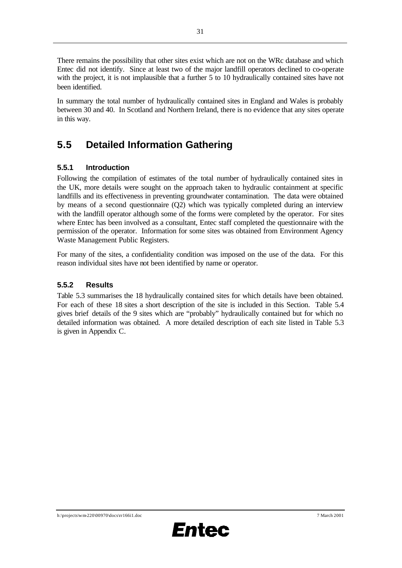There remains the possibility that other sites exist which are not on the WRc database and which Entec did not identify. Since at least two of the major landfill operators declined to co-operate with the project, it is not implausible that a further 5 to 10 hydraulically contained sites have not been identified.

In summary the total number of hydraulically contained sites in England and Wales is probably between 30 and 40. In Scotland and Northern Ireland, there is no evidence that any sites operate in this way.

# **5.5 Detailed Information Gathering**

### **5.5.1 Introduction**

Following the compilation of estimates of the total number of hydraulically contained sites in the UK, more details were sought on the approach taken to hydraulic containment at specific landfills and its effectiveness in preventing groundwater contamination. The data were obtained by means of a second questionnaire (Q2) which was typically completed during an interview with the landfill operator although some of the forms were completed by the operator. For sites where Entec has been involved as a consultant, Entec staff completed the questionnaire with the permission of the operator. Information for some sites was obtained from Environment Agency Waste Management Public Registers.

For many of the sites, a confidentiality condition was imposed on the use of the data. For this reason individual sites have not been identified by name or operator.

### **5.5.2 Results**

Table 5.3 summarises the 18 hydraulically contained sites for which details have been obtained. For each of these 18 sites a short description of the site is included in this Section. Table 5.4 gives brief details of the 9 sites which are "probably" hydraulically contained but for which no detailed information was obtained. A more detailed description of each site listed in Table 5.3 is given in Appendix C.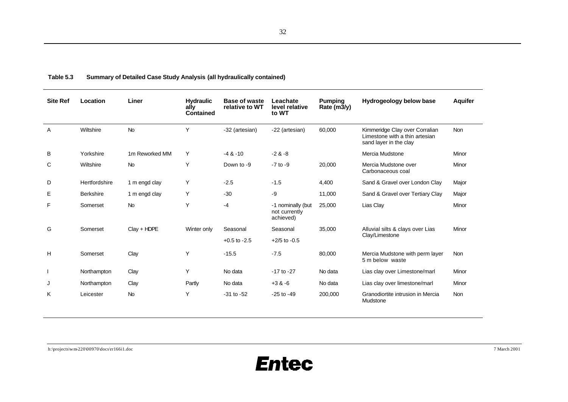| <b>Site Ref</b> | Location         | Liner          | <b>Hydraulic</b><br>ally<br><b>Contained</b> | <b>Base of waste</b><br>relative to WT | Leachate<br>level relative<br>to WT             | <b>Pumping</b><br>Rate $(m3/y)$ | Hydrogeology below base                                                                    | <b>Aquifer</b> |
|-----------------|------------------|----------------|----------------------------------------------|----------------------------------------|-------------------------------------------------|---------------------------------|--------------------------------------------------------------------------------------------|----------------|
| Α               | Wiltshire        | <b>No</b>      | Y                                            | -32 (artesian)                         | -22 (artesian)                                  | 60,000                          | Kimmeridge Clay over Corralian<br>Limestone with a thin artesian<br>sand layer in the clay | <b>Non</b>     |
| В               | Yorkshire        | 1m Reworked MM | Y                                            | $-4 & -10$                             | $-2 & -8$                                       |                                 | Mercia Mudstone                                                                            | Minor          |
| C               | Wiltshire        | No             | Y                                            | Down to -9                             | $-7$ to $-9$                                    | 20,000                          | Mercia Mudstone over<br>Carbonaceous coal                                                  | Minor          |
| D               | Hertfordshire    | 1 m engd clay  | Y                                            | $-2.5$                                 | $-1.5$                                          | 4,400                           | Sand & Gravel over London Clay                                                             | Major          |
| Е               | <b>Berkshire</b> | 1 m engd clay  | Y                                            | $-30$                                  | -9                                              | 11,000                          | Sand & Gravel over Tertiary Clay                                                           | Major          |
| F               | Somerset         | <b>No</b>      | Y                                            | $-4$                                   | -1 nominally (but<br>not currently<br>achieved) | 25,000                          | Lias Clay                                                                                  | Minor          |
| G               | Somerset         | Clay + HDPE    | Winter only                                  | Seasonal                               | Seasonal                                        | 35,000                          | Alluvial silts & clays over Lias                                                           | Minor          |
|                 |                  |                |                                              | $+0.5$ to $-2.5$                       | $+2/5$ to $-0.5$                                |                                 | Clay/Limestone                                                                             |                |
| H               | Somerset         | Clay           | Y                                            | $-15.5$                                | $-7.5$                                          | 80,000                          | Mercia Mudstone with perm layer<br>5 m below waste                                         | <b>Non</b>     |
|                 | Northampton      | Clay           | Y                                            | No data                                | $-17$ to $-27$                                  | No data                         | Lias clay over Limestone/marl                                                              | Minor          |
| J               | Northampton      | Clay           | Partly                                       | No data                                | $+3 & -6$                                       | No data                         | Lias clay over limestone/marl                                                              | Minor          |
| Κ               | Leicester        | No             | Y                                            | $-31$ to $-52$                         | $-25$ to $-49$                                  | 200,000                         | Granodiortite intrusion in Mercia<br>Mudstone                                              | <b>Non</b>     |

#### **Table 5.3 Summary of Detailed Case Study Analysis (all hydraulically contained)**

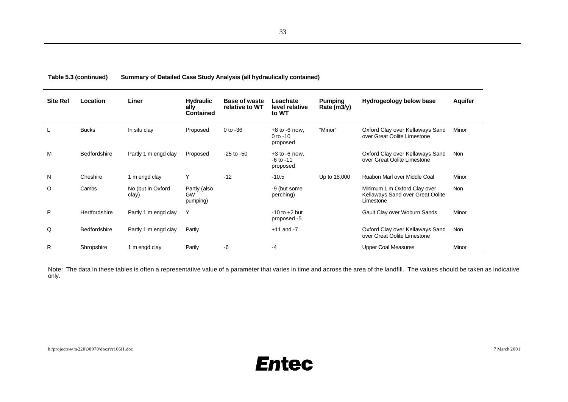| <b>Site Ref</b> | <b>Location</b>     | Liner                      | <b>Hydraulic</b><br>allv<br><b>Contained</b> | <b>Base of waste</b><br>relative to WT | Leachate<br>level relative<br>to WT            | <b>Pumping</b><br>Rate (m3/y) | Hydrogeology below base                                                       | <b>Aquifer</b> |
|-----------------|---------------------|----------------------------|----------------------------------------------|----------------------------------------|------------------------------------------------|-------------------------------|-------------------------------------------------------------------------------|----------------|
|                 | <b>Bucks</b>        | In situ clay               | Proposed                                     | $0$ to $-36$                           | $+8$ to $-6$ now.<br>0 to $-10$<br>proposed    | "Minor"                       | Oxford Clay over Kellaways Sand<br>over Great Oolite Limestone                | Minor          |
| M               | Bedfordshire        | Partly 1 m engd clay       | Proposed                                     | $-25$ to $-50$                         | $+3$ to $-6$ now.<br>$-6$ to $-11$<br>proposed |                               | Oxford Clay over Kellaways Sand<br>over Great Oolite Limestone                | Non            |
| N               | Cheshire            | 1 m engd clay              | Υ                                            | $-12$                                  | $-10.5$                                        | Up to 18,000                  | Ruabon Marl over Middle Coal                                                  | Minor          |
| O               | Cambs               | No (but in Oxford<br>clay) | Partly (also<br><b>GW</b><br>pumping)        |                                        | -9 (but some<br>perching)                      |                               | Minimum 1 m Oxford Clay over<br>Kellaways Sand over Great Oolite<br>Limestone | <b>Non</b>     |
| P               | Hertfordshire       | Partly 1 m engd clay       | Y                                            |                                        | $-10$ to $+2$ but<br>proposed -5               |                               | Gault Clay over Woburn Sands                                                  | Minor          |
| Q               | <b>Bedfordshire</b> | Partly 1 m engd clay       | Partly                                       |                                        | $+11$ and $-7$                                 |                               | Oxford Clay over Kellaways Sand<br>over Great Oolite Limestone                | Non            |
| R               | Shropshire          | 1 m engd clay              | Partly                                       | $-6$                                   | $-4$                                           |                               | <b>Upper Coal Measures</b>                                                    | Minor          |

**Table 5.3 (continued) Summary of Detailed Case Study Analysis (all hydraulically contained)**

Note: The data in these tables is often a representative value of a parameter that varies in time and across the area of the landfill. The values should be taken as indicative only.

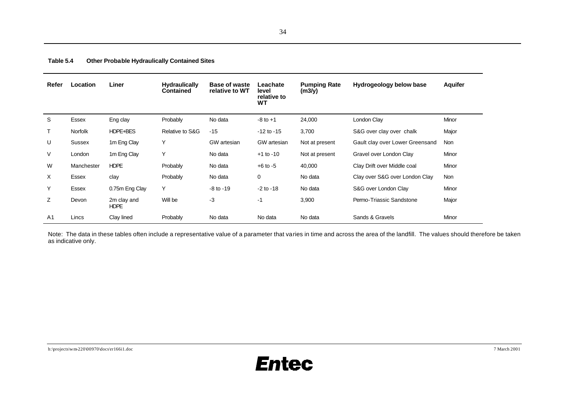#### **Table 5.4 Other Probable Hydraulically Contained Sites**

| Refer          | Location       | Liner                      | <b>Hydraulically</b><br><b>Contained</b> | Base of waste<br>relative to WT | Leachate<br>level<br>relative to<br><b>WT</b> | <b>Pumping Rate</b><br>(m3/y) | Hydrogeology below base         | <b>Aquifer</b> |
|----------------|----------------|----------------------------|------------------------------------------|---------------------------------|-----------------------------------------------|-------------------------------|---------------------------------|----------------|
| S              | Essex          | Eng clay                   | Probably                                 | No data                         | $-8$ to $+1$                                  | 24,000                        | London Clay                     | Minor          |
|                | <b>Norfolk</b> | HDPE+BES                   | Relative to S&G                          | $-15$                           | $-12$ to $-15$                                | 3,700                         | S&G over clay over chalk        | Major          |
| U              | Sussex         | 1m Eng Clay                | Υ                                        | GW artesian                     | GW artesian                                   | Not at present                | Gault clay over Lower Greensand | Non            |
| V              | London         | 1m Eng Clay                | Y                                        | No data                         | $+1$ to $-10$                                 | Not at present                | Gravel over London Clay         | Minor          |
| W              | Manchester     | <b>HDPE</b>                | Probably                                 | No data                         | $+6$ to $-5$                                  | 40,000                        | Clay Drift over Middle coal     | Minor          |
| X              | Essex          | clay                       | Probably                                 | No data                         | 0                                             | No data                       | Clay over S&G over London Clay  | Non            |
| Y              | <b>Essex</b>   | 0.75m Eng Clay             | Y                                        | $-8$ to $-19$                   | $-2$ to $-18$                                 | No data                       | S&G over London Clay            | Minor          |
| Z.             | Devon          | 2m clay and<br><b>HDPE</b> | Will be                                  | -3                              | -1                                            | 3,900                         | Permo-Triassic Sandstone        | Major          |
| A <sub>1</sub> | Lincs          | Clay lined                 | Probably                                 | No data                         | No data                                       | No data                       | Sands & Gravels                 | Minor          |

Note: The data in these tables often include a representative value of a parameter that varies in time and across the area of the landfill. The values should therefore be taken as indicative only.

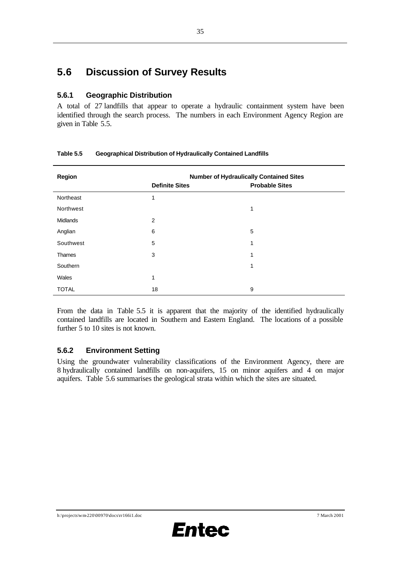# **5.6 Discussion of Survey Results**

### **5.6.1 Geographic Distribution**

A total of 27 landfills that appear to operate a hydraulic containment system have been identified through the search process. The numbers in each Environment Agency Region are given in Table 5.5.

| <b>Region</b>   | <b>Number of Hydraulically Contained Sites</b> |                       |  |  |
|-----------------|------------------------------------------------|-----------------------|--|--|
|                 | <b>Definite Sites</b>                          | <b>Probable Sites</b> |  |  |
| Northeast       | 4                                              |                       |  |  |
| Northwest       |                                                | 1                     |  |  |
| <b>Midlands</b> | $\overline{2}$                                 |                       |  |  |
| Anglian         | 6                                              | 5                     |  |  |
| Southwest       | 5                                              | 1                     |  |  |
| Thames          | 3                                              | 1                     |  |  |
| Southern        |                                                | 1                     |  |  |
| Wales           | 1                                              |                       |  |  |
| <b>TOTAL</b>    | 18                                             | 9                     |  |  |

**Table 5.5 Geographical Distribution of Hydraulically Contained Landfills**

From the data in Table 5.5 it is apparent that the majority of the identified hydraulically contained landfills are located in Southern and Eastern England. The locations of a possible further 5 to 10 sites is not known.

### **5.6.2 Environment Setting**

Using the groundwater vulnerability classifications of the Environment Agency, there are 8 hydraulically contained landfills on non-aquifers, 15 on minor aquifers and 4 on major aquifers. Table 5.6 summarises the geological strata within which the sites are situated.

**Entec** 

35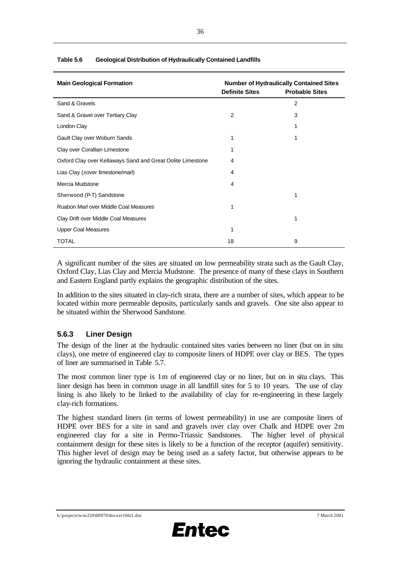| <b>Main Geological Formation</b>                           |                       | <b>Number of Hydraulically Contained Sites</b> |
|------------------------------------------------------------|-----------------------|------------------------------------------------|
|                                                            | <b>Definite Sites</b> | <b>Probable Sites</b>                          |
| Sand & Gravels                                             |                       | $\overline{2}$                                 |
| Sand & Gravel over Tertiary Clay                           | 2                     | 3                                              |
| London Clay                                                |                       | 1                                              |
| Gault Clay over Woburn Sands                               | 1                     | 1                                              |
| Clay over Corallian Limestone                              | 1                     |                                                |
| Oxford Clay over Kellaways Sand and Great Oolite Limestone | 4                     |                                                |
| Lias Clay (±over limestone/marl)                           | 4                     |                                                |
| Mercia Mudstone                                            | 4                     |                                                |
| Sherwood (P-T) Sandstone                                   |                       | 1                                              |
| Ruabon Marl over Middle Coal Measures                      | 1                     |                                                |
| Clay Drift over Middle Coal Measures                       |                       | 1                                              |
| <b>Upper Coal Measures</b>                                 | 1                     |                                                |
| TOTAL                                                      | 18                    | 9                                              |

#### **Table 5.6 Geological Distribution of Hydraulically Contained Landfills**

A significant number of the sites are situated on low permeability strata such as the Gault Clay, Oxford Clay, Lias Clay and Mercia Mudstone. The presence of many of these clays in Southern and Eastern England partly explains the geographic distribution of the sites.

In addition to the sites situated in clay-rich strata, there are a number of sites, which appear to be located within more permeable deposits, particularly sands and gravels. One site also appear to be situated within the Sherwood Sandstone.

#### **5.6.3 Liner Design**

The design of the liner at the hydraulic contained sites varies between no liner (but on in situ clays), one metre of engineered clay to composite liners of HDPE over clay or BES. The types of liner are summarised in Table 5.7.

The most common liner type is 1m of engineered clay or no liner, but on in situ clays. This liner design has been in common usage in all landfill sites for 5 to 10 years. The use of clay lining is also likely to be linked to the availability of clay for re-engineering in these largely clay-rich formations.

The highest standard liners (in terms of lowest permeability) in use are composite liners of HDPE over BES for a site in sand and gravels over clay over Chalk and HDPE over 2m engineered clay for a site in Permo-Triassic Sandstones. The higher level of physical containment design for these sites is likely to be a function of the receptor (aquifer) sensitivity. This higher level of design may be being used as a safety factor, but otherwise appears to be ignoring the hydraulic containment at these sites.

**Entec** 

36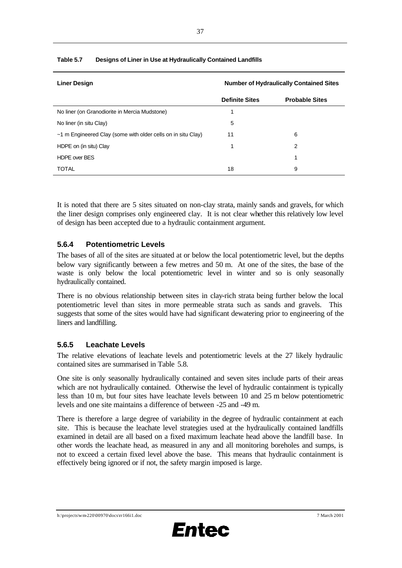| <b>Liner Design</b>                                                | <b>Number of Hydraulically Contained Sites</b> |                       |  |
|--------------------------------------------------------------------|------------------------------------------------|-----------------------|--|
|                                                                    | <b>Definite Sites</b>                          | <b>Probable Sites</b> |  |
| No liner (on Granodiorite in Mercia Mudstone)                      | 1                                              |                       |  |
| No liner (in situ Clay)                                            | 5                                              |                       |  |
| $\sim$ 1 m Engineered Clay (some with older cells on in situ Clay) | 11                                             | 6                     |  |
| HDPE on (in situ) Clay                                             | 1                                              | 2                     |  |
| <b>HDPE over BES</b>                                               |                                                | 4                     |  |
| <b>TOTAL</b>                                                       | 18                                             | 9                     |  |

37

#### **Table 5.7 Designs of Liner in Use at Hydraulically Contained Landfills**

It is noted that there are 5 sites situated on non-clay strata, mainly sands and gravels, for which the liner design comprises only engineered clay. It is not clear whether this relatively low level of design has been accepted due to a hydraulic containment argument.

#### **5.6.4 Potentiometric Levels**

The bases of all of the sites are situated at or below the local potentiometric level, but the depths below vary significantly between a few metres and 50 m. At one of the sites, the base of the waste is only below the local potentiometric level in winter and so is only seasonally hydraulically contained.

There is no obvious relationship between sites in clay-rich strata being further below the local potentiometric level than sites in more permeable strata such as sands and gravels. This suggests that some of the sites would have had significant dewatering prior to engineering of the liners and landfilling.

#### **5.6.5 Leachate Levels**

The relative elevations of leachate levels and potentiometric levels at the 27 likely hydraulic contained sites are summarised in Table 5.8.

One site is only seasonally hydraulically contained and seven sites include parts of their areas which are not hydraulically contained. Otherwise the level of hydraulic containment is typically less than 10 m, but four sites have leachate levels between 10 and 25 m below potentiometric levels and one site maintains a difference of between -25 and -49 m.

There is therefore a large degree of variability in the degree of hydraulic containment at each site. This is because the leachate level strategies used at the hydraulically contained landfills examined in detail are all based on a fixed maximum leachate head above the landfill base. In other words the leachate head, as measured in any and all monitoring boreholes and sumps, is not to exceed a certain fixed level above the base. This means that hydraulic containment is effectively being ignored or if not, the safety margin imposed is large.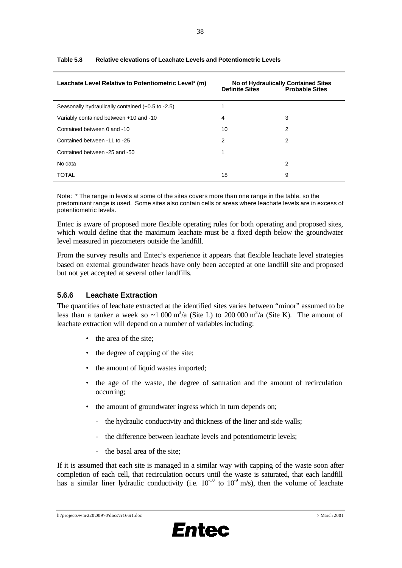| Leachate Level Relative to Potentiometric Level* (m) | <b>Definite Sites</b> | No of Hydraulically Contained Sites<br><b>Probable Sites</b> |
|------------------------------------------------------|-----------------------|--------------------------------------------------------------|
| Seasonally hydraulically contained (+0.5 to -2.5)    |                       |                                                              |
| Variably contained between +10 and -10               | 4                     | 3                                                            |
| Contained between 0 and -10                          | 10                    | 2                                                            |
| Contained between -11 to -25                         | 2                     | 2                                                            |
| Contained between -25 and -50                        | 1                     |                                                              |
| No data                                              |                       | 2                                                            |
| <b>TOTAL</b>                                         | 18                    | 9                                                            |

#### **Table 5.8 Relative elevations of Leachate Levels and Potentiometric Levels**

Note: \* The range in levels at some of the sites covers more than one range in the table, so the predominant range is used. Some sites also contain cells or areas where leachate levels are in excess of potentiometric levels.

Entec is aware of proposed more flexible operating rules for both operating and proposed sites, which would define that the maximum leachate must be a fixed depth below the groundwater level measured in piezometers outside the landfill.

From the survey results and Entec's experience it appears that flexible leachate level strategies based on external groundwater heads have only been accepted at one landfill site and proposed but not yet accepted at several other landfills.

#### **5.6.6 Leachate Extraction**

The quantities of leachate extracted at the identified sites varies between "minor" assumed to be less than a tanker a week so  $\sim$ 1 000 m<sup>3</sup>/a (Site L) to 200 000 m<sup>3</sup>/a (Site K). The amount of leachate extraction will depend on a number of variables including:

- the area of the site;
- the degree of capping of the site;
- the amount of liquid wastes imported;
- the age of the waste, the degree of saturation and the amount of recirculation occurring;
- the amount of groundwater ingress which in turn depends on;
	- the hydraulic conductivity and thickness of the liner and side walls;
	- the difference between leachate levels and potentiometric levels;
	- the basal area of the site;

If it is assumed that each site is managed in a similar way with capping of the waste soon after completion of each cell, that recirculation occurs until the waste is saturated, that each landfill has a similar liner hydraulic conductivity (i.e.  $10^{-10}$  to  $10^{-9}$  m/s), then the volume of leachate

h:\projects\wm-220\00970\docs\rr166i1.doc 7 March 2001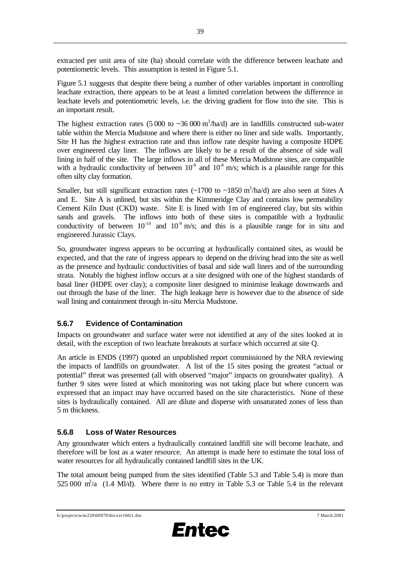extracted per unit area of site (ha) should correlate with the difference between leachate and potentiometric levels. This assumption is tested in Figure 5.1.

Figure 5.1 suggests that despite there being a number of other variables important in controlling leachate extraction, there appears to be at least a limited correlation between the difference in leachate levels and potentiometric levels, i.e. the driving gradient for flow into the site. This is an important result.

The highest extraction rates (5 000 to  $\sim$ 36 000 m<sup>3</sup>/ha/d) are in landfills constructed sub-water table within the Mercia Mudstone and where there is either no liner and side walls. Importantly, Site H has the highest extraction rate and thus inflow rate despite having a composite HDPE over engineered clay liner. The inflows are likely to be a result of the absence of side wall lining in half of the site. The large inflows in all of these Mercia Mudstone sites, are compatible with a hydraulic conductivity of between  $10^{-9}$  and  $10^{-8}$  m/s; which is a plausible range for this often silty clay formation.

Smaller, but still significant extraction rates  $(\sim 1700$  to  $\sim 1850$  m<sup>3</sup>/ha/d) are also seen at Sites A and E. Site A is unlined, but sits within the Kimmeridge Clay and contains low permeability Cement Kiln Dust (CKD) waste. Site E is lined with 1m of engineered clay, but sits within sands and gravels. The inflows into both of these sites is compatible with a hydraulic conductivity of between  $10^{-10}$  and  $10^{-9}$  m/s; and this is a plausible range for in situ and engineered Jurassic Clays.

So, groundwater ingress appears to be occurring at hydraulically contained sites, as would be expected, and that the rate of ingress appears to depend on the driving head into the site as well as the presence and hydraulic conductivities of basal and side wall liners and of the surrounding strata. Notably the highest inflow occurs at a site designed with one of the highest standards of basal liner (HDPE over clay); a composite liner designed to minimise leakage downwards and out through the base of the liner. The high leakage here is however due to the absence of side wall lining and containment through in-situ Mercia Mudstone.

### **5.6.7 Evidence of Contamination**

Impacts on groundwater and surface water were not identified at any of the sites looked at in detail, with the exception of two leachate breakouts at surface which occurred at site Q.

An article in ENDS (1997) quoted an unpublished report commissioned by the NRA reviewing the impacts of landfills on groundwater. A list of the 15 sites posing the greatest "actual or potential" threat was presented (all with observed "major" impacts on groundwater quality). A further 9 sites were listed at which monitoring was not taking place but where concern was expressed that an impact may have occurred based on the site characteristics. None of these sites is hydraulically contained. All are dilute and disperse with unsaturated zones of less than 5 m thickness.

### **5.6.8 Loss of Water Resources**

Any groundwater which enters a hydraulically contained landfill site will become leachate, and therefore will be lost as a water resource. An attempt is made here to estimate the total loss of water resources for all hydraulically contained landfill sites in the UK.

The total amount being pumped from the sites identified (Table 5.3 and Table 5.4) is more than 525 000  $m^3/a$  (1.4 Ml/d). Where there is no entry in Table 5.3 or Table 5.4 in the relevant

h:\projects\wm-220\00970\docs\rr166i1.doc 7 March 2001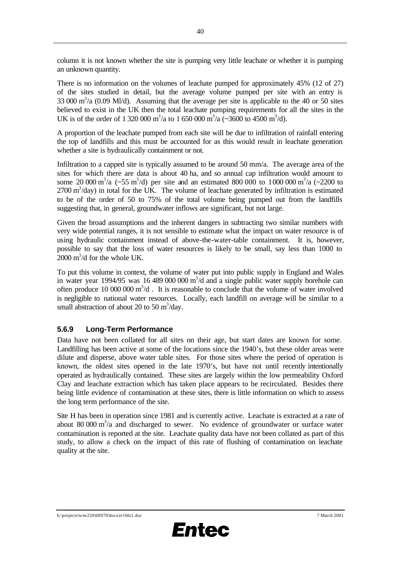column it is not known whether the site is pumping very little leachate or whether it is pumping an unknown quantity.

There is no information on the volumes of leachate pumped for approximately 45% (12 of 27) of the sites studied in detail, but the average volume pumped per site with an entry is 33 000  $\text{m}^3$ /a (0.09 Ml/d). Assuming that the average per site is applicable to the 40 or 50 sites believed to exist in the UK then the total leachate pumping requirements for all the sites in the UK is of the order of 1 320 000 m<sup>3</sup>/a to 1 650 000 m<sup>3</sup>/a (~3600 to 4500 m<sup>3</sup>/d).

A proportion of the leachate pumped from each site will be due to infiltration of rainfall entering the top of landfills and this must be accounted for as this would result in leachate generation whether a site is hydraulically containment or not.

Infiltration to a capped site is typically assumed to be around 50 mm/a. The average area of the sites for which there are data is about 40 ha, and so annual cap infiltration would amount to some 20 000 m<sup>3</sup>/a ( $\sim$  55 m<sup>3</sup>/d) per site and an estimated 800 000 to 1000 000 m<sup>3</sup>/a ( $\sim$  2200 to  $2700 \text{ m}^3/\text{day}$ ) in total for the UK. The volume of leachate generated by infiltration is estimated to be of the order of 50 to 75% of the total volume being pumped out from the landfills suggesting that, in general, groundwater inflows are significant, but not large.

Given the broad assumptions and the inherent dangers in subtracting two similar numbers with very wide potential ranges, it is not sensible to estimate what the impact on water resource is of using hydraulic containment instead of above-the-water-table containment. It is, however, possible to say that the loss of water resources is likely to be small, say less than 1000 to  $2000 \text{ m}^3/\text{d}$  for the whole UK.

To put this volume in context, the volume of water put into public supply in England and Wales in water year 1994/95 was 16 489 000 000  $\text{m}^3$ /d and a single public water supply borehole can often produce  $10\ 000\ 000\ \text{m}^3/\text{d}$ . It is reasonable to conclude that the volume of water involved is negligible to national water resources. Locally, each landfill on average will be similar to a small abstraction of about 20 to 50  $\text{m}^3/\text{day}$ .

#### **5.6.9 Long-Term Performance**

Data have not been collated for all sites on their age, but start dates are known for some. Landfilling has been active at some of the locations since the 1940's, but these older areas were dilute and disperse, above water table sites. For those sites where the period of operation is known, the oldest sites opened in the late 1970's, but have not until recently intentionally operated as hydraulically contained. These sites are largely within the low permeability Oxford Clay and leachate extraction which has taken place appears to be recirculated. Besides there being little evidence of contamination at these sites, there is little information on which to assess the long term performance of the site.

Site H has been in operation since 1981 and is currently active. Leachate is extracted at a rate of about 80 000  $\text{m}^3$ /a and discharged to sewer. No evidence of groundwater or surface water contamination is reported at the site. Leachate quality data have not been collated as part of this study, to allow a check on the impact of this rate of flushing of contamination on leachate quality at the site.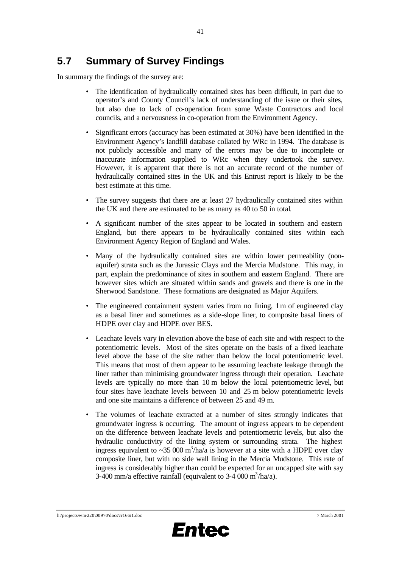# **5.7 Summary of Survey Findings**

In summary the findings of the survey are:

- The identification of hydraulically contained sites has been difficult, in part due to operator's and County Council's lack of understanding of the issue or their sites, but also due to lack of co-operation from some Waste Contractors and local councils, and a nervousness in co-operation from the Environment Agency.
- Significant errors (accuracy has been estimated at 30%) have been identified in the Environment Agency's landfill database collated by WRc in 1994. The database is not publicly accessible and many of the errors may be due to incomplete or inaccurate information supplied to WRc when they undertook the survey. However, it is apparent that there is not an accurate record of the number of hydraulically contained sites in the UK and this Entrust report is likely to be the best estimate at this time.
- The survey suggests that there are at least 27 hydraulically contained sites within the UK and there are estimated to be as many as 40 to 50 in total.
- A significant number of the sites appear to be located in southern and eastern England, but there appears to be hydraulically contained sites within each Environment Agency Region of England and Wales.
- Many of the hydraulically contained sites are within lower permeability (nonaquifer) strata such as the Jurassic Clays and the Mercia Mudstone. This may, in part, explain the predominance of sites in southern and eastern England. There are however sites which are situated within sands and gravels and there is one in the Sherwood Sandstone. These formations are designated as Major Aquifers.
- The engineered containment system varies from no lining, 1 m of engineered clay as a basal liner and sometimes as a side-slope liner, to composite basal liners of HDPE over clay and HDPE over BES.
- Leachate levels vary in elevation above the base of each site and with respect to the potentiometric levels. Most of the sites operate on the basis of a fixed leachate level above the base of the site rather than below the local potentiometric level. This means that most of them appear to be assuming leachate leakage through the liner rather than minimising groundwater ingress through their operation. Leachate levels are typically no more than 10 m below the local potentiometric level, but four sites have leachate levels between 10 and 25 m below potentiometric levels and one site maintains a difference of between 25 and 49 m.
- The volumes of leachate extracted at a number of sites strongly indicates that groundwater ingress is occurring. The amount of ingress appears to be dependent on the difference between leachate levels and potentiometric levels, but also the hydraulic conductivity of the lining system or surrounding strata. The highest ingress equivalent to ~35 000 m<sup>3</sup>/ha/a is however at a site with a HDPE over clay composite liner, but with no side wall lining in the Mercia Mudstone. This rate of ingress is considerably higher than could be expected for an uncapped site with say 3-400 mm/a effective rainfall (equivalent to  $3-4.000 \text{ m}^3/\text{h}a/\text{a}$ ).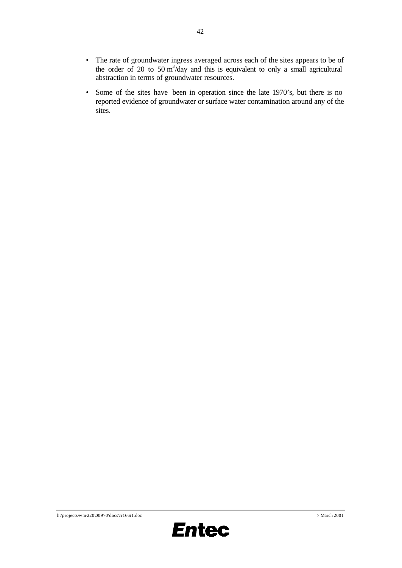- The rate of groundwater ingress averaged across each of the sites appears to be of the order of 20 to 50  $\text{m}^3$ /day and this is equivalent to only a small agricultural abstraction in terms of groundwater resources.
- Some of the sites have been in operation since the late 1970's, but there is no reported evidence of groundwater or surface water contamination around any of the sites.

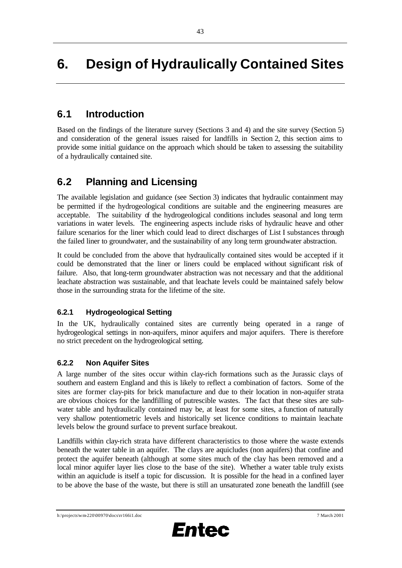# **6. Design of Hydraulically Contained Sites**

### **6.1 Introduction**

Based on the findings of the literature survey (Sections 3 and 4) and the site survey (Section 5) and consideration of the general issues raised for landfills in Section 2, this section aims to provide some initial guidance on the approach which should be taken to assessing the suitability of a hydraulically contained site.

## **6.2 Planning and Licensing**

The available legislation and guidance (see Section 3) indicates that hydraulic containment may be permitted if the hydrogeological conditions are suitable and the engineering measures are acceptable. The suitability of the hydrogeological conditions includes seasonal and long term variations in water levels. The engineering aspects include risks of hydraulic heave and other failure scenarios for the liner which could lead to direct discharges of List I substances through the failed liner to groundwater, and the sustainability of any long term groundwater abstraction.

It could be concluded from the above that hydraulically contained sites would be accepted if it could be demonstrated that the liner or liners could be emplaced without significant risk of failure. Also, that long-term groundwater abstraction was not necessary and that the additional leachate abstraction was sustainable, and that leachate levels could be maintained safely below those in the surrounding strata for the lifetime of the site.

### **6.2.1 Hydrogeological Setting**

In the UK, hydraulically contained sites are currently being operated in a range of hydrogeological settings in non-aquifers, minor aquifers and major aquifers. There is therefore no strict precedent on the hydrogeological setting.

### **6.2.2 Non Aquifer Sites**

A large number of the sites occur within clay-rich formations such as the Jurassic clays of southern and eastern England and this is likely to reflect a combination of factors. Some of the sites are former clay-pits for brick manufacture and due to their location in non-aquifer strata are obvious choices for the landfilling of putrescible wastes. The fact that these sites are subwater table and hydraulically contained may be, at least for some sites, a function of naturally very shallow potentiometric levels and historically set licence conditions to maintain leachate levels below the ground surface to prevent surface breakout.

Landfills within clay-rich strata have different characteristics to those where the waste extends beneath the water table in an aquifer. The clays are aquicludes (non aquifers) that confine and protect the aquifer beneath (although at some sites much of the clay has been removed and a local minor aquifer layer lies close to the base of the site). Whether a water table truly exists within an aquiclude is itself a topic for discussion. It is possible for the head in a confined layer to be above the base of the waste, but there is still an unsaturated zone beneath the landfill (see

h:\projects\wm-220\00970\docs\rr166i1.doc 7 March 2001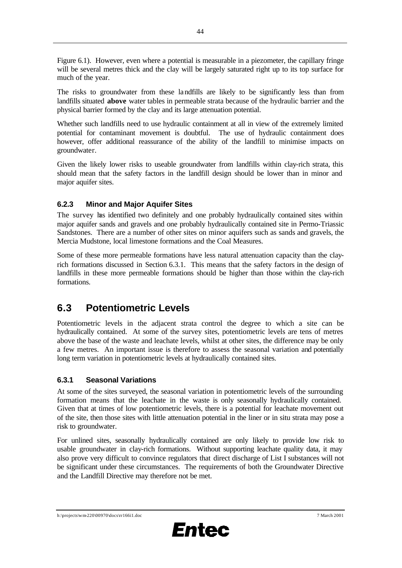Figure 6.1). However, even where a potential is measurable in a piezometer, the capillary fringe will be several metres thick and the clay will be largely saturated right up to its top surface for much of the year.

The risks to groundwater from these landfills are likely to be significantly less than from landfills situated **above** water tables in permeable strata because of the hydraulic barrier and the physical barrier formed by the clay and its large attenuation potential.

Whether such landfills need to use hydraulic containment at all in view of the extremely limited potential for contaminant movement is doubtful. The use of hydraulic containment does however, offer additional reassurance of the ability of the landfill to minimise impacts on groundwater.

Given the likely lower risks to useable groundwater from landfills within clay-rich strata, this should mean that the safety factors in the landfill design should be lower than in minor and major aquifer sites.

### **6.2.3 Minor and Major Aquifer Sites**

The survey has identified two definitely and one probably hydraulically contained sites within major aquifer sands and gravels and one probably hydraulically contained site in Permo-Triassic Sandstones. There are a number of other sites on minor aquifers such as sands and gravels, the Mercia Mudstone, local limestone formations and the Coal Measures.

Some of these more permeable formations have less natural attenuation capacity than the clayrich formations discussed in Section 6.3.1. This means that the safety factors in the design of landfills in these more permeable formations should be higher than those within the clay-rich formations.

## **6.3 Potentiometric Levels**

Potentiometric levels in the adjacent strata control the degree to which a site can be hydraulically contained. At some of the survey sites, potentiometric levels are tens of metres above the base of the waste and leachate levels, whilst at other sites, the difference may be only a few metres. An important issue is therefore to assess the seasonal variation and potentially long term variation in potentiometric levels at hydraulically contained sites.

### **6.3.1 Seasonal Variations**

At some of the sites surveyed, the seasonal variation in potentiometric levels of the surrounding formation means that the leachate in the waste is only seasonally hydraulically contained. Given that at times of low potentiometric levels, there is a potential for leachate movement out of the site, then those sites with little attenuation potential in the liner or in situ strata may pose a risk to groundwater.

For unlined sites, seasonally hydraulically contained are only likely to provide low risk to usable groundwater in clay-rich formations. Without supporting leachate quality data, it may also prove very difficult to convince regulators that direct discharge of List I substances will not be significant under these circumstances. The requirements of both the Groundwater Directive and the Landfill Directive may therefore not be met.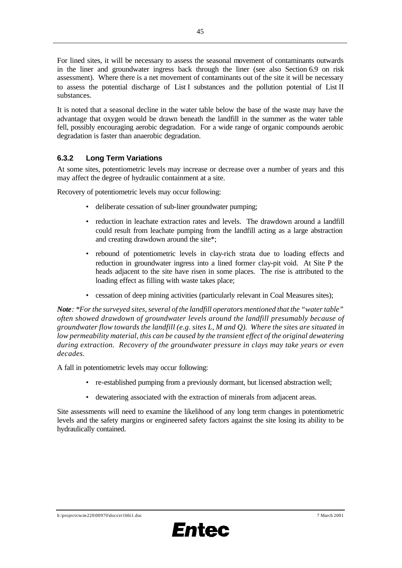For lined sites, it will be necessary to assess the seasonal movement of contaminants outwards in the liner and groundwater ingress back through the liner (see also Section 6.9 on risk assessment). Where there is a net movement of contaminants out of the site it will be necessary to assess the potential discharge of List I substances and the pollution potential of List II substances.

It is noted that a seasonal decline in the water table below the base of the waste may have the advantage that oxygen would be drawn beneath the landfill in the summer as the water table fell, possibly encouraging aerobic degradation. For a wide range of organic compounds aerobic degradation is faster than anaerobic degradation.

### **6.3.2 Long Term Variations**

At some sites, potentiometric levels may increase or decrease over a number of years and this may affect the degree of hydraulic containment at a site.

Recovery of potentiometric levels may occur following:

- deliberate cessation of sub-liner groundwater pumping;
- reduction in leachate extraction rates and levels. The drawdown around a landfill could result from leachate pumping from the landfill acting as a large abstraction and creating drawdown around the site\*;
- rebound of potentiometric levels in clay-rich strata due to loading effects and reduction in groundwater ingress into a lined former clay-pit void. At Site P the heads adjacent to the site have risen in some places. The rise is attributed to the loading effect as filling with waste takes place;
- cessation of deep mining activities (particularly relevant in Coal Measures sites);

*Note: \*For the surveyed sites, several of the landfill operators mentioned that the "water table" often showed drawdown of groundwater levels around the landfill presumably because of groundwater flow towards the landfill (e.g. sites L, M and Q). Where the sites are situated in low permeability material, this can be caused by the transient effect of the original dewatering during extraction. Recovery of the groundwater pressure in clays may take years or even decades.* 

A fall in potentiometric levels may occur following:

- re-established pumping from a previously dormant, but licensed abstraction well;
- dewatering associated with the extraction of minerals from adjacent areas.

Site assessments will need to examine the likelihood of any long term changes in potentiometric levels and the safety margins or engineered safety factors against the site losing its ability to be hydraulically contained.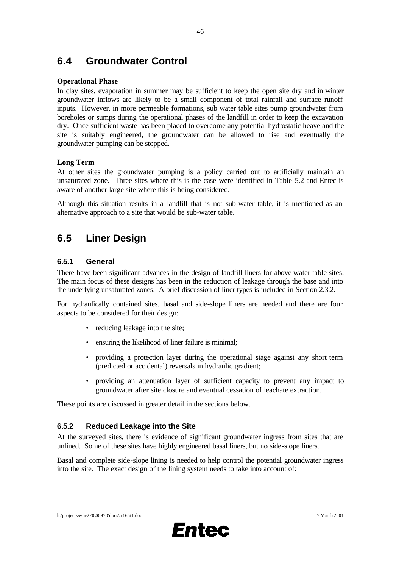# **6.4 Groundwater Control**

### **Operational Phase**

In clay sites, evaporation in summer may be sufficient to keep the open site dry and in winter groundwater inflows are likely to be a small component of total rainfall and surface runoff inputs. However, in more permeable formations, sub water table sites pump groundwater from boreholes or sumps during the operational phases of the landfill in order to keep the excavation dry. Once sufficient waste has been placed to overcome any potential hydrostatic heave and the site is suitably engineered, the groundwater can be allowed to rise and eventually the groundwater pumping can be stopped.

#### **Long Term**

At other sites the groundwater pumping is a policy carried out to artificially maintain an unsaturated zone. Three sites where this is the case were identified in Table 5.2 and Entec is aware of another large site where this is being considered.

Although this situation results in a landfill that is not sub-water table, it is mentioned as an alternative approach to a site that would be sub-water table.

### **6.5 Liner Design**

### **6.5.1 General**

There have been significant advances in the design of landfill liners for above water table sites. The main focus of these designs has been in the reduction of leakage through the base and into the underlying unsaturated zones. A brief discussion of liner types is included in Section 2.3.2.

For hydraulically contained sites, basal and side-slope liners are needed and there are four aspects to be considered for their design:

- reducing leakage into the site;
- ensuring the likelihood of liner failure is minimal;
- providing a protection layer during the operational stage against any short term (predicted or accidental) reversals in hydraulic gradient;
- providing an attenuation layer of sufficient capacity to prevent any impact to groundwater after site closure and eventual cessation of leachate extraction.

These points are discussed in greater detail in the sections below.

### **6.5.2 Reduced Leakage into the Site**

At the surveyed sites, there is evidence of significant groundwater ingress from sites that are unlined. Some of these sites have highly engineered basal liners, but no side-slope liners.

Basal and complete side-slope lining is needed to help control the potential groundwater ingress into the site. The exact design of the lining system needs to take into account of: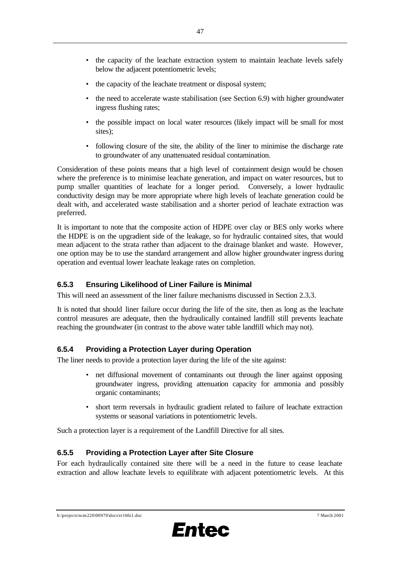- the capacity of the leachate extraction system to maintain leachate levels safely below the adjacent potentiometric levels;
- the capacity of the leachate treatment or disposal system;
- the need to accelerate waste stabilisation (see Section 6.9) with higher groundwater ingress flushing rates;
- the possible impact on local water resources (likely impact will be small for most sites);
- following closure of the site, the ability of the liner to minimise the discharge rate to groundwater of any unattenuated residual contamination.

Consideration of these points means that a high level of containment design would be chosen where the preference is to minimise leachate generation, and impact on water resources, but to pump smaller quantities of leachate for a longer period. Conversely, a lower hydraulic conductivity design may be more appropriate where high levels of leachate generation could be dealt with, and accelerated waste stabilisation and a shorter period of leachate extraction was preferred.

It is important to note that the composite action of HDPE over clay or BES only works where the HDPE is on the upgradient side of the leakage, so for hydraulic contained sites, that would mean adjacent to the strata rather than adjacent to the drainage blanket and waste. However, one option may be to use the standard arrangement and allow higher groundwater ingress during operation and eventual lower leachate leakage rates on completion.

### **6.5.3 Ensuring Likelihood of Liner Failure is Minimal**

This will need an assessment of the liner failure mechanisms discussed in Section 2.3.3.

It is noted that should liner failure occur during the life of the site, then as long as the leachate control measures are adequate, then the hydraulically contained landfill still prevents leachate reaching the groundwater (in contrast to the above water table landfill which may not).

### **6.5.4 Providing a Protection Layer during Operation**

The liner needs to provide a protection layer during the life of the site against:

- net diffusional movement of contaminants out through the liner against opposing groundwater ingress, providing attenuation capacity for ammonia and possibly organic contaminants;
- short term reversals in hydraulic gradient related to failure of leachate extraction systems or seasonal variations in potentiometric levels.

Such a protection layer is a requirement of the Landfill Directive for all sites.

### **6.5.5 Providing a Protection Layer after Site Closure**

For each hydraulically contained site there will be a need in the future to cease leachate extraction and allow leachate levels to equilibrate with adjacent potentiometric levels. At this

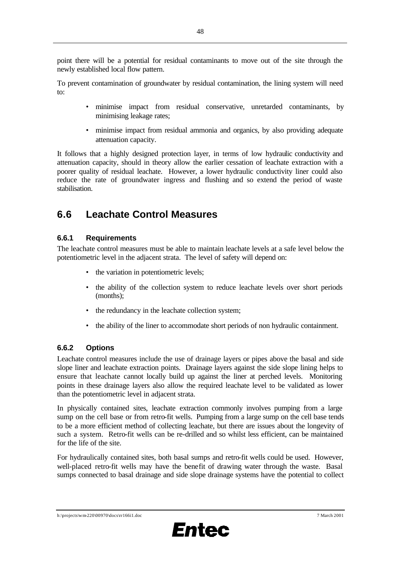point there will be a potential for residual contaminants to move out of the site through the newly established local flow pattern.

To prevent contamination of groundwater by residual contamination, the lining system will need to:

- minimise impact from residual conservative, unretarded contaminants, by minimising leakage rates;
- minimise impact from residual ammonia and organics, by also providing adequate attenuation capacity.

It follows that a highly designed protection layer, in terms of low hydraulic conductivity and attenuation capacity, should in theory allow the earlier cessation of leachate extraction with a poorer quality of residual leachate. However, a lower hydraulic conductivity liner could also reduce the rate of groundwater ingress and flushing and so extend the period of waste stabilisation.

### **6.6 Leachate Control Measures**

### **6.6.1 Requirements**

The leachate control measures must be able to maintain leachate levels at a safe level below the potentiometric level in the adjacent strata. The level of safety will depend on:

- the variation in potentiometric levels;
- the ability of the collection system to reduce leachate levels over short periods (months);
- the redundancy in the leachate collection system;
- the ability of the liner to accommodate short periods of non hydraulic containment.

### **6.6.2 Options**

Leachate control measures include the use of drainage layers or pipes above the basal and side slope liner and leachate extraction points. Drainage layers against the side slope lining helps to ensure that leachate cannot locally build up against the liner at perched levels. Monitoring points in these drainage layers also allow the required leachate level to be validated as lower than the potentiometric level in adjacent strata.

In physically contained sites, leachate extraction commonly involves pumping from a large sump on the cell base or from retro-fit wells. Pumping from a large sump on the cell base tends to be a more efficient method of collecting leachate, but there are issues about the longevity of such a system. Retro-fit wells can be re-drilled and so whilst less efficient, can be maintained for the life of the site.

For hydraulically contained sites, both basal sumps and retro-fit wells could be used. However, well-placed retro-fit wells may have the benefit of drawing water through the waste. Basal sumps connected to basal drainage and side slope drainage systems have the potential to collect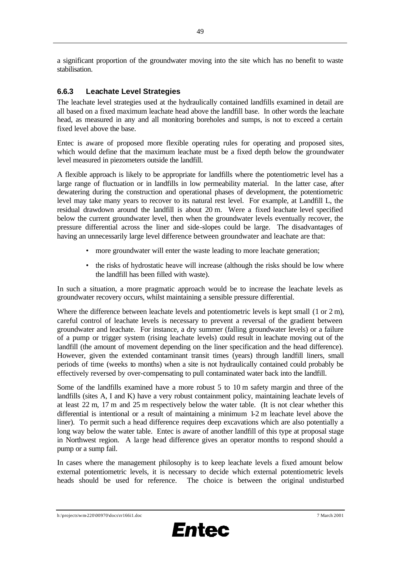a significant proportion of the groundwater moving into the site which has no benefit to waste stabilisation.

### **6.6.3 Leachate Level Strategies**

The leachate level strategies used at the hydraulically contained landfills examined in detail are all based on a fixed maximum leachate head above the landfill base. In other words the leachate head, as measured in any and all monitoring boreholes and sumps, is not to exceed a certain fixed level above the base.

Entec is aware of proposed more flexible operating rules for operating and proposed sites, which would define that the maximum leachate must be a fixed depth below the groundwater level measured in piezometers outside the landfill.

A flexible approach is likely to be appropriate for landfills where the potentiometric level has a large range of fluctuation or in landfills in low permeability material. In the latter case, after dewatering during the construction and operational phases of development, the potentiometric level may take many years to recover to its natural rest level. For example, at Landfill L, the residual drawdown around the landfill is about 20 m. Were a fixed leachate level specified below the current groundwater level, then when the groundwater levels eventually recover, the pressure differential across the liner and side-slopes could be large. The disadvantages of having an unnecessarily large level difference between groundwater and leachate are that:

- more groundwater will enter the waste leading to more leachate generation;
- the risks of hydrostatic heave will increase (although the risks should be low where the landfill has been filled with waste).

In such a situation, a more pragmatic approach would be to increase the leachate levels as groundwater recovery occurs, whilst maintaining a sensible pressure differential.

Where the difference between leachate levels and potentiometric levels is kept small (1 or 2 m), careful control of leachate levels is necessary to prevent a reversal of the gradient between groundwater and leachate. For instance, a dry summer (falling groundwater levels) or a failure of a pump or trigger system (rising leachate levels) could result in leachate moving out of the landfill (the amount of movement depending on the liner specification and the head difference). However, given the extended contaminant transit times (years) through landfill liners, small periods of time (weeks to months) when a site is not hydraulically contained could probably be effectively reversed by over-compensating to pull contaminated water back into the landfill.

Some of the landfills examined have a more robust 5 to 10 m safety margin and three of the landfills (sites A, I and K) have a very robust containment policy, maintaining leachate levels of at least 22 m, 17 m and 25 m respectively below the water table. (It is not clear whether this differential is intentional or a result of maintaining a minimum 1-2 m leachate level above the liner). To permit such a head difference requires deep excavations which are also potentially a long way below the water table. Entec is aware of another landfill of this type at proposal stage in Northwest region. A la rge head difference gives an operator months to respond should a pump or a sump fail.

In cases where the management philosophy is to keep leachate levels a fixed amount below external potentiometric levels, it is necessary to decide which external potentiometric levels heads should be used for reference. The choice is between the original undisturbed

h:\projects\wm-220\00970\docs\rr166i1.doc 7 March 2001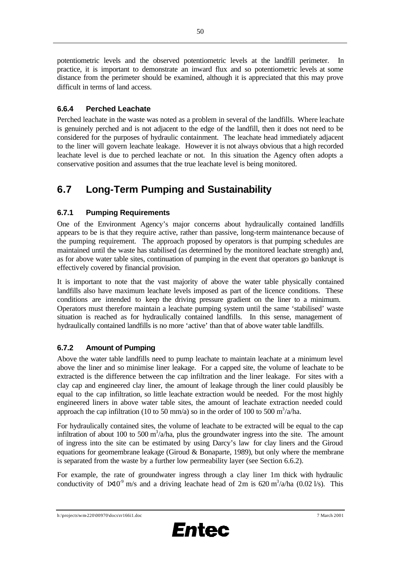potentiometric levels and the observed potentiometric levels at the landfill perimeter. In practice, it is important to demonstrate an inward flux and so potentiometric levels at some distance from the perimeter should be examined, although it is appreciated that this may prove difficult in terms of land access.

### **6.6.4 Perched Leachate**

Perched leachate in the waste was noted as a problem in several of the landfills. Where leachate is genuinely perched and is not adjacent to the edge of the landfill, then it does not need to be considered for the purposes of hydraulic containment. The leachate head immediately adjacent to the liner will govern leachate leakage. However it is not always obvious that a high recorded leachate level is due to perched leachate or not. In this situation the Agency often adopts a conservative position and assumes that the true leachate level is being monitored.

# **6.7 Long-Term Pumping and Sustainability**

### **6.7.1 Pumping Requirements**

One of the Environment Agency's major concerns about hydraulically contained landfills appears to be is that they require active, rather than passive, long-term maintenance because of the pumping requirement. The approach proposed by operators is that pumping schedules are maintained until the waste has stabilised (as determined by the monitored leachate strength) and, as for above water table sites, continuation of pumping in the event that operators go bankrupt is effectively covered by financial provision.

It is important to note that the vast majority of above the water table physically contained landfills also have maximum leachate levels imposed as part of the licence conditions. These conditions are intended to keep the driving pressure gradient on the liner to a minimum. Operators must therefore maintain a leachate pumping system until the same 'stabilised' waste situation is reached as for hydraulically contained landfills. In this sense, management of hydraulically contained landfills is no more 'active' than that of above water table landfills.

### **6.7.2 Amount of Pumping**

Above the water table landfills need to pump leachate to maintain leachate at a minimum level above the liner and so minimise liner leakage. For a capped site, the volume of leachate to be extracted is the difference between the cap infiltration and the liner leakage. For sites with a clay cap and engineered clay liner, the amount of leakage through the liner could plausibly be equal to the cap infiltration, so little leachate extraction would be needed. For the most highly engineered liners in above water table sites, the amount of leachate extraction needed could approach the cap infiltration (10 to 50 mm/a) so in the order of 100 to 500 m<sup>3</sup>/a/ha.

For hydraulically contained sites, the volume of leachate to be extracted will be equal to the cap infiltration of about 100 to 500  $\text{m}^3/\text{a/ha}$ , plus the groundwater ingress into the site. The amount of ingress into the site can be estimated by using Darcy's law for clay liners and the Giroud equations for geomembrane leakage (Giroud  $&$  Bonaparte, 1989), but only where the membrane is separated from the waste by a further low permeability layer (see Section 6.6.2).

For example, the rate of groundwater ingress through a clay liner 1m thick with hydraulic conductivity of  $\mathbb{K}10^{-9}$  m/s and a driving leachate head of 2m is 620 m<sup>3</sup>/a/ha (0.02 l/s). This

h:\projects\wm-220\00970\docs\rr166i1.doc 7 March 2001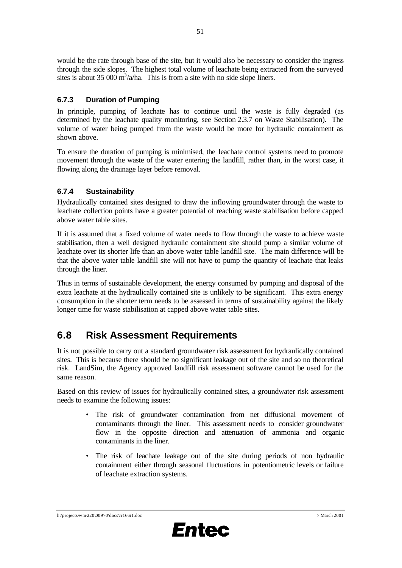would be the rate through base of the site, but it would also be necessary to consider the ingress through the side slopes. The highest total volume of leachate being extracted from the surveyed sites is about 35 000  $\text{m}^3/\text{a}/\text{ha}$ . This is from a site with no side slope liners.

### **6.7.3 Duration of Pumping**

In principle, pumping of leachate has to continue until the waste is fully degraded (as determined by the leachate quality monitoring, see Section 2.3.7 on Waste Stabilisation). The volume of water being pumped from the waste would be more for hydraulic containment as shown above.

To ensure the duration of pumping is minimised, the leachate control systems need to promote movement through the waste of the water entering the landfill, rather than, in the worst case, it flowing along the drainage layer before removal.

### **6.7.4 Sustainability**

Hydraulically contained sites designed to draw the inflowing groundwater through the waste to leachate collection points have a greater potential of reaching waste stabilisation before capped above water table sites.

If it is assumed that a fixed volume of water needs to flow through the waste to achieve waste stabilisation, then a well designed hydraulic containment site should pump a similar volume of leachate over its shorter life than an above water table landfill site. The main difference will be that the above water table landfill site will not have to pump the quantity of leachate that leaks through the liner.

Thus in terms of sustainable development, the energy consumed by pumping and disposal of the extra leachate at the hydraulically contained site is unlikely to be significant. This extra energy consumption in the shorter term needs to be assessed in terms of sustainability against the likely longer time for waste stabilisation at capped above water table sites.

## **6.8 Risk Assessment Requirements**

It is not possible to carry out a standard groundwater risk assessment for hydraulically contained sites. This is because there should be no significant leakage out of the site and so no theoretical risk. LandSim, the Agency approved landfill risk assessment software cannot be used for the same reason.

Based on this review of issues for hydraulically contained sites, a groundwater risk assessment needs to examine the following issues:

- The risk of groundwater contamination from net diffusional movement of contaminants through the liner. This assessment needs to consider groundwater flow in the opposite direction and attenuation of ammonia and organic contaminants in the liner.
- The risk of leachate leakage out of the site during periods of non hydraulic containment either through seasonal fluctuations in potentiometric levels or failure of leachate extraction systems.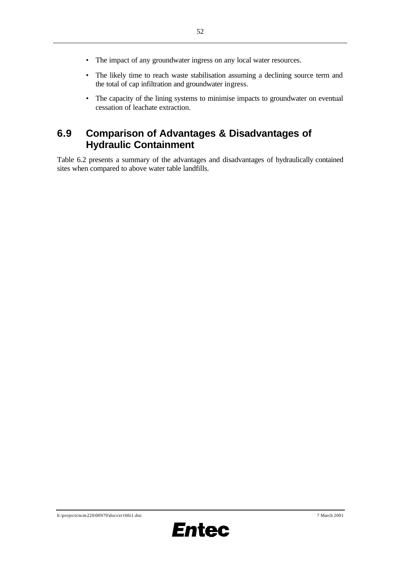- The impact of any groundwater ingress on any local water resources.
- The likely time to reach waste stabilisation assuming a declining source term and the total of cap infiltration and groundwater ingress.
- The capacity of the lining systems to minimise impacts to groundwater on eventual cessation of leachate extraction.

### **6.9 Comparison of Advantages & Disadvantages of Hydraulic Containment**

Table 6.2 presents a summary of the advantages and disadvantages of hydraulically contained sites when compared to above water table landfills.

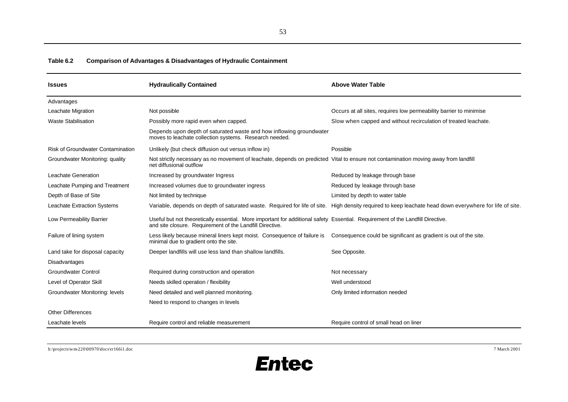#### **Table 6.2 Comparison of Advantages & Disadvantages of Hydraulic Containment**

| <b>Issues</b>                            | <b>Hydraulically Contained</b>                                                                                                                                                             | <b>Above Water Table</b>                                                                                                                                |
|------------------------------------------|--------------------------------------------------------------------------------------------------------------------------------------------------------------------------------------------|---------------------------------------------------------------------------------------------------------------------------------------------------------|
| Advantages                               |                                                                                                                                                                                            |                                                                                                                                                         |
| Leachate Migration                       | Not possible                                                                                                                                                                               | Occurs at all sites, requires low permeability barrier to minimise                                                                                      |
| <b>Waste Stabilisation</b>               | Possibly more rapid even when capped.                                                                                                                                                      | Slow when capped and without recirculation of treated leachate.                                                                                         |
|                                          | Depends upon depth of saturated waste and how inflowing groundwater<br>moves to leachate collection systems. Research needed.                                                              |                                                                                                                                                         |
| <b>Risk of Groundwater Contamination</b> | Unlikely (but check diffusion out versus inflow in)                                                                                                                                        | Possible                                                                                                                                                |
| Groundwater Monitoring: quality          | Not strictly necessary as no movement of leachate, depends on predicted Vital to ensure not contamination moving away from landfill<br>net diffusional outflow                             |                                                                                                                                                         |
| Leachate Generation                      | Increased by groundwater Ingress                                                                                                                                                           | Reduced by leakage through base                                                                                                                         |
| Leachate Pumping and Treatment           | Increased volumes due to groundwater ingress                                                                                                                                               | Reduced by leakage through base                                                                                                                         |
| Depth of Base of Site                    | Not limited by technique                                                                                                                                                                   | Limited by depth to water table                                                                                                                         |
| <b>Leachate Extraction Systems</b>       |                                                                                                                                                                                            | Variable, depends on depth of saturated waste. Required for life of site. High density required to keep leachate head down everywhere for life of site. |
| Low Permeability Barrier                 | Useful but not theoretically essential. More important for additional safety Essential. Requirement of the Landfill Directive.<br>and site closure. Requirement of the Landfill Directive. |                                                                                                                                                         |
| Failure of lining system                 | Less likely because mineral liners kept moist. Consequence of failure is<br>minimal due to gradient onto the site.                                                                         | Consequence could be significant as gradient is out of the site.                                                                                        |
| Land take for disposal capacity          | Deeper landfills will use less land than shallow landfills.                                                                                                                                | See Opposite.                                                                                                                                           |
| <b>Disadvantages</b>                     |                                                                                                                                                                                            |                                                                                                                                                         |
| <b>Groundwater Control</b>               | Required during construction and operation                                                                                                                                                 | Not necessary                                                                                                                                           |
| Level of Operator Skill                  | Needs skilled operation / flexibility                                                                                                                                                      | Well understood                                                                                                                                         |
| Groundwater Monitoring: levels           | Need detailed and well planned monitoring.                                                                                                                                                 | Only limited information needed                                                                                                                         |
|                                          | Need to respond to changes in levels                                                                                                                                                       |                                                                                                                                                         |
| <b>Other Differences</b>                 |                                                                                                                                                                                            |                                                                                                                                                         |
| Leachate levels                          | Require control and reliable measurement                                                                                                                                                   | Require control of small head on liner                                                                                                                  |



53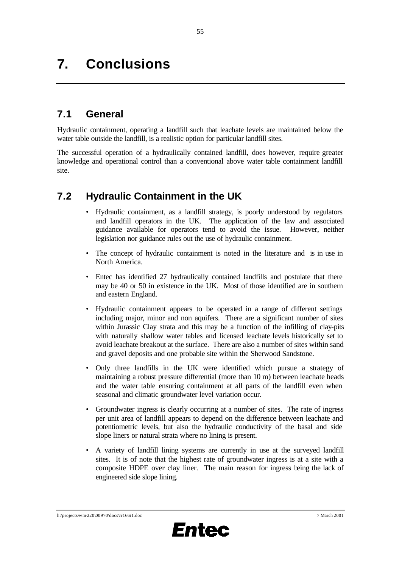# **7. Conclusions**

# **7.1 General**

Hydraulic containment, operating a landfill such that leachate levels are maintained below the water table outside the landfill, is a realistic option for particular landfill sites.

The successful operation of a hydraulically contained landfill, does however, require greater knowledge and operational control than a conventional above water table containment landfill site.

### **7.2 Hydraulic Containment in the UK**

- Hydraulic containment, as a landfill strategy, is poorly understood by regulators and landfill operators in the UK. The application of the law and associated guidance available for operators tend to avoid the issue. However, neither legislation nor guidance rules out the use of hydraulic containment.
- The concept of hydraulic containment is noted in the literature and is in use in North America.
- Entec has identified 27 hydraulically contained landfills and postulate that there may be 40 or 50 in existence in the UK. Most of those identified are in southern and eastern England.
- Hydraulic containment appears to be operated in a range of different settings including major, minor and non aquifers. There are a significant number of sites within Jurassic Clay strata and this may be a function of the infilling of clay-pits with naturally shallow water tables and licensed leachate levels historically set to avoid leachate breakout at the surface. There are also a number of sites within sand and gravel deposits and one probable site within the Sherwood Sandstone.
- Only three landfills in the UK were identified which pursue a strategy of maintaining a robust pressure differential (more than 10 m) between leachate heads and the water table ensuring containment at all parts of the landfill even when seasonal and climatic groundwater level variation occur.
- Groundwater ingress is clearly occurring at a number of sites. The rate of ingress per unit area of landfill appears to depend on the difference between leachate and potentiometric levels, but also the hydraulic conductivity of the basal and side slope liners or natural strata where no lining is present.
- A variety of landfill lining systems are currently in use at the surveyed landfill sites. It is of note that the highest rate of groundwater ingress is at a site with a composite HDPE over clay liner. The main reason for ingress being the lack of engineered side slope lining.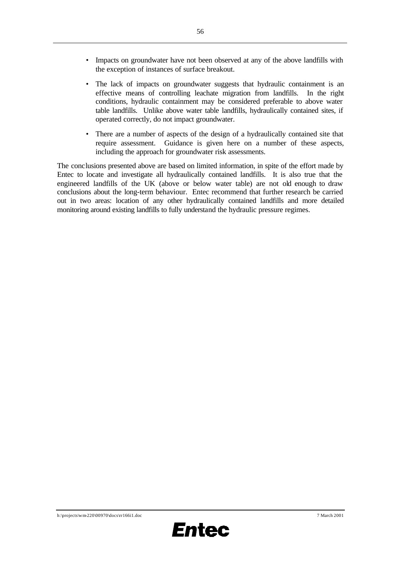- Impacts on groundwater have not been observed at any of the above landfills with the exception of instances of surface breakout.
- The lack of impacts on groundwater suggests that hydraulic containment is an effective means of controlling leachate migration from landfills. In the right conditions, hydraulic containment may be considered preferable to above water table landfills. Unlike above water table landfills, hydraulically contained sites, if operated correctly, do not impact groundwater.
- There are a number of aspects of the design of a hydraulically contained site that require assessment. Guidance is given here on a number of these aspects, including the approach for groundwater risk assessments.

The conclusions presented above are based on limited information, in spite of the effort made by Entec to locate and investigate all hydraulically contained landfills. It is also true that the engineered landfills of the UK (above or below water table) are not old enough to draw conclusions about the long-term behaviour. Entec recommend that further research be carried out in two areas: location of any other hydraulically contained landfills and more detailed monitoring around existing landfills to fully understand the hydraulic pressure regimes.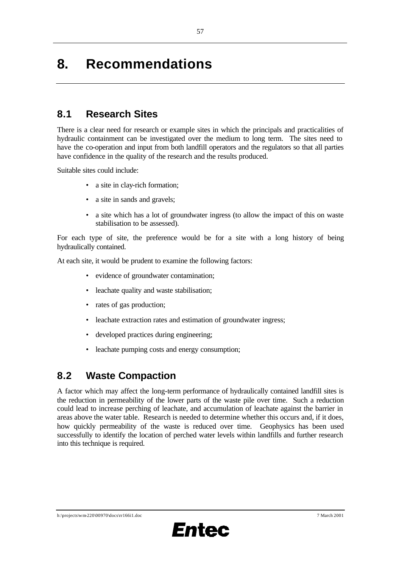# **8. Recommendations**

### **8.1 Research Sites**

There is a clear need for research or example sites in which the principals and practicalities of hydraulic containment can be investigated over the medium to long term. The sites need to have the co-operation and input from both landfill operators and the regulators so that all parties have confidence in the quality of the research and the results produced.

Suitable sites could include:

- a site in clay-rich formation;
- a site in sands and gravels;
- a site which has a lot of groundwater ingress (to allow the impact of this on waste stabilisation to be assessed).

For each type of site, the preference would be for a site with a long history of being hydraulically contained.

At each site, it would be prudent to examine the following factors:

- evidence of groundwater contamination;
- leachate quality and waste stabilisation;
- rates of gas production;
- leachate extraction rates and estimation of groundwater ingress;
- developed practices during engineering;
- leachate pumping costs and energy consumption;

### **8.2 Waste Compaction**

A factor which may affect the long-term performance of hydraulically contained landfill sites is the reduction in permeability of the lower parts of the waste pile over time. Such a reduction could lead to increase perching of leachate, and accumulation of leachate against the barrier in areas above the water table. Research is needed to determine whether this occurs and, if it does, how quickly permeability of the waste is reduced over time. Geophysics has been used successfully to identify the location of perched water levels within landfills and further research into this technique is required.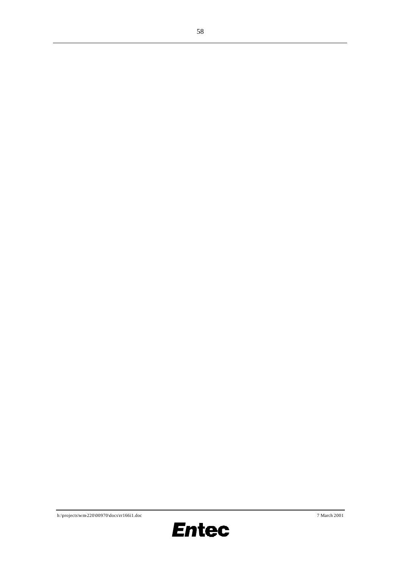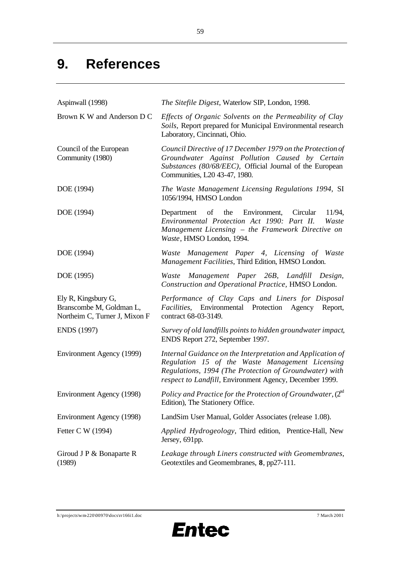# **9. References**

| Aspinwall (1998)                                                                 | The Sitefile Digest, Waterlow SIP, London, 1998.                                                                                                                                                                                   |
|----------------------------------------------------------------------------------|------------------------------------------------------------------------------------------------------------------------------------------------------------------------------------------------------------------------------------|
| Brown K W and Anderson D C                                                       | Effects of Organic Solvents on the Permeability of Clay<br>Soils, Report prepared for Municipal Environmental research<br>Laboratory, Cincinnati, Ohio.                                                                            |
| Council of the European<br>Community (1980)                                      | Council Directive of 17 December 1979 on the Protection of<br>Groundwater Against Pollution Caused by Certain<br>Substances (80/68/EEC), Official Journal of the European<br>Communities, L20 43-47, 1980.                         |
| DOE (1994)                                                                       | The Waste Management Licensing Regulations 1994, SI<br>1056/1994, HMSO London                                                                                                                                                      |
| DOE (1994)                                                                       | Department of the Environment, Circular<br>11/94,<br>Environmental Protection Act 1990: Part II.<br>Waste<br>Management Licensing - the Framework Directive on<br>Waste, HMSO London, 1994.                                        |
| DOE (1994)                                                                       | Waste Management Paper 4, Licensing of Waste<br>Management Facilities, Third Edition, HMSO London.                                                                                                                                 |
| DOE (1995)                                                                       | Waste Management Paper 26B, Landfill Design,<br>Construction and Operational Practice, HMSO London.                                                                                                                                |
| Ely R, Kingsbury G,<br>Branscombe M, Goldman L,<br>Northeim C, Turner J, Mixon F | Performance of Clay Caps and Liners for Disposal<br>Facilities, Environmental Protection Agency Report,<br>contract 68-03-3149.                                                                                                    |
| <b>ENDS</b> (1997)                                                               | Survey of old landfills points to hidden groundwater impact,<br>ENDS Report 272, September 1997.                                                                                                                                   |
| Environment Agency (1999)                                                        | Internal Guidance on the Interpretation and Application of<br>Regulation 15 of the Waste Management Licensing<br>Regulations, 1994 (The Protection of Groundwater) with<br>respect to Landfill, Environment Agency, December 1999. |
| Environment Agency (1998)                                                        | Policy and Practice for the Protection of Groundwater, $(2nd$<br>Edition), The Stationery Office.                                                                                                                                  |
| Environment Agency (1998)                                                        | LandSim User Manual, Golder Associates (release 1.08).                                                                                                                                                                             |
| Fetter C W (1994)                                                                | Applied Hydrogeology, Third edition, Prentice-Hall, New<br>Jersey, 691pp.                                                                                                                                                          |
| Giroud J P $&$ Bonaparte R<br>(1989)                                             | Leakage through Liners constructed with Geomembranes,<br>Geotextiles and Geomembranes, 8, pp27-111.                                                                                                                                |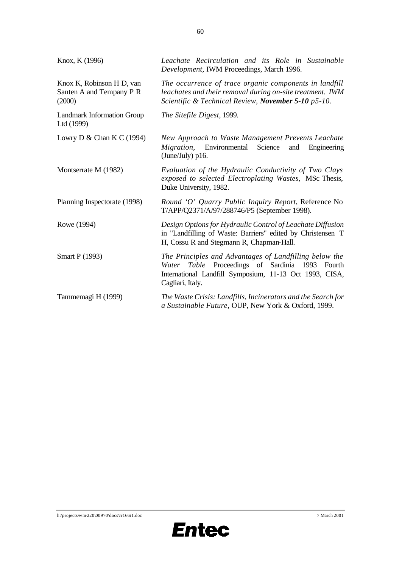| Knox, K (1996)                                                  | Leachate Recirculation and its Role in Sustainable<br>Development, IWM Proceedings, March 1996.                                                                                          |  |  |
|-----------------------------------------------------------------|------------------------------------------------------------------------------------------------------------------------------------------------------------------------------------------|--|--|
| Knox K, Robinson H D, van<br>Santen A and Tempany P R<br>(2000) | The occurrence of trace organic components in landfill<br>leachates and their removal during on-site treatment. IWM<br>Scientific & Technical Review, November 5-10 p5-10.               |  |  |
| <b>Landmark Information Group</b><br>Ltd (1999)                 | The Sitefile Digest, 1999.                                                                                                                                                               |  |  |
| Lowry D & Chan K C $(1994)$                                     | New Approach to Waste Management Prevents Leachate<br>Environmental<br>Science<br>Migration,<br>Engineering<br>and<br>(June/July) $p16$ .                                                |  |  |
| Montserrate M (1982)                                            | Evaluation of the Hydraulic Conductivity of Two Clays<br>exposed to selected Electroplating Wastes, MSc Thesis,<br>Duke University, 1982.                                                |  |  |
| Planning Inspectorate (1998)                                    | Round 'O' Quarry Public Inquiry Report, Reference No<br>T/APP/Q2371/A/97/288746/P5 (September 1998).                                                                                     |  |  |
| Rowe (1994)                                                     | Design Options for Hydraulic Control of Leachate Diffusion<br>in "Landfilling of Waste: Barriers" edited by Christensen T<br>H, Cossu R and Stegmann R, Chapman-Hall.                    |  |  |
| <b>Smart P (1993)</b>                                           | The Principles and Advantages of Landfilling below the<br>Water Table Proceedings of Sardinia 1993 Fourth<br>International Landfill Symposium, 11-13 Oct 1993, CISA,<br>Cagliari, Italy. |  |  |
| Tammemagi H (1999)                                              | The Waste Crisis: Landfills, Incinerators and the Search for<br>a Sustainable Future, OUP, New York & Oxford, 1999.                                                                      |  |  |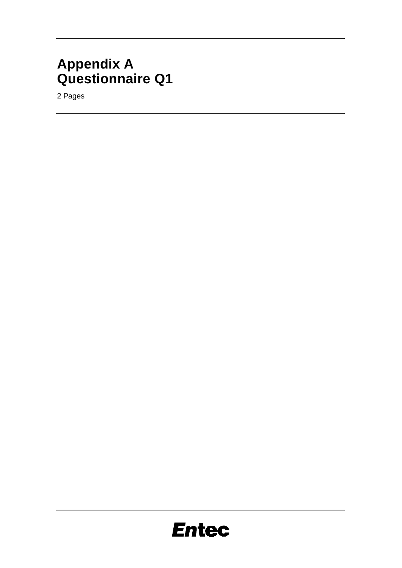### **Appendix A Questionnaire Q1**

2 Pages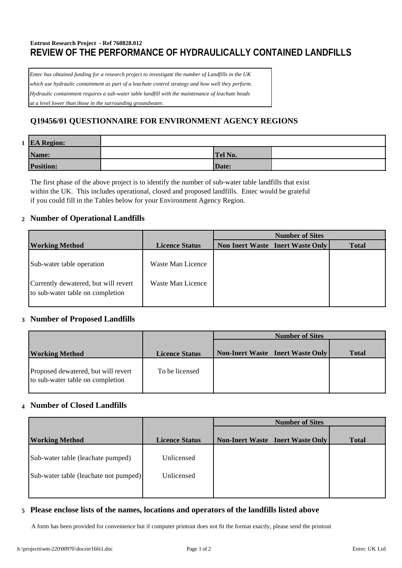#### **Entrust Research Project - Ref 760828.012 REVIEW OF THE PERFORMANCE OF HYDRAULICALLY CONTAINED LANDFILLS**

*Entec has obtained funding for a research project to investigate the number of Landfills in the UK which use hydraulic containment as part of a leachate control strategy and how well they perform. Hydraulic containment requires a sub-water table landfill with the maintenance of leachate heads at a level lower than those in the surrounding groundwater.*

#### **Q19456/01 QUESTIONNAIRE FOR ENVIRONMENT AGENCY REGIONS**

| $1$ EA Region:   |                |  |
|------------------|----------------|--|
| Name:            | <b>Tel No.</b> |  |
| <b>Position:</b> | Date:          |  |

The first phase of the above project is to identify the number of sub-water table landfills that exist within the UK. This includes operational, closed and proposed landfills. Entec would be grateful if you could fill in the Tables below for your Environment Agency Region.

#### **2 Number of Operational Landfills**

|                                                                          |                       | <b>Number of Sites</b> |                                  |              |
|--------------------------------------------------------------------------|-----------------------|------------------------|----------------------------------|--------------|
| <b>Working Method</b>                                                    | <b>Licence Status</b> |                        | Non Inert Waste Inert Waste Only | <b>Total</b> |
| Sub-water table operation                                                | Waste Man Licence     |                        |                                  |              |
| Currently dewatered, but will revert<br>to sub-water table on completion | Waste Man Licence     |                        |                                  |              |

#### **3 Number of Proposed Landfills**

|                                                                         |                       | <b>Number of Sites</b>           |  |              |
|-------------------------------------------------------------------------|-----------------------|----------------------------------|--|--------------|
| <b>Working Method</b>                                                   | <b>Licence Status</b> | Non-Inert Waste Inert Waste Only |  | <b>Total</b> |
| Proposed dewatered, but will revert<br>to sub-water table on completion | To be licensed        |                                  |  |              |

#### **4 Number of Closed Landfills**

|                                       |                       | <b>Number of Sites</b> |                                         |              |
|---------------------------------------|-----------------------|------------------------|-----------------------------------------|--------------|
| <b>Working Method</b>                 | <b>Licence Status</b> |                        | <b>Non-Inert Waste Inert Waste Only</b> | <b>Total</b> |
| Sub-water table (leachate pumped)     | Unlicensed            |                        |                                         |              |
| Sub-water table (leachate not pumped) | Unlicensed            |                        |                                         |              |
|                                       |                       |                        |                                         |              |

#### **5 Please enclose lists of the names, locations and operators of the landfills listed above**

A form has been provided for convenience but if computer printout does not fit the format exactly, please send the printout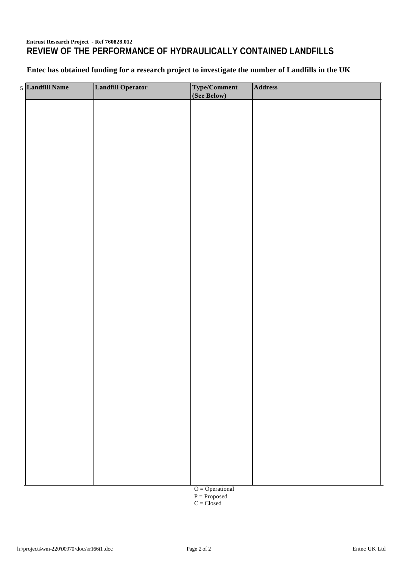#### **Entrust Research Project - Ref 760828.012 REVIEW OF THE PERFORMANCE OF HYDRAULICALLY CONTAINED LANDFILLS**

#### **Entec has obtained funding for a research project to investigate the number of Landfills in the UK**

| 5 Landfill Name | <b>Landfill Operator</b> | Type/Comment<br>(See Below) | <b>Address</b> |
|-----------------|--------------------------|-----------------------------|----------------|
|                 |                          |                             |                |
|                 |                          |                             |                |
|                 |                          |                             |                |
|                 |                          |                             |                |
|                 |                          |                             |                |
|                 |                          |                             |                |
|                 |                          |                             |                |
|                 |                          |                             |                |
|                 |                          |                             |                |
|                 |                          |                             |                |
|                 |                          |                             |                |
|                 |                          |                             |                |
|                 |                          |                             |                |
|                 |                          |                             |                |
|                 |                          |                             |                |
|                 |                          |                             |                |
|                 |                          |                             |                |
|                 |                          |                             |                |
|                 |                          |                             |                |
|                 |                          |                             |                |
|                 |                          |                             |                |
|                 |                          |                             |                |
|                 |                          |                             |                |

 $O =$ Operational

 $P =$  Proposed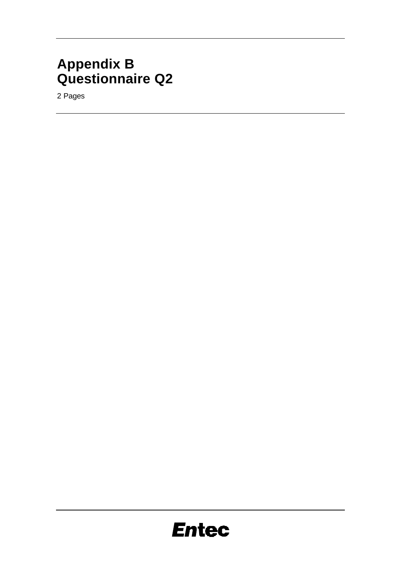### **Appendix B Questionnaire Q2**

2 Pages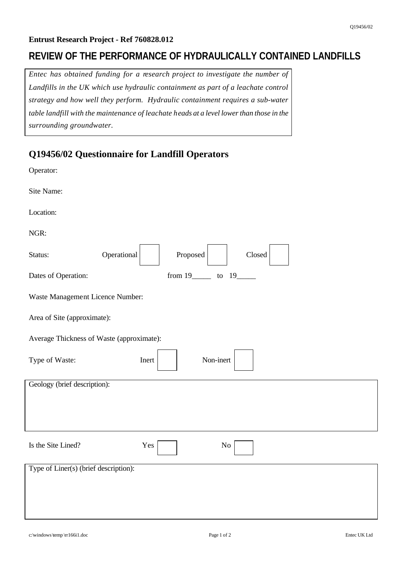#### **Entrust Research Project - Ref 760828.012**

### **REVIEW OF THE PERFORMANCE OF HYDRAULICALLY CONTAINED LANDFILLS**

*Entec has obtained funding for a research project to investigate the number of Landfills in the UK which use hydraulic containment as part of a leachate control strategy and how well they perform. Hydraulic containment requires a sub-water table landfill with the maintenance of leachate heads at a level lower than those in the surrounding groundwater.*

### **Q19456/02 Questionnaire for Landfill Operators**

| Operator:                                 |                                                                  |
|-------------------------------------------|------------------------------------------------------------------|
| Site Name:                                |                                                                  |
| Location:                                 |                                                                  |
| NGR:                                      |                                                                  |
| Status:                                   | Operational<br>$\ensuremath{\mathit{Closed}}\xspace$<br>Proposed |
| Dates of Operation:                       | from $19$ ________ to $19$ ____                                  |
| Waste Management Licence Number:          |                                                                  |
| Area of Site (approximate):               |                                                                  |
| Average Thickness of Waste (approximate): |                                                                  |
| Type of Waste:                            | Non-inert<br>Inert                                               |
| Geology (brief description):              |                                                                  |
|                                           |                                                                  |
|                                           |                                                                  |
| Is the Site Lined?                        | Yes<br>No                                                        |
| Type of Liner(s) (brief description):     |                                                                  |
|                                           |                                                                  |
|                                           |                                                                  |
|                                           |                                                                  |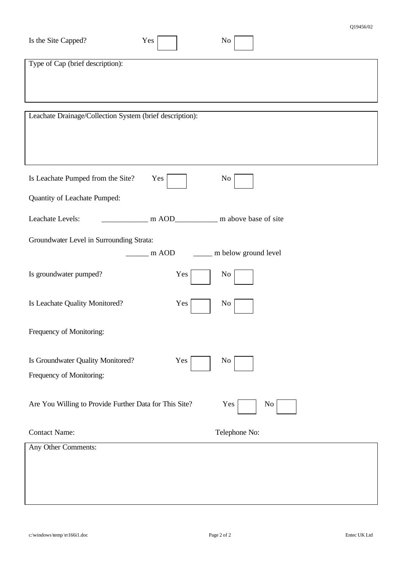| Is the Site Capped?<br>Yes<br>No                                       |
|------------------------------------------------------------------------|
| Type of Cap (brief description):                                       |
|                                                                        |
|                                                                        |
|                                                                        |
| Leachate Drainage/Collection System (brief description):               |
|                                                                        |
|                                                                        |
|                                                                        |
| Is Leachate Pumped from the Site?<br>Yes<br>N <sub>0</sub>             |
| Quantity of Leachate Pumped:                                           |
| Leachate Levels:<br>__________ m AOD_____________ m above base of site |
|                                                                        |
| Groundwater Level in Surrounding Strata:                               |
| $\equiv$ m AOD<br>____ m below ground level                            |
| Is groundwater pumped?<br>Yes<br>N <sub>0</sub>                        |
|                                                                        |
| Is Leachate Quality Monitored?<br>Yes<br>No                            |
|                                                                        |
| Frequency of Monitoring:                                               |
|                                                                        |
| Is Groundwater Quality Monitored?<br>Yes<br>N <sub>0</sub>             |
| Frequency of Monitoring:                                               |
|                                                                        |
| Are You Willing to Provide Further Data for This Site?<br>Yes<br>No    |
|                                                                        |
| <b>Contact Name:</b><br>Telephone No:                                  |
| Any Other Comments:                                                    |
|                                                                        |
|                                                                        |
|                                                                        |
|                                                                        |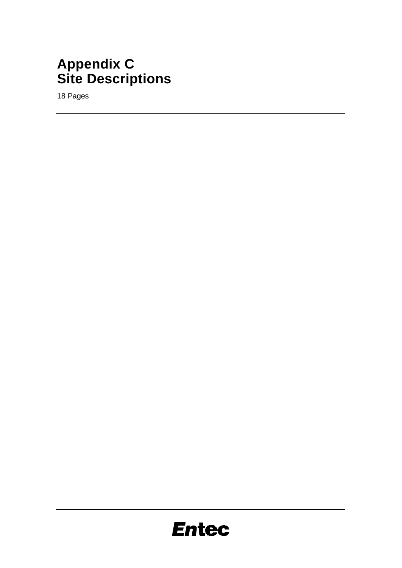### **Appendix C Site Descriptions**

18 Pages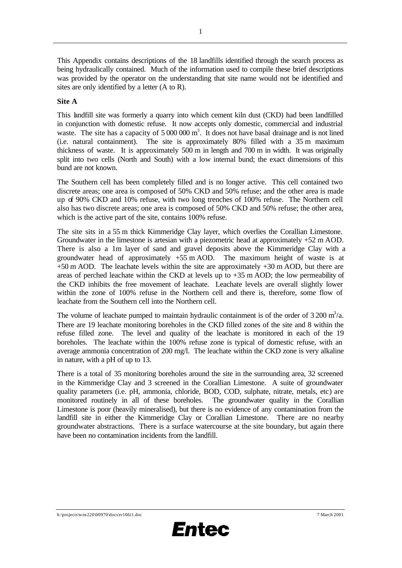This Appendix contains descriptions of the 18 landfills identified through the search process as being hydraulically contained. Much of the information used to compile these brief descriptions was provided by the operator on the understanding that site name would not be identified and sites are only identified by a letter (A to R).

#### **Site A**

This landfill site was formerly a quarry into which cement kiln dust (CKD) had been landfilled in conjunction with domestic refuse. It now accepts only domestic, commercial and industrial waste. The site has a capacity of  $5000000 \text{ m}^3$ . It does not have basal drainage and is not lined (i.e. natural containment). The site is approximately 80% filled with a 35 m maximum thickness of waste. It is approximately 500 m in length and 700 m in width. It was originally split into two cells (North and South) with a low internal bund; the exact dimensions of this bund are not known.

The Southern cell has been completely filled and is no longer active. This cell contained two discrete areas; one area is composed of 50% CKD and 50% refuse; and the other area is made up of 90% CKD and 10% refuse, with two long trenches of 100% refuse. The Northern cell also has two discrete areas; one area is composed of 50% CKD and 50% refuse; the other area, which is the active part of the site, contains 100% refuse.

The site sits in a 55 m thick Kimmeridge Clay layer, which overlies the Corallian Limestone. Groundwater in the limestone is artesian with a piezometric head at approximately +52 m AOD. There is also a 1m layer of sand and gravel deposits above the Kimmeridge Clay with a groundwater head of approximately +55 m AOD. The maximum height of waste is at  $+50$  m AOD. The leachate levels within the site are approximately  $+30$  m AOD, but there are areas of perched leachate within the CKD at levels up to +35 m AOD; the low permeability of the CKD inhibits the free movement of leachate. Leachate levels are overall slightly lower within the zone of 100% refuse in the Northern cell and there is, therefore, some flow of leachate from the Southern cell into the Northern cell.

The volume of leachate pumped to maintain hydraulic containment is of the order of  $3\,200 \text{ m}^3/\text{a}$ . There are 19 leachate monitoring boreholes in the CKD filled zones of the site and 8 within the refuse filled zone. The level and quality of the leachate is monitored in each of the 19 boreholes. The leachate within the 100% refuse zone is typical of domestic refuse, with an average ammonia concentration of 200 mg/l. The leachate within the CKD zone is very alkaline in nature, with a pH of up to 13.

There is a total of 35 monitoring boreholes around the site in the surrounding area, 32 screened in the Kimmeridge Clay and 3 screened in the Corallian Limestone. A suite of groundwater quality parameters (i.e. pH, ammonia, chloride, BOD, COD, sulphate, nitrate, metals, etc) are monitored routinely in all of these boreholes. The groundwater quality in the Corallian Limestone is poor (heavily mineralised), but there is no evidence of any contamination from the landfill site in either the Kimmeridge Clay or Corallian Limestone. There are no nearby groundwater abstractions. There is a surface watercourse at the site boundary, but again there have been no contamination incidents from the landfill.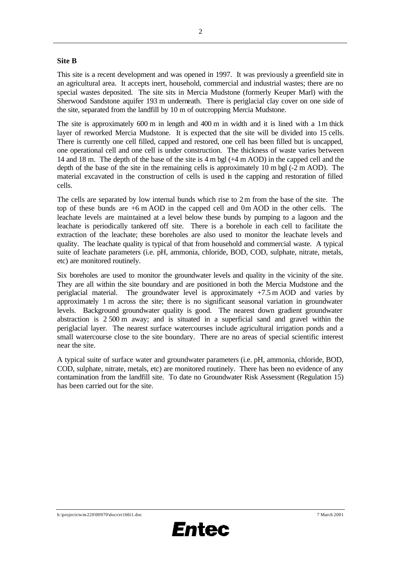#### **Site B**

This site is a recent development and was opened in 1997. It was previously a greenfield site in an agricultural area. It accepts inert, household, commercial and industrial wastes; there are no special wastes deposited. The site sits in Mercia Mudstone (formerly Keuper Marl) with the Sherwood Sandstone aquifer 193 m underneath. There is periglacial clay cover on one side of the site, separated from the landfill by 10 m of outcropping Mercia Mudstone.

The site is approximately 600 m in length and 400 m in width and it is lined with a 1m thick layer of reworked Mercia Mudstone. It is expected that the site will be divided into 15 cells. There is currently one cell filled, capped and restored, one cell has been filled but is uncapped, one operational cell and one cell is under construction. The thickness of waste varies between 14 and 18 m. The depth of the base of the site is 4 m bgl (+4 m AOD) in the capped cell and the depth of the base of the site in the remaining cells is approximately 10 m bgl (-2 m AOD). The material excavated in the construction of cells is used in the capping and restoration of filled cells.

The cells are separated by low internal bunds which rise to 2m from the base of the site. The top of these bunds are +6 m AOD in the capped cell and 0m AOD in the other cells. The leachate levels are maintained at a level below these bunds by pumping to a lagoon and the leachate is periodically tankered off site. There is a borehole in each cell to facilitate the extraction of the leachate; these boreholes are also used to monitor the leachate levels and quality. The leachate quality is typical of that from household and commercial waste. A typical suite of leachate parameters (i.e. pH, ammonia, chloride, BOD, COD, sulphate, nitrate, metals, etc) are monitored routinely.

Six boreholes are used to monitor the groundwater levels and quality in the vicinity of the site. They are all within the site boundary and are positioned in both the Mercia Mudstone and the periglacial material. The groundwater level is approximately  $+7.5$  m AOD and varies by approximately 1 m across the site; there is no significant seasonal variation in groundwater levels. Background groundwater quality is good. The nearest down gradient groundwater abstraction is 2 500 m away; and is situated in a superficial sand and gravel within the periglacial layer. The nearest surface watercourses include agricultural irrigation ponds and a small watercourse close to the site boundary. There are no areas of special scientific interest near the site.

A typical suite of surface water and groundwater parameters (i.e. pH, ammonia, chloride, BOD, COD, sulphate, nitrate, metals, etc) are monitored routinely. There has been no evidence of any contamination from the landfill site. To date no Groundwater Risk Assessment (Regulation 15) has been carried out for the site.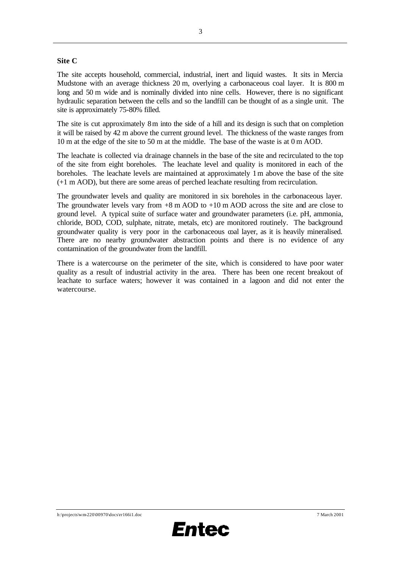#### **Site C**

The site accepts household, commercial, industrial, inert and liquid wastes. It sits in Mercia Mudstone with an average thickness 20 m, overlying a carbonaceous coal layer. It is 800 m long and 50 m wide and is nominally divided into nine cells. However, there is no significant hydraulic separation between the cells and so the landfill can be thought of as a single unit. The site is approximately 75-80% filled.

The site is cut approximately 8m into the side of a hill and its design is such that on completion it will be raised by 42 m above the current ground level. The thickness of the waste ranges from 10 m at the edge of the site to 50 m at the middle. The base of the waste is at 0 m AOD.

The leachate is collected via drainage channels in the base of the site and recirculated to the top of the site from eight boreholes. The leachate level and quality is monitored in each of the boreholes. The leachate levels are maintained at approximately 1m above the base of the site (+1 m AOD), but there are some areas of perched leachate resulting from recirculation.

The groundwater levels and quality are monitored in six boreholes in the carbonaceous layer. The groundwater levels vary from  $+8$  m AOD to  $+10$  m AOD across the site and are close to ground level. A typical suite of surface water and groundwater parameters (i.e. pH, ammonia, chloride, BOD, COD, sulphate, nitrate, metals, etc) are monitored routinely. The background groundwater quality is very poor in the carbonaceous coal layer, as it is heavily mineralised. There are no nearby groundwater abstraction points and there is no evidence of any contamination of the groundwater from the landfill.

There is a watercourse on the perimeter of the site, which is considered to have poor water quality as a result of industrial activity in the area. There has been one recent breakout of leachate to surface waters; however it was contained in a lagoon and did not enter the watercourse.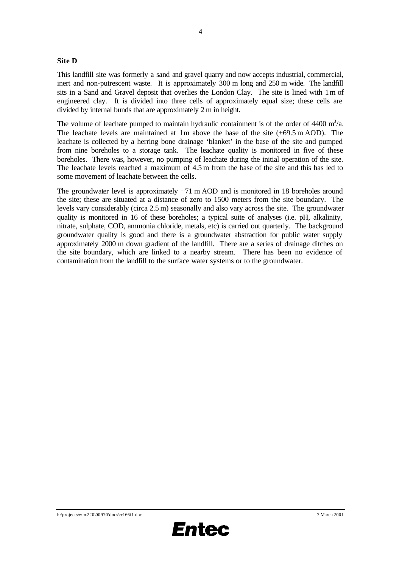#### **Site D**

This landfill site was formerly a sand and gravel quarry and now accepts industrial, commercial, inert and non-putrescent waste. It is approximately 300 m long and 250 m wide. The landfill sits in a Sand and Gravel deposit that overlies the London Clay. The site is lined with 1m of engineered clay. It is divided into three cells of approximately equal size; these cells are divided by internal bunds that are approximately 2 m in height.

The volume of leachate pumped to maintain hydraulic containment is of the order of  $4400 \text{ m}^3/\text{a}$ . The leachate levels are maintained at 1m above the base of the site (+69.5 m AOD). The leachate is collected by a herring bone drainage 'blanket' in the base of the site and pumped from nine boreholes to a storage tank. The leachate quality is monitored in five of these boreholes. There was, however, no pumping of leachate during the initial operation of the site. The leachate levels reached a maximum of 4.5 m from the base of the site and this has led to some movement of leachate between the cells.

The groundwater level is approximately +71 m AOD and is monitored in 18 boreholes around the site; these are situated at a distance of zero to 1500 meters from the site boundary. The levels vary considerably (circa 2.5 m) seasonally and also vary across the site. The groundwater quality is monitored in 16 of these boreholes; a typical suite of analyses (i.e. pH, alkalinity, nitrate, sulphate, COD, ammonia chloride, metals, etc) is carried out quarterly. The background groundwater quality is good and there is a groundwater abstraction for public water supply approximately 2000 m down gradient of the landfill. There are a series of drainage ditches on the site boundary, which are linked to a nearby stream. There has been no evidence of contamination from the landfill to the surface water systems or to the groundwater.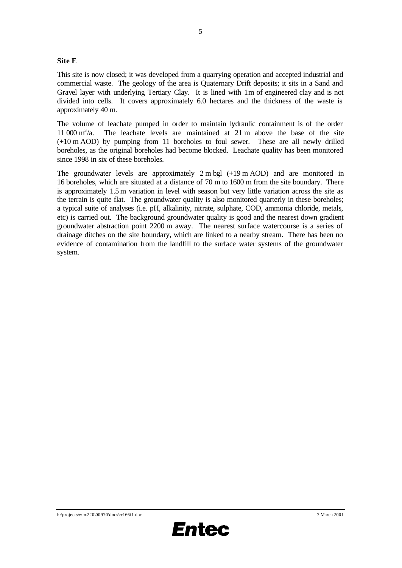#### **Site E**

This site is now closed; it was developed from a quarrying operation and accepted industrial and commercial waste. The geology of the area is Quaternary Drift deposits; it sits in a Sand and Gravel layer with underlying Tertiary Clay. It is lined with 1m of engineered clay and is not divided into cells. It covers approximately 6.0 hectares and the thickness of the waste is approximately 40 m.

The volume of leachate pumped in order to maintain hydraulic containment is of the order 11 000 m<sup>3</sup> The leachate levels are maintained at 21 m above the base of the site (+10 m AOD) by pumping from 11 boreholes to foul sewer. These are all newly drilled boreholes, as the original boreholes had become blocked. Leachate quality has been monitored since 1998 in six of these boreholes.

The groundwater levels are approximately 2 m bgl (+19 m AOD) and are monitored in 16 boreholes, which are situated at a distance of 70 m to 1600 m from the site boundary. There is approximately 1.5 m variation in level with season but very little variation across the site as the terrain is quite flat. The groundwater quality is also monitored quarterly in these boreholes; a typical suite of analyses (i.e. pH, alkalinity, nitrate, sulphate, COD, ammonia chloride, metals, etc) is carried out. The background groundwater quality is good and the nearest down gradient groundwater abstraction point 2200 m away. The nearest surface watercourse is a series of drainage ditches on the site boundary, which are linked to a nearby stream. There has been no evidence of contamination from the landfill to the surface water systems of the groundwater system.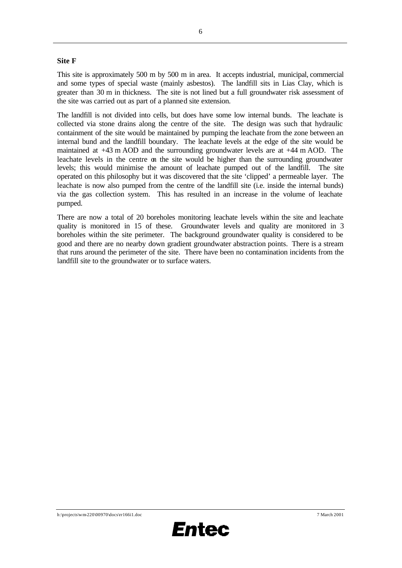#### **Site F**

This site is approximately 500 m by 500 m in area. It accepts industrial, municipal, commercial and some types of special waste (mainly asbestos). The landfill sits in Lias Clay, which is greater than 30 m in thickness. The site is not lined but a full groundwater risk assessment of the site was carried out as part of a planned site extension.

The landfill is not divided into cells, but does have some low internal bunds. The leachate is collected via stone drains along the centre of the site. The design was such that hydraulic containment of the site would be maintained by pumping the leachate from the zone between an internal bund and the landfill boundary. The leachate levels at the edge of the site would be maintained at +43 m AOD and the surrounding groundwater levels are at +44 m AOD. The leachate levels in the centre on the site would be higher than the surrounding groundwater levels; this would minimise the amount of leachate pumped out of the landfill. The site operated on this philosophy but it was discovered that the site 'clipped' a permeable layer. The leachate is now also pumped from the centre of the landfill site (i.e. inside the internal bunds) via the gas collection system. This has resulted in an increase in the volume of leachate pumped.

There are now a total of 20 boreholes monitoring leachate levels within the site and leachate quality is monitored in 15 of these. Groundwater levels and quality are monitored in 3 boreholes within the site perimeter. The background groundwater quality is considered to be good and there are no nearby down gradient groundwater abstraction points. There is a stream that runs around the perimeter of the site. There have been no contamination incidents from the landfill site to the groundwater or to surface waters.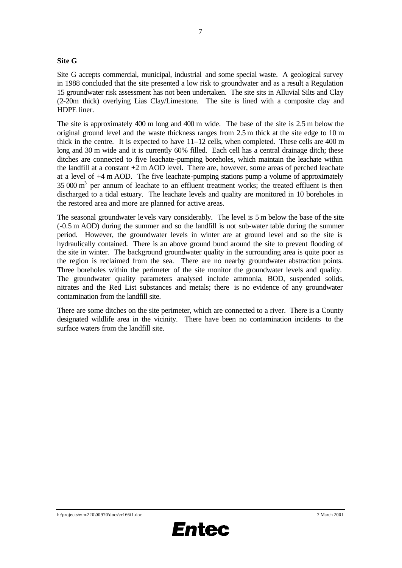#### **Site G**

Site G accepts commercial, municipal, industrial and some special waste. A geological survey in 1988 concluded that the site presented a low risk to groundwater and as a result a Regulation 15 groundwater risk assessment has not been undertaken. The site sits in Alluvial Silts and Clay (2-20m thick) overlying Lias Clay/Limestone. The site is lined with a composite clay and HDPE liner.

The site is approximately 400 m long and 400 m wide. The base of the site is 2.5 m below the original ground level and the waste thickness ranges from 2.5 m thick at the site edge to 10 m thick in the centre. It is expected to have 11–12 cells, when completed. These cells are 400 m long and 30 m wide and it is currently 60% filled. Each cell has a central drainage ditch; these ditches are connected to five leachate-pumping boreholes, which maintain the leachate within the landfill at a constant +2 m AOD level. There are, however, some areas of perched leachate at a level of +4 m AOD. The five leachate-pumping stations pump a volume of approximately  $35000 \text{ m}^3$  per annum of leachate to an effluent treatment works; the treated effluent is then discharged to a tidal estuary. The leachate levels and quality are monitored in 10 boreholes in the restored area and more are planned for active areas.

The seasonal groundwater levels vary considerably. The level is 5 m below the base of the site (-0.5 m AOD) during the summer and so the landfill is not sub-water table during the summer period. However, the groundwater levels in winter are at ground level and so the site is hydraulically contained. There is an above ground bund around the site to prevent flooding of the site in winter. The background groundwater quality in the surrounding area is quite poor as the region is reclaimed from the sea. There are no nearby groundwater abstraction points. Three boreholes within the perimeter of the site monitor the groundwater levels and quality. The groundwater quality parameters analysed include ammonia, BOD, suspended solids, nitrates and the Red List substances and metals; there is no evidence of any groundwater contamination from the landfill site.

There are some ditches on the site perimeter, which are connected to a river. There is a County designated wildlife area in the vicinity. There have been no contamination incidents to the surface waters from the landfill site.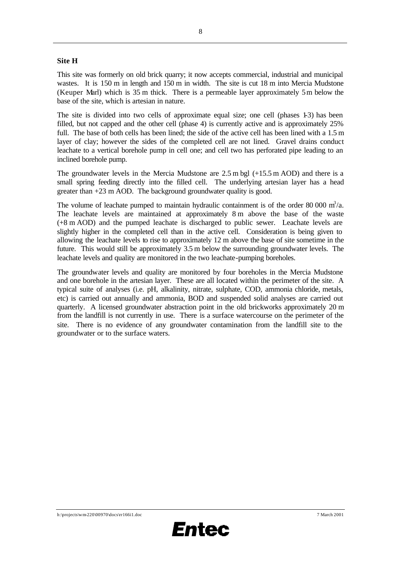#### **Site H**

This site was formerly on old brick quarry; it now accepts commercial, industrial and municipal wastes. It is 150 m in length and 150 m in width. The site is cut 18 m into Mercia Mudstone (Keuper Marl) which is 35 m thick. There is a permeable layer approximately 5m below the base of the site, which is artesian in nature.

The site is divided into two cells of approximate equal size; one cell (phases 1-3) has been filled, but not capped and the other cell (phase 4) is currently active and is approximately 25% full. The base of both cells has been lined; the side of the active cell has been lined with a 1.5 m layer of clay; however the sides of the completed cell are not lined. Gravel drains conduct leachate to a vertical borehole pump in cell one; and cell two has perforated pipe leading to an inclined borehole pump.

The groundwater levels in the Mercia Mudstone are 2.5 m bgl (+15.5 m AOD) and there is a small spring feeding directly into the filled cell. The underlying artesian layer has a head greater than +23 m AOD. The background groundwater quality is good.

The volume of leachate pumped to maintain hydraulic containment is of the order 80 000  $m^3/a$ . The leachate levels are maintained at approximately 8 m above the base of the waste (+8 m AOD) and the pumped leachate is discharged to public sewer. Leachate levels are slightly higher in the completed cell than in the active cell. Consideration is being given to allowing the leachate levels to rise to approximately 12 m above the base of site sometime in the future. This would still be approximately 3.5 m below the surrounding groundwater levels. The leachate levels and quality are monitored in the two leachate-pumping boreholes.

The groundwater levels and quality are monitored by four boreholes in the Mercia Mudstone and one borehole in the artesian layer. These are all located within the perimeter of the site. A typical suite of analyses (i.e. pH, alkalinity, nitrate, sulphate, COD, ammonia chloride, metals, etc) is carried out annually and ammonia, BOD and suspended solid analyses are carried out quarterly. A licensed groundwater abstraction point in the old brickworks approximately 20 m from the landfill is not currently in use. There is a surface watercourse on the perimeter of the site. There is no evidence of any groundwater contamination from the landfill site to the groundwater or to the surface waters.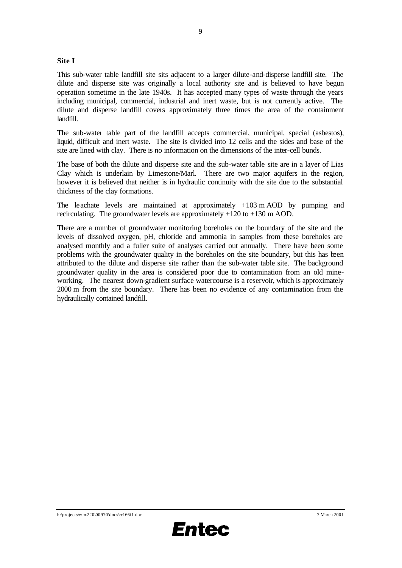#### **Site I**

9

This sub-water table landfill site sits adjacent to a larger dilute-and-disperse landfill site. The dilute and disperse site was originally a local authority site and is believed to have begun operation sometime in the late 1940s. It has accepted many types of waste through the years including municipal, commercial, industrial and inert waste, but is not currently active. The dilute and disperse landfill covers approximately three times the area of the containment landfill.

The sub-water table part of the landfill accepts commercial, municipal, special (asbestos), liquid, difficult and inert waste. The site is divided into 12 cells and the sides and base of the site are lined with clay. There is no information on the dimensions of the inter-cell bunds.

The base of both the dilute and disperse site and the sub-water table site are in a layer of Lias Clay which is underlain by Limestone/Marl. There are two major aquifers in the region, however it is believed that neither is in hydraulic continuity with the site due to the substantial thickness of the clay formations.

The leachate levels are maintained at approximately +103 m AOD by pumping and recirculating. The groundwater levels are approximately  $+120$  to  $+130$  m AOD.

There are a number of groundwater monitoring boreholes on the boundary of the site and the levels of dissolved oxygen, pH, chloride and ammonia in samples from these boreholes are analysed monthly and a fuller suite of analyses carried out annually. There have been some problems with the groundwater quality in the boreholes on the site boundary, but this has been attributed to the dilute and disperse site rather than the sub-water table site. The background groundwater quality in the area is considered poor due to contamination from an old mineworking. The nearest down-gradient surface watercourse is a reservoir, which is approximately 2000 m from the site boundary. There has been no evidence of any contamination from the hydraulically contained landfill.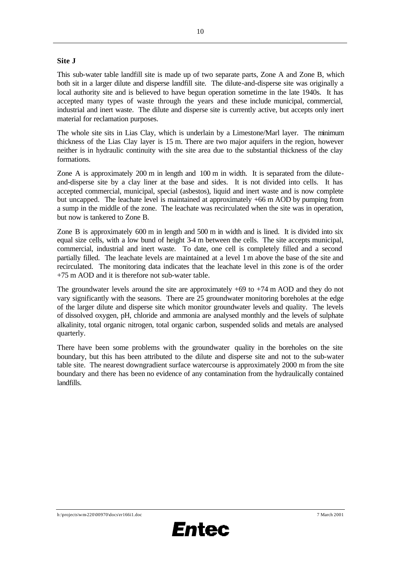#### **Site J**

This sub-water table landfill site is made up of two separate parts, Zone A and Zone B, which both sit in a larger dilute and disperse landfill site. The dilute-and-disperse site was originally a local authority site and is believed to have begun operation sometime in the late 1940s. It has accepted many types of waste through the years and these include municipal, commercial, industrial and inert waste. The dilute and disperse site is currently active, but accepts only inert material for reclamation purposes.

The whole site sits in Lias Clay, which is underlain by a Limestone/Marl layer. The minimum thickness of the Lias Clay layer is 15 m. There are two major aquifers in the region, however neither is in hydraulic continuity with the site area due to the substantial thickness of the clay formations.

Zone A is approximately 200 m in length and 100 m in width. It is separated from the diluteand-disperse site by a clay liner at the base and sides. It is not divided into cells. It has accepted commercial, municipal, special (asbestos), liquid and inert waste and is now complete but uncapped. The leachate level is maintained at approximately +66 m AOD by pumping from a sump in the middle of the zone. The leachate was recirculated when the site was in operation, but now is tankered to Zone B.

Zone B is approximately 600 m in length and 500 m in width and is lined. It is divided into six equal size cells, with a low bund of height 3-4 m between the cells. The site accepts municipal, commercial, industrial and inert waste. To date, one cell is completely filled and a second partially filled. The leachate levels are maintained at a level 1m above the base of the site and recirculated. The monitoring data indicates that the leachate level in this zone is of the order +75 m AOD and it is therefore not sub-water table.

The groundwater levels around the site are approximately  $+69$  to  $+74$  m AOD and they do not vary significantly with the seasons. There are 25 groundwater monitoring boreholes at the edge of the larger dilute and disperse site which monitor groundwater levels and quality. The levels of dissolved oxygen, pH, chloride and ammonia are analysed monthly and the levels of sulphate alkalinity, total organic nitrogen, total organic carbon, suspended solids and metals are analysed quarterly.

There have been some problems with the groundwater quality in the boreholes on the site boundary, but this has been attributed to the dilute and disperse site and not to the sub-water table site. The nearest downgradient surface watercourse is approximately 2000 m from the site boundary and there has been no evidence of any contamination from the hydraulically contained landfills.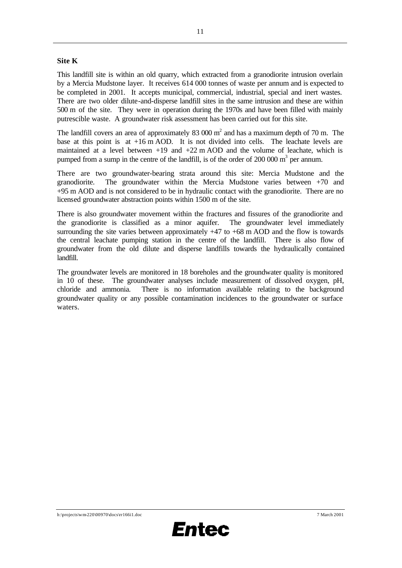#### **Site K**

This landfill site is within an old quarry, which extracted from a granodiorite intrusion overlain by a Mercia Mudstone layer. It receives 614 000 tonnes of waste per annum and is expected to be completed in 2001. It accepts municipal, commercial, industrial, special and inert wastes. There are two older dilute-and-disperse landfill sites in the same intrusion and these are within 500 m of the site. They were in operation during the 1970s and have been filled with mainly putrescible waste. A groundwater risk assessment has been carried out for this site.

11

The landfill covers an area of approximately 83 000  $m<sup>2</sup>$  and has a maximum depth of 70 m. The base at this point is at +16 m AOD. It is not divided into cells. The leachate levels are maintained at a level between  $+19$  and  $+22$  m AOD and the volume of leachate, which is pumped from a sump in the centre of the landfill, is of the order of 200 000  $m<sup>3</sup>$  per annum.

There are two groundwater-bearing strata around this site: Mercia Mudstone and the granodiorite. The groundwater within the Mercia Mudstone varies between +70 and +95 m AOD and is not considered to be in hydraulic contact with the granodiorite. There are no licensed groundwater abstraction points within 1500 m of the site.

There is also groundwater movement within the fractures and fissures of the granodiorite and the granodiorite is classified as a minor aquifer. The groundwater level immediately surrounding the site varies between approximately +47 to +68 m AOD and the flow is towards the central leachate pumping station in the centre of the landfill. There is also flow of groundwater from the old dilute and disperse landfills towards the hydraulically contained landfill.

The groundwater levels are monitored in 18 boreholes and the groundwater quality is monitored in 10 of these. The groundwater analyses include measurement of dissolved oxygen, pH, chloride and ammonia. There is no information available relating to the background groundwater quality or any possible contamination incidences to the groundwater or surface waters.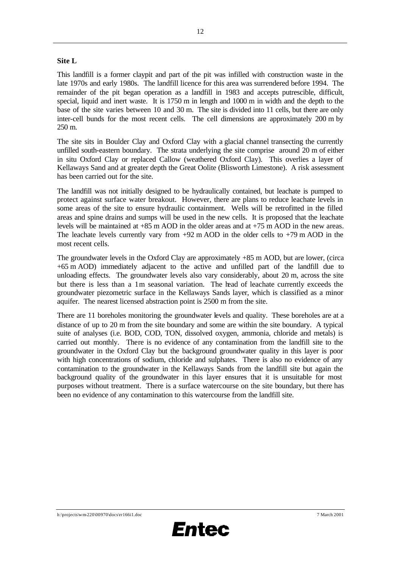#### **Site L**

This landfill is a former claypit and part of the pit was infilled with construction waste in the late 1970s and early 1980s. The landfill licence for this area was surrendered before 1994. The remainder of the pit began operation as a landfill in 1983 and accepts putrescible, difficult, special, liquid and inert waste. It is 1750 m in length and 1000 m in width and the depth to the base of the site varies between 10 and 30 m. The site is divided into 11 cells, but there are only inter-cell bunds for the most recent cells. The cell dimensions are approximately 200 m by 250 m.

The site sits in Boulder Clay and Oxford Clay with a glacial channel transecting the currently unfilled south-eastern boundary. The strata underlying the site comprise around 20 m of either in situ Oxford Clay or replaced Callow (weathered Oxford Clay). This overlies a layer of Kellaways Sand and at greater depth the Great Oolite (Blisworth Limestone). A risk assessment has been carried out for the site.

The landfill was not initially designed to be hydraulically contained, but leachate is pumped to protect against surface water breakout. However, there are plans to reduce leachate levels in some areas of the site to ensure hydraulic containment. Wells will be retrofitted in the filled areas and spine drains and sumps will be used in the new cells. It is proposed that the leachate levels will be maintained at  $+85$  m AOD in the older areas and at  $+75$  m AOD in the new areas. The leachate levels currently vary from  $+92$  m AOD in the older cells to  $+79$  m AOD in the most recent cells.

The groundwater levels in the Oxford Clay are approximately +85 m AOD, but are lower, (circa +65 m AOD) immediately adjacent to the active and unfilled part of the landfill due to unloading effects. The groundwater levels also vary considerably, about 20 m, across the site but there is less than a 1m seasonal variation. The head of leachate currently exceeds the groundwater piezometric surface in the Kellaways Sands layer, which is classified as a minor aquifer. The nearest licensed abstraction point is 2500 m from the site.

There are 11 boreholes monitoring the groundwater levels and quality. These boreholes are at a distance of up to 20 m from the site boundary and some are within the site boundary. A typical suite of analyses (i.e. BOD, COD, TON, dissolved oxygen, ammonia, chloride and metals) is carried out monthly. There is no evidence of any contamination from the landfill site to the groundwater in the Oxford Clay but the background groundwater quality in this layer is poor with high concentrations of sodium, chloride and sulphates. There is also no evidence of any contamination to the groundwater in the Kellaways Sands from the landfill site but again the background quality of the groundwater in this layer ensures that it is unsuitable for most purposes without treatment. There is a surface watercourse on the site boundary, but there has been no evidence of any contamination to this watercourse from the landfill site.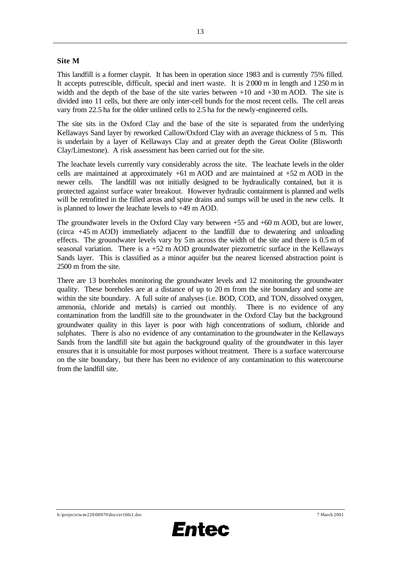#### **Site M**

This landfill is a former claypit. It has been in operation since 1983 and is currently 75% filled. It accepts putrescible, difficult, special and inert waste. It is 2 000 m in length and 1250 m in width and the depth of the base of the site varies between  $+10$  and  $+30$  m AOD. The site is divided into 11 cells, but there are only inter-cell bunds for the most recent cells. The cell areas vary from 22.5 ha for the older unlined cells to 2.5 ha for the newly-engineered cells.

The site sits in the Oxford Clay and the base of the site is separated from the underlying Kellaways Sand layer by reworked Callow/Oxford Clay with an average thickness of 5 m. This is underlain by a layer of Kellaways Clay and at greater depth the Great Oolite (Blisworth Clay/Limestone). A risk assessment has been carried out for the site.

The leachate levels currently vary considerably across the site. The leachate levels in the older cells are maintained at approximately +61 m AOD and are maintained at +52 m AOD in the newer cells. The landfill was not initially designed to be hydraulically contained, but it is protected against surface water breakout. However hydraulic containment is planned and wells will be retrofitted in the filled areas and spine drains and sumps will be used in the new cells. It is planned to lower the leachate levels to +49 m AOD.

The groundwater levels in the Oxford Clay vary between +55 and +60 m AOD, but are lower, (circa +45 m AOD) immediately adjacent to the landfill due to dewatering and unloading effects. The groundwater levels vary by 5m across the width of the site and there is 0.5 m of seasonal variation. There is a  $+52$  m AOD groundwater piezometric surface in the Kellaways Sands layer. This is classified as a minor aquifer but the nearest licensed abstraction point is 2500 m from the site.

There are 13 boreholes monitoring the groundwater levels and 12 monitoring the groundwater quality. These boreholes are at a distance of up to 20 m from the site boundary and some are within the site boundary. A full suite of analyses (i.e. BOD, COD, and TON, dissolved oxygen, ammonia, chloride and metals) is carried out monthly. There is no evidence of any contamination from the landfill site to the groundwater in the Oxford Clay but the background groundwater quality in this layer is poor with high concentrations of sodium, chloride and sulphates. There is also no evidence of any contamination to the groundwater in the Kellaways Sands from the landfill site but again the background quality of the groundwater in this layer ensures that it is unsuitable for most purposes without treatment. There is a surface watercourse on the site boundary, but there has been no evidence of any contamination to this watercourse from the landfill site.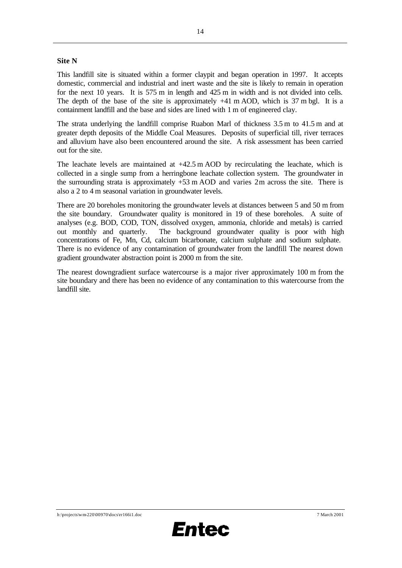#### **Site N**

This landfill site is situated within a former claypit and began operation in 1997. It accepts domestic, commercial and industrial and inert waste and the site is likely to remain in operation for the next 10 years. It is 575 m in length and 425 m in width and is not divided into cells. The depth of the base of the site is approximately +41 m AOD, which is 37 m bgl. It is a containment landfill and the base and sides are lined with 1 m of engineered clay.

The strata underlying the landfill comprise Ruabon Marl of thickness 3.5 m to 41.5 m and at greater depth deposits of the Middle Coal Measures. Deposits of superficial till, river terraces and alluvium have also been encountered around the site. A risk assessment has been carried out for the site.

The leachate levels are maintained at  $+42.5$  m AOD by recirculating the leachate, which is collected in a single sump from a herringbone leachate collection system. The groundwater in the surrounding strata is approximately +53 m AOD and varies 2m across the site. There is also a 2 to 4 m seasonal variation in groundwater levels.

There are 20 boreholes monitoring the groundwater levels at distances between 5 and 50 m from the site boundary. Groundwater quality is monitored in 19 of these boreholes. A suite of analyses (e.g. BOD, COD, TON, dissolved oxygen, ammonia, chloride and metals) is carried out monthly and quarterly. The background groundwater quality is poor with high concentrations of Fe, Mn, Cd, calcium bicarbonate, calcium sulphate and sodium sulphate. There is no evidence of any contamination of groundwater from the landfill The nearest down gradient groundwater abstraction point is 2000 m from the site.

The nearest downgradient surface watercourse is a major river approximately 100 m from the site boundary and there has been no evidence of any contamination to this watercourse from the landfill site.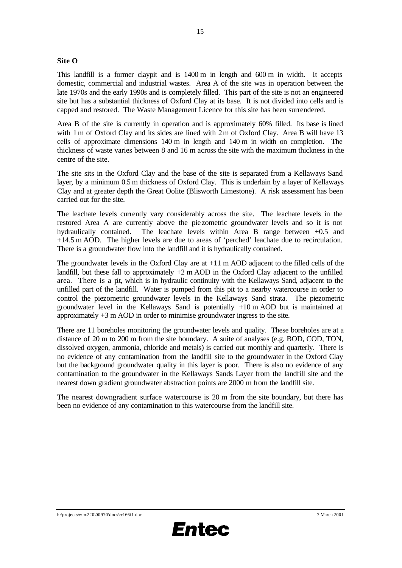#### **Site O**

This landfill is a former claypit and is 1400 m in length and 600 m in width. It accepts domestic, commercial and industrial wastes. Area A of the site was in operation between the late 1970s and the early 1990s and is completely filled. This part of the site is not an engineered site but has a substantial thickness of Oxford Clay at its base. It is not divided into cells and is capped and restored. The Waste Management Licence for this site has been surrendered.

Area B of the site is currently in operation and is approximately 60% filled. Its base is lined with 1m of Oxford Clay and its sides are lined with 2m of Oxford Clay. Area B will have 13 cells of approximate dimensions 140 m in length and 140 m in width on completion. The thickness of waste varies between 8 and 16 m across the site with the maximum thickness in the centre of the site.

The site sits in the Oxford Clay and the base of the site is separated from a Kellaways Sand layer, by a minimum 0.5 m thickness of Oxford Clay. This is underlain by a layer of Kellaways Clay and at greater depth the Great Oolite (Blisworth Limestone). A risk assessment has been carried out for the site.

The leachate levels currently vary considerably across the site. The leachate levels in the restored Area A are currently above the pie zometric groundwater levels and so it is not hydraulically contained. The leachate levels within Area B range between +0.5 and +14.5 m AOD. The higher levels are due to areas of 'perched' leachate due to recirculation. There is a groundwater flow into the landfill and it is hydraulically contained.

The groundwater levels in the Oxford Clay are at  $+11$  m AOD adjacent to the filled cells of the landfill, but these fall to approximately  $+2$  m AOD in the Oxford Clay adjacent to the unfilled area. There is a pit, which is in hydraulic continuity with the Kellaways Sand, adjacent to the unfilled part of the landfill. Water is pumped from this pit to a nearby watercourse in order to control the piezometric groundwater levels in the Kellaways Sand strata. The piezometric groundwater level in the Kellaways Sand is potentially +10 m AOD but is maintained at approximately +3 m AOD in order to minimise groundwater ingress to the site.

There are 11 boreholes monitoring the groundwater levels and quality. These boreholes are at a distance of 20 m to 200 m from the site boundary. A suite of analyses (e.g. BOD, COD, TON, dissolved oxygen, ammonia, chloride and metals) is carried out monthly and quarterly. There is no evidence of any contamination from the landfill site to the groundwater in the Oxford Clay but the background groundwater quality in this layer is poor. There is also no evidence of any contamination to the groundwater in the Kellaways Sands Layer from the landfill site and the nearest down gradient groundwater abstraction points are 2000 m from the landfill site.

The nearest downgradient surface watercourse is 20 m from the site boundary, but there has been no evidence of any contamination to this watercourse from the landfill site.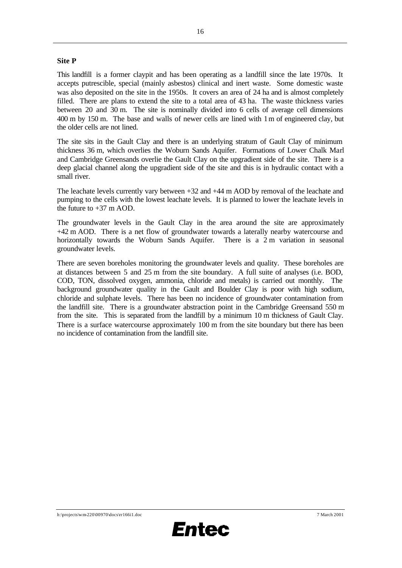#### **Site P**

This landfill is a former claypit and has been operating as a landfill since the late 1970s. It accepts putrescible, special (mainly asbestos) clinical and inert waste. Some domestic waste was also deposited on the site in the 1950s. It covers an area of 24 ha and is almost completely filled. There are plans to extend the site to a total area of 43 ha. The waste thickness varies between 20 and 30 m. The site is nominally divided into 6 cells of average cell dimensions 400 m by 150 m. The base and walls of newer cells are lined with 1m of engineered clay, but the older cells are not lined.

16

The site sits in the Gault Clay and there is an underlying stratum of Gault Clay of minimum thickness 36 m, which overlies the Woburn Sands Aquifer. Formations of Lower Chalk Marl and Cambridge Greensands overlie the Gault Clay on the upgradient side of the site. There is a deep glacial channel along the upgradient side of the site and this is in hydraulic contact with a small river.

The leachate levels currently vary between +32 and +44 m AOD by removal of the leachate and pumping to the cells with the lowest leachate levels. It is planned to lower the leachate levels in the future to  $+37$  m AOD.

The groundwater levels in the Gault Clay in the area around the site are approximately +42 m AOD. There is a net flow of groundwater towards a laterally nearby watercourse and horizontally towards the Woburn Sands Aquifer. There is a 2 m variation in seasonal groundwater levels.

There are seven boreholes monitoring the groundwater levels and quality. These boreholes are at distances between 5 and 25 m from the site boundary. A full suite of analyses (i.e. BOD, COD, TON, dissolved oxygen, ammonia, chloride and metals) is carried out monthly. The background groundwater quality in the Gault and Boulder Clay is poor with high sodium, chloride and sulphate levels. There has been no incidence of groundwater contamination from the landfill site. There is a groundwater abstraction point in the Cambridge Greensand 550 m from the site. This is separated from the landfill by a minimum 10 m thickness of Gault Clay. There is a surface watercourse approximately 100 m from the site boundary but there has been no incidence of contamination from the landfill site.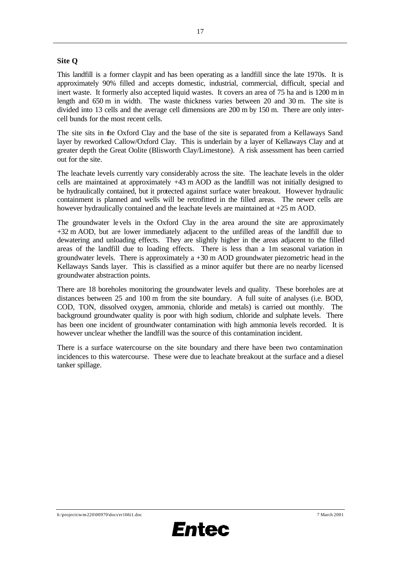#### **Site Q**

This landfill is a former claypit and has been operating as a landfill since the late 1970s. It is approximately 90% filled and accepts domestic, industrial, commercial, difficult, special and inert waste. It formerly also accepted liquid wastes. It covers an area of 75 ha and is 1200 m in length and 650 m in width. The waste thickness varies between 20 and 30 m. The site is divided into 13 cells and the average cell dimensions are 200 m by 150 m. There are only intercell bunds for the most recent cells.

The site sits in the Oxford Clay and the base of the site is separated from a Kellaways Sand layer by reworked Callow/Oxford Clay. This is underlain by a layer of Kellaways Clay and at greater depth the Great Oolite (Blisworth Clay/Limestone). A risk assessment has been carried out for the site.

The leachate levels currently vary considerably across the site. The leachate levels in the older cells are maintained at approximately +43 m AOD as the landfill was not initially designed to be hydraulically contained, but it protected against surface water breakout. However hydraulic containment is planned and wells will be retrofitted in the filled areas. The newer cells are however hydraulically contained and the leachate levels are maintained at +25 m AOD.

The groundwater levels in the Oxford Clay in the area around the site are approximately +32 m AOD, but are lower immediately adjacent to the unfilled areas of the landfill due to dewatering and unloading effects. They are slightly higher in the areas adjacent to the filled areas of the landfill due to loading effects. There is less than a 1m seasonal variation in groundwater levels. There is approximately a +30 m AOD groundwater piezometric head in the Kellaways Sands layer. This is classified as a minor aquifer but there are no nearby licensed groundwater abstraction points.

There are 18 boreholes monitoring the groundwater levels and quality. These boreholes are at distances between 25 and 100 m from the site boundary. A full suite of analyses (i.e. BOD, COD, TON, dissolved oxygen, ammonia, chloride and metals) is carried out monthly. The background groundwater quality is poor with high sodium, chloride and sulphate levels. There has been one incident of groundwater contamination with high ammonia levels recorded. It is however unclear whether the landfill was the source of this contamination incident.

There is a surface watercourse on the site boundary and there have been two contamination incidences to this watercourse. These were due to leachate breakout at the surface and a diesel tanker spillage.